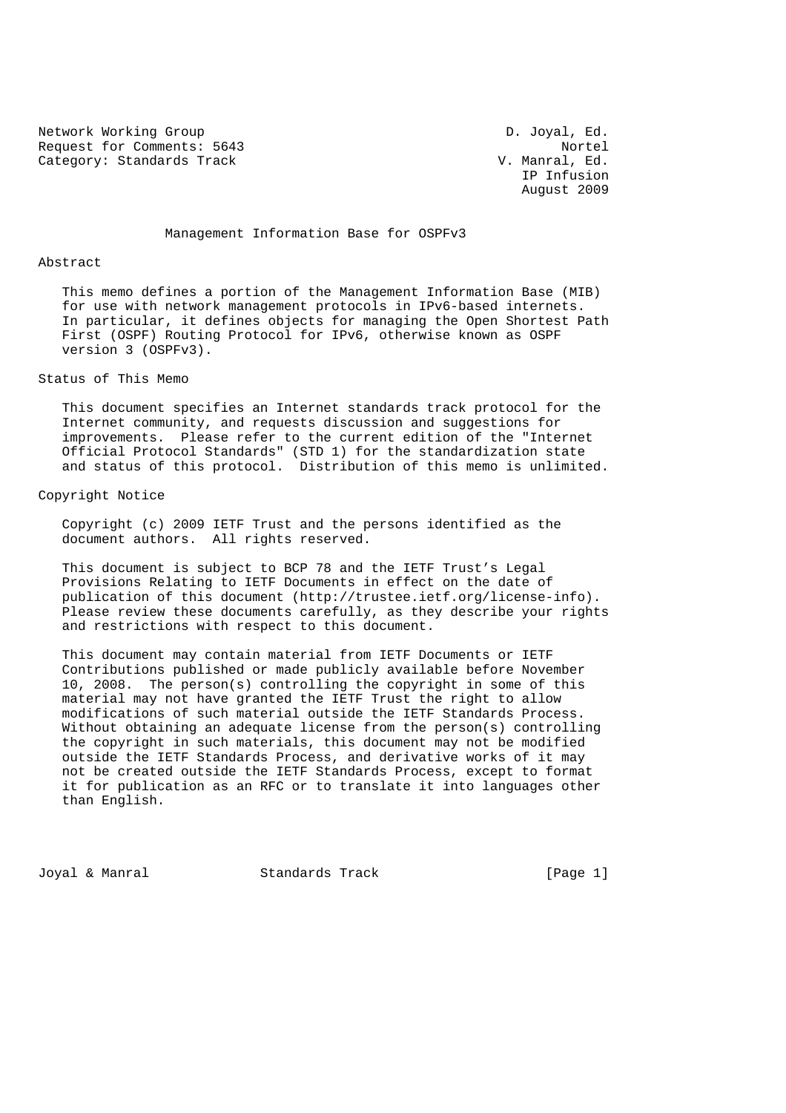Network Working Group **D.** Joyal, Ed. Request for Comments: 5643 Nortel<br>Category: Standards Track Nortel Category: Standards Track Category: Standards Track

 IP Infusion August 2009

Management Information Base for OSPFv3

#### Abstract

 This memo defines a portion of the Management Information Base (MIB) for use with network management protocols in IPv6-based internets. In particular, it defines objects for managing the Open Shortest Path First (OSPF) Routing Protocol for IPv6, otherwise known as OSPF version 3 (OSPFv3).

### Status of This Memo

 This document specifies an Internet standards track protocol for the Internet community, and requests discussion and suggestions for improvements. Please refer to the current edition of the "Internet Official Protocol Standards" (STD 1) for the standardization state and status of this protocol. Distribution of this memo is unlimited.

### Copyright Notice

 Copyright (c) 2009 IETF Trust and the persons identified as the document authors. All rights reserved.

 This document is subject to BCP 78 and the IETF Trust's Legal Provisions Relating to IETF Documents in effect on the date of publication of this document (http://trustee.ietf.org/license-info). Please review these documents carefully, as they describe your rights and restrictions with respect to this document.

 This document may contain material from IETF Documents or IETF Contributions published or made publicly available before November 10, 2008. The person(s) controlling the copyright in some of this material may not have granted the IETF Trust the right to allow modifications of such material outside the IETF Standards Process. Without obtaining an adequate license from the person(s) controlling the copyright in such materials, this document may not be modified outside the IETF Standards Process, and derivative works of it may not be created outside the IETF Standards Process, except to format it for publication as an RFC or to translate it into languages other than English.

Joyal & Manral Standards Track [Page 1]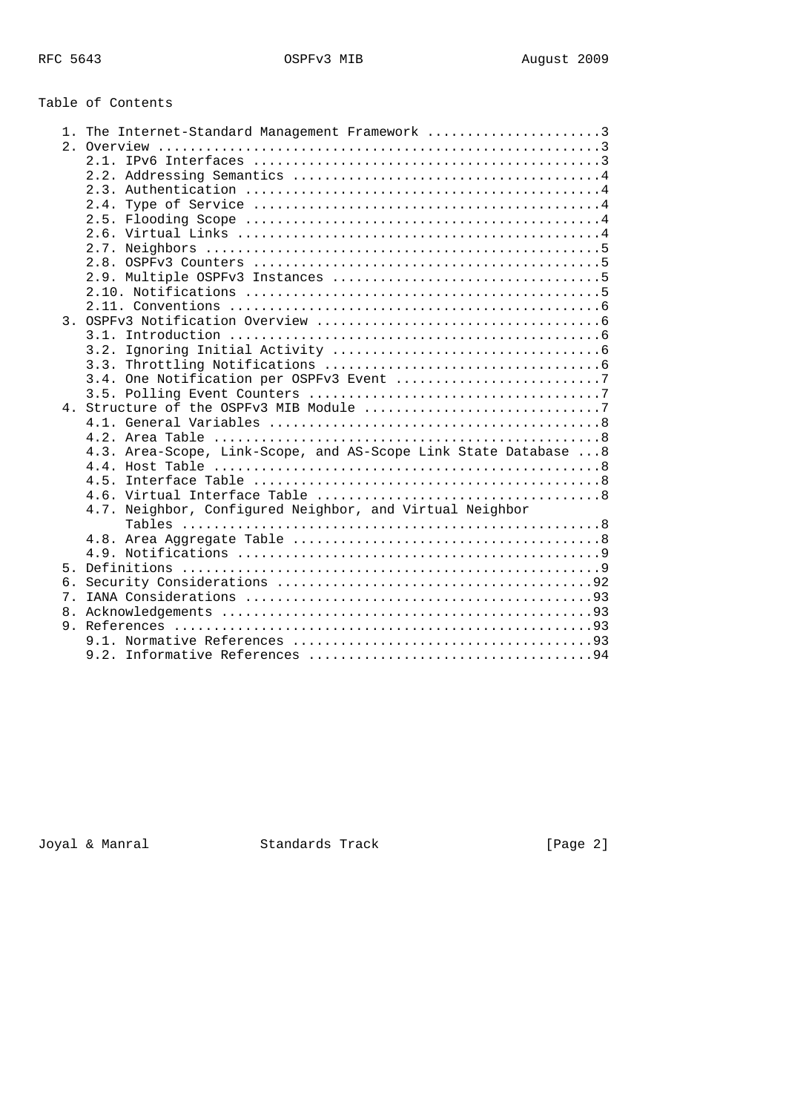# Table of Contents

|                | 1. The Internet-Standard Management Framework 3                  |
|----------------|------------------------------------------------------------------|
|                |                                                                  |
|                |                                                                  |
|                |                                                                  |
|                |                                                                  |
|                |                                                                  |
|                |                                                                  |
|                |                                                                  |
|                |                                                                  |
|                |                                                                  |
|                |                                                                  |
|                |                                                                  |
|                |                                                                  |
|                |                                                                  |
|                |                                                                  |
|                | 3.2.                                                             |
|                |                                                                  |
|                |                                                                  |
|                |                                                                  |
|                |                                                                  |
|                |                                                                  |
|                |                                                                  |
|                | 4.3. Area-Scope, Link-Scope, and AS-Scope Link State Database  8 |
|                |                                                                  |
|                |                                                                  |
|                |                                                                  |
|                | 4.7. Neighbor, Configured Neighbor, and Virtual Neighbor         |
|                |                                                                  |
|                |                                                                  |
|                |                                                                  |
|                |                                                                  |
| б.             |                                                                  |
| 7 <sup>1</sup> |                                                                  |
| 8.             |                                                                  |
|                |                                                                  |
|                |                                                                  |
|                |                                                                  |

Joyal & Manral Standards Track [Page 2]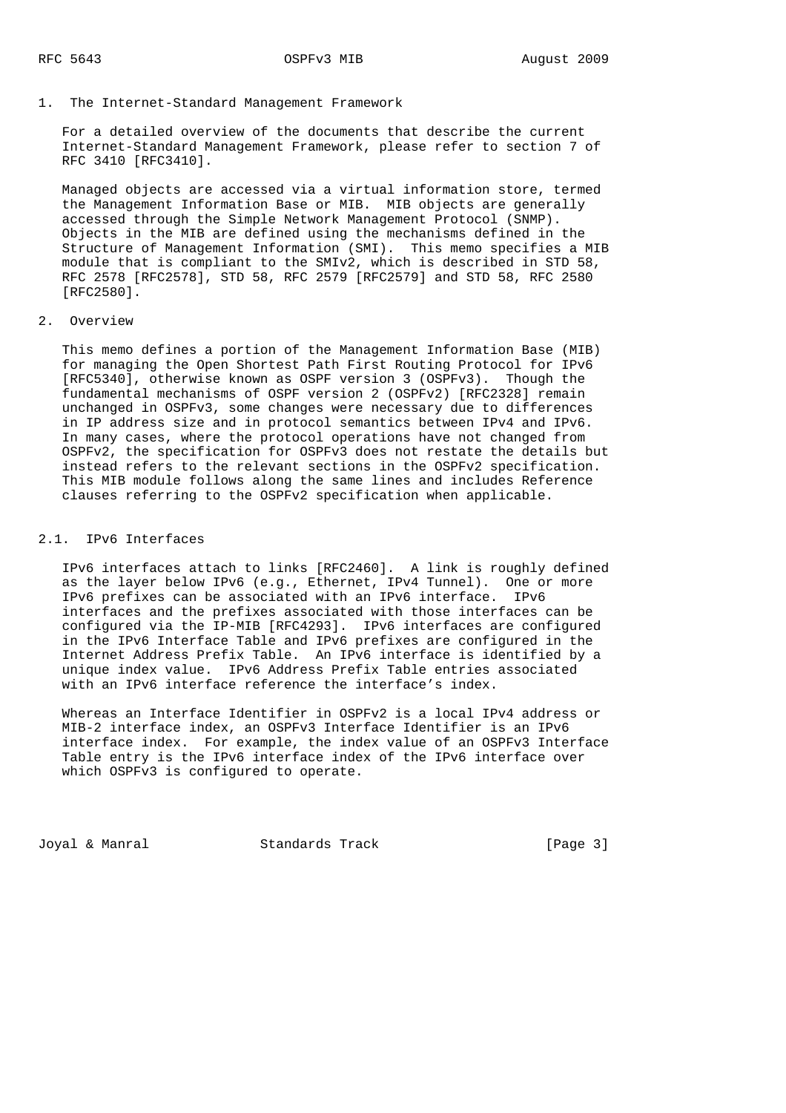1. The Internet-Standard Management Framework

 For a detailed overview of the documents that describe the current Internet-Standard Management Framework, please refer to section 7 of RFC 3410 [RFC3410].

 Managed objects are accessed via a virtual information store, termed the Management Information Base or MIB. MIB objects are generally accessed through the Simple Network Management Protocol (SNMP). Objects in the MIB are defined using the mechanisms defined in the Structure of Management Information (SMI). This memo specifies a MIB module that is compliant to the SMIv2, which is described in STD 58, RFC 2578 [RFC2578], STD 58, RFC 2579 [RFC2579] and STD 58, RFC 2580 [RFC2580].

### 2. Overview

 This memo defines a portion of the Management Information Base (MIB) for managing the Open Shortest Path First Routing Protocol for IPv6 [RFC5340], otherwise known as OSPF version 3 (OSPFv3). Though the fundamental mechanisms of OSPF version 2 (OSPFv2) [RFC2328] remain unchanged in OSPFv3, some changes were necessary due to differences in IP address size and in protocol semantics between IPv4 and IPv6. In many cases, where the protocol operations have not changed from OSPFv2, the specification for OSPFv3 does not restate the details but instead refers to the relevant sections in the OSPFv2 specification. This MIB module follows along the same lines and includes Reference clauses referring to the OSPFv2 specification when applicable.

### 2.1. IPv6 Interfaces

 IPv6 interfaces attach to links [RFC2460]. A link is roughly defined as the layer below IPv6 (e.g., Ethernet, IPv4 Tunnel). One or more IPv6 prefixes can be associated with an IPv6 interface. IPv6 interfaces and the prefixes associated with those interfaces can be configured via the IP-MIB [RFC4293]. IPv6 interfaces are configured in the IPv6 Interface Table and IPv6 prefixes are configured in the Internet Address Prefix Table. An IPv6 interface is identified by a unique index value. IPv6 Address Prefix Table entries associated with an IPv6 interface reference the interface's index.

 Whereas an Interface Identifier in OSPFv2 is a local IPv4 address or MIB-2 interface index, an OSPFv3 Interface Identifier is an IPv6 interface index. For example, the index value of an OSPFv3 Interface Table entry is the IPv6 interface index of the IPv6 interface over which OSPFv3 is configured to operate.

Joyal & Manral **Standards Track** [Page 3]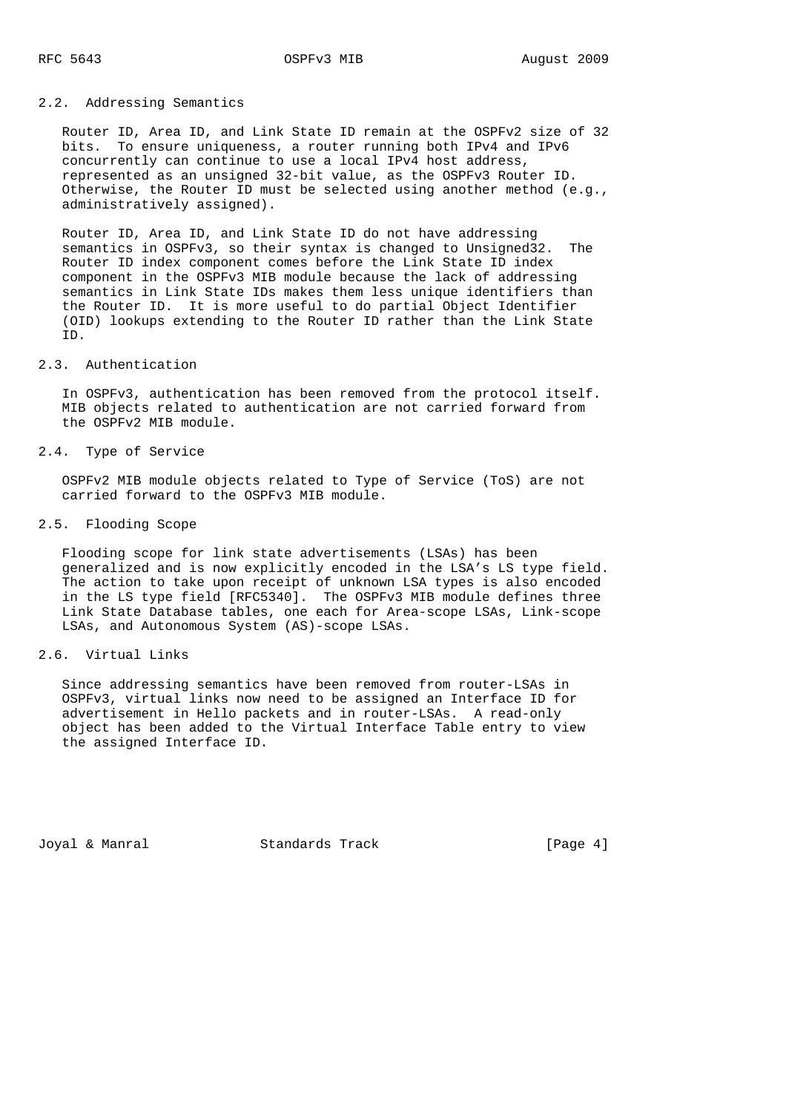## 2.2. Addressing Semantics

 Router ID, Area ID, and Link State ID remain at the OSPFv2 size of 32 bits. To ensure uniqueness, a router running both IPv4 and IPv6 concurrently can continue to use a local IPv4 host address, represented as an unsigned 32-bit value, as the OSPFv3 Router ID. Otherwise, the Router ID must be selected using another method (e.g., administratively assigned).

 Router ID, Area ID, and Link State ID do not have addressing semantics in OSPFv3, so their syntax is changed to Unsigned32. The Router ID index component comes before the Link State ID index component in the OSPFv3 MIB module because the lack of addressing semantics in Link State IDs makes them less unique identifiers than the Router ID. It is more useful to do partial Object Identifier (OID) lookups extending to the Router ID rather than the Link State ID.

### 2.3. Authentication

 In OSPFv3, authentication has been removed from the protocol itself. MIB objects related to authentication are not carried forward from the OSPFv2 MIB module.

2.4. Type of Service

 OSPFv2 MIB module objects related to Type of Service (ToS) are not carried forward to the OSPFv3 MIB module.

### 2.5. Flooding Scope

 Flooding scope for link state advertisements (LSAs) has been generalized and is now explicitly encoded in the LSA's LS type field. The action to take upon receipt of unknown LSA types is also encoded in the LS type field [RFC5340]. The OSPFv3 MIB module defines three Link State Database tables, one each for Area-scope LSAs, Link-scope LSAs, and Autonomous System (AS)-scope LSAs.

### 2.6. Virtual Links

 Since addressing semantics have been removed from router-LSAs in OSPFv3, virtual links now need to be assigned an Interface ID for advertisement in Hello packets and in router-LSAs. A read-only object has been added to the Virtual Interface Table entry to view the assigned Interface ID.

Joyal & Manral Standards Track [Page 4]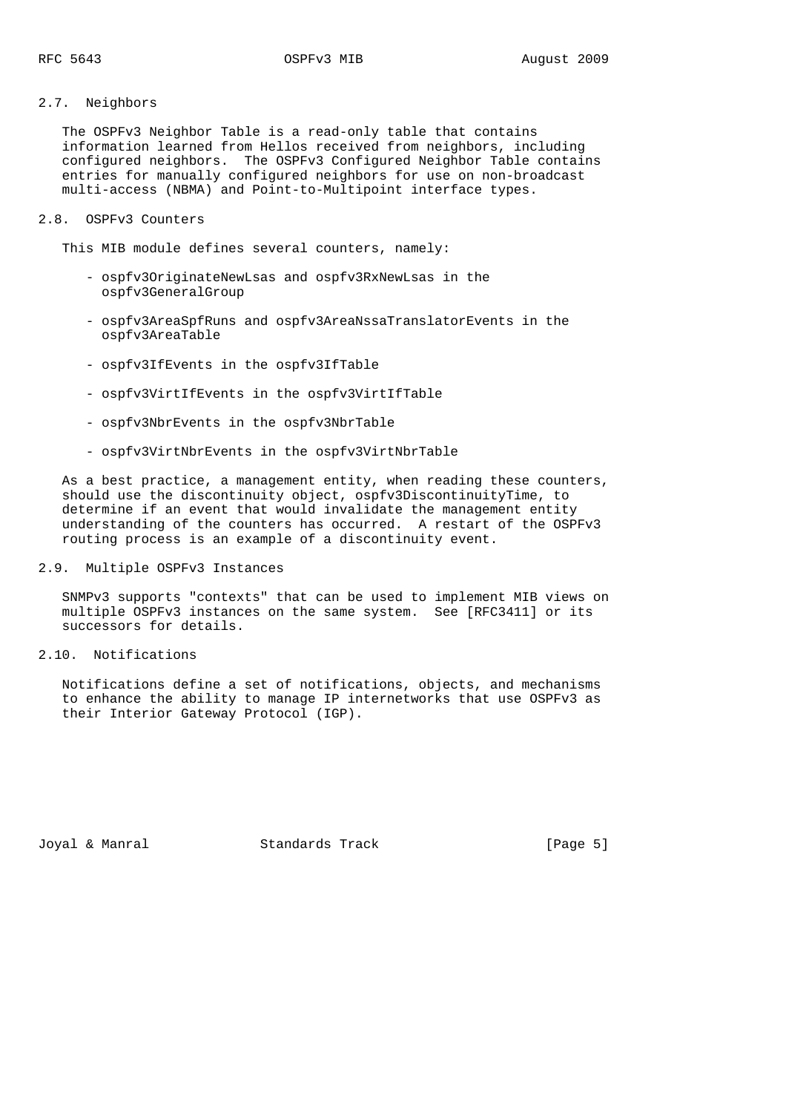## 2.7. Neighbors

 The OSPFv3 Neighbor Table is a read-only table that contains information learned from Hellos received from neighbors, including configured neighbors. The OSPFv3 Configured Neighbor Table contains entries for manually configured neighbors for use on non-broadcast multi-access (NBMA) and Point-to-Multipoint interface types.

### 2.8. OSPFv3 Counters

This MIB module defines several counters, namely:

- ospfv3OriginateNewLsas and ospfv3RxNewLsas in the ospfv3GeneralGroup
- ospfv3AreaSpfRuns and ospfv3AreaNssaTranslatorEvents in the ospfv3AreaTable
- ospfv3IfEvents in the ospfv3IfTable
- ospfv3VirtIfEvents in the ospfv3VirtIfTable
- ospfv3NbrEvents in the ospfv3NbrTable
- ospfv3VirtNbrEvents in the ospfv3VirtNbrTable

 As a best practice, a management entity, when reading these counters, should use the discontinuity object, ospfv3DiscontinuityTime, to determine if an event that would invalidate the management entity understanding of the counters has occurred. A restart of the OSPFv3 routing process is an example of a discontinuity event.

### 2.9. Multiple OSPFv3 Instances

 SNMPv3 supports "contexts" that can be used to implement MIB views on multiple OSPFv3 instances on the same system. See [RFC3411] or its successors for details.

2.10. Notifications

 Notifications define a set of notifications, objects, and mechanisms to enhance the ability to manage IP internetworks that use OSPFv3 as their Interior Gateway Protocol (IGP).

Joyal & Manral Standards Track [Page 5]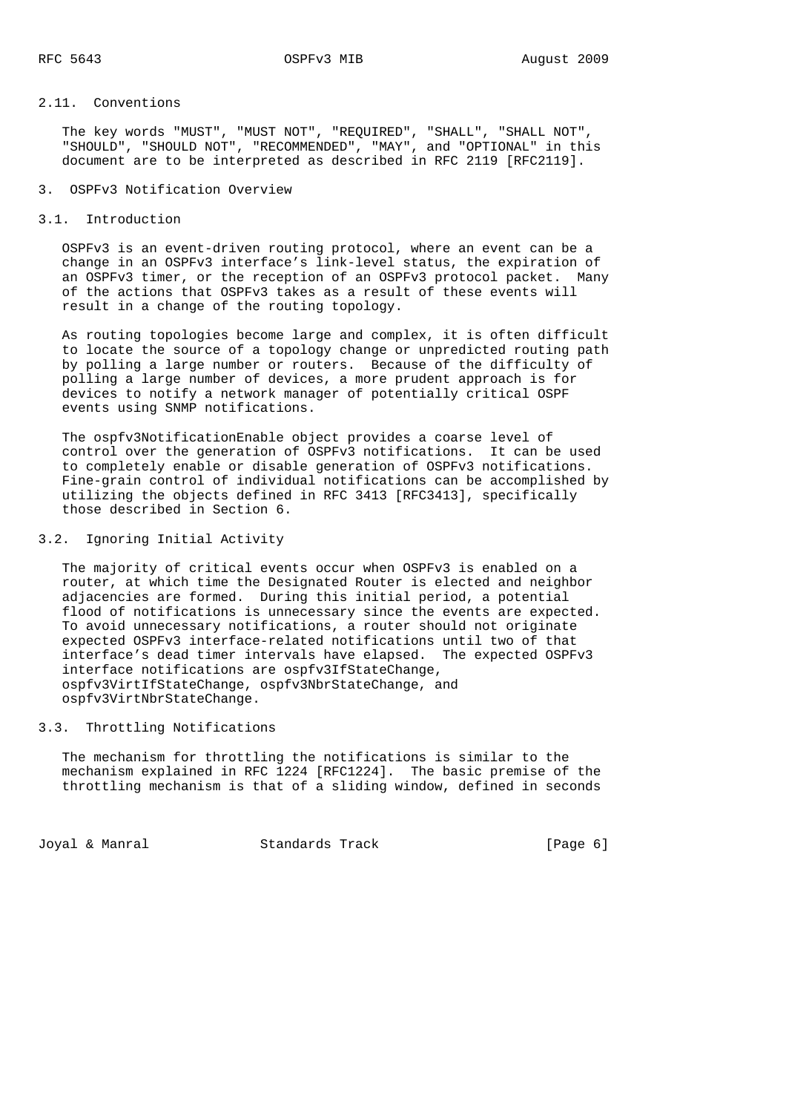### 2.11. Conventions

 The key words "MUST", "MUST NOT", "REQUIRED", "SHALL", "SHALL NOT", "SHOULD", "SHOULD NOT", "RECOMMENDED", "MAY", and "OPTIONAL" in this document are to be interpreted as described in RFC 2119 [RFC2119].

- 3. OSPFv3 Notification Overview
- 3.1. Introduction

 OSPFv3 is an event-driven routing protocol, where an event can be a change in an OSPFv3 interface's link-level status, the expiration of an OSPFv3 timer, or the reception of an OSPFv3 protocol packet. Many of the actions that OSPFv3 takes as a result of these events will result in a change of the routing topology.

 As routing topologies become large and complex, it is often difficult to locate the source of a topology change or unpredicted routing path by polling a large number or routers. Because of the difficulty of polling a large number of devices, a more prudent approach is for devices to notify a network manager of potentially critical OSPF events using SNMP notifications.

 The ospfv3NotificationEnable object provides a coarse level of control over the generation of OSPFv3 notifications. It can be used to completely enable or disable generation of OSPFv3 notifications. Fine-grain control of individual notifications can be accomplished by utilizing the objects defined in RFC 3413 [RFC3413], specifically those described in Section 6.

### 3.2. Ignoring Initial Activity

 The majority of critical events occur when OSPFv3 is enabled on a router, at which time the Designated Router is elected and neighbor adjacencies are formed. During this initial period, a potential flood of notifications is unnecessary since the events are expected. To avoid unnecessary notifications, a router should not originate expected OSPFv3 interface-related notifications until two of that interface's dead timer intervals have elapsed. The expected OSPFv3 interface notifications are ospfv3IfStateChange, ospfv3VirtIfStateChange, ospfv3NbrStateChange, and ospfv3VirtNbrStateChange.

### 3.3. Throttling Notifications

 The mechanism for throttling the notifications is similar to the mechanism explained in RFC 1224 [RFC1224]. The basic premise of the throttling mechanism is that of a sliding window, defined in seconds

Joyal & Manral **Standards Track** [Page 6]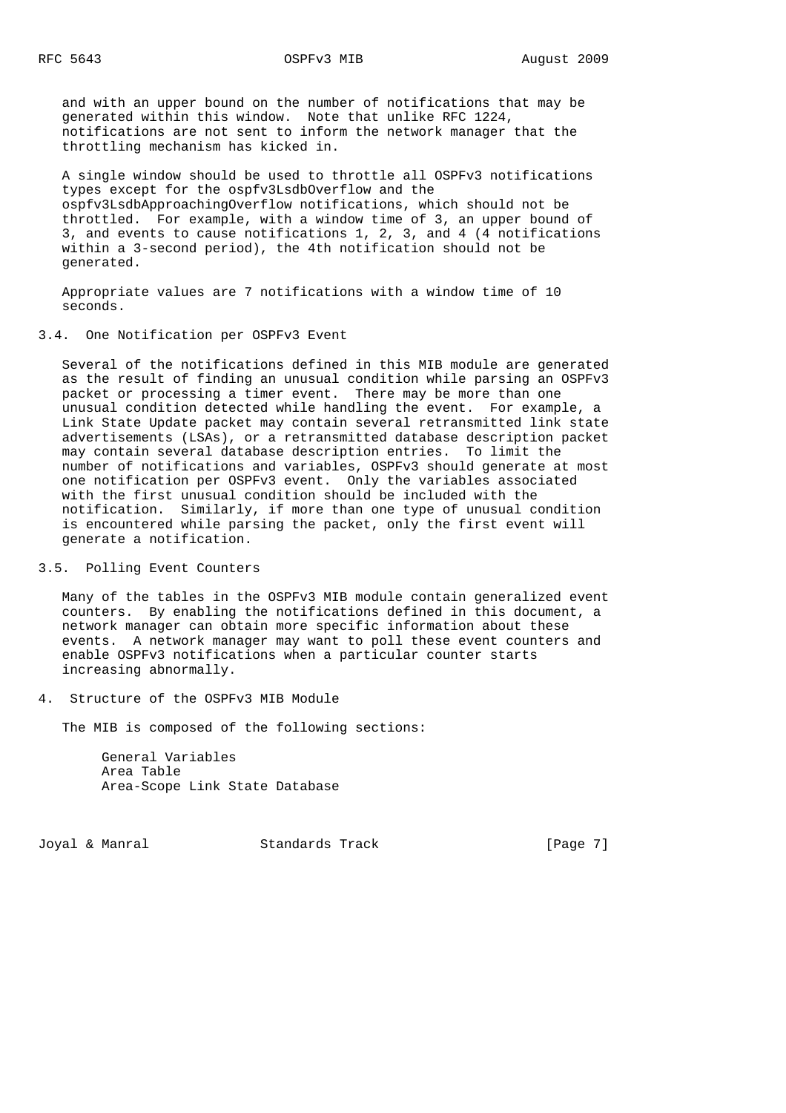and with an upper bound on the number of notifications that may be generated within this window. Note that unlike RFC 1224, notifications are not sent to inform the network manager that the throttling mechanism has kicked in.

 A single window should be used to throttle all OSPFv3 notifications types except for the ospfv3LsdbOverflow and the ospfv3LsdbApproachingOverflow notifications, which should not be throttled. For example, with a window time of 3, an upper bound of 3, and events to cause notifications 1, 2, 3, and 4 (4 notifications within a 3-second period), the 4th notification should not be generated.

 Appropriate values are 7 notifications with a window time of 10 seconds.

### 3.4. One Notification per OSPFv3 Event

 Several of the notifications defined in this MIB module are generated as the result of finding an unusual condition while parsing an OSPFv3 packet or processing a timer event. There may be more than one unusual condition detected while handling the event. For example, a Link State Update packet may contain several retransmitted link state advertisements (LSAs), or a retransmitted database description packet may contain several database description entries. To limit the number of notifications and variables, OSPFv3 should generate at most one notification per OSPFv3 event. Only the variables associated with the first unusual condition should be included with the notification. Similarly, if more than one type of unusual condition is encountered while parsing the packet, only the first event will generate a notification.

### 3.5. Polling Event Counters

 Many of the tables in the OSPFv3 MIB module contain generalized event counters. By enabling the notifications defined in this document, a network manager can obtain more specific information about these events. A network manager may want to poll these event counters and enable OSPFv3 notifications when a particular counter starts increasing abnormally.

4. Structure of the OSPFv3 MIB Module

The MIB is composed of the following sections:

 General Variables Area Table Area-Scope Link State Database

Joyal & Manral Standards Track [Page 7]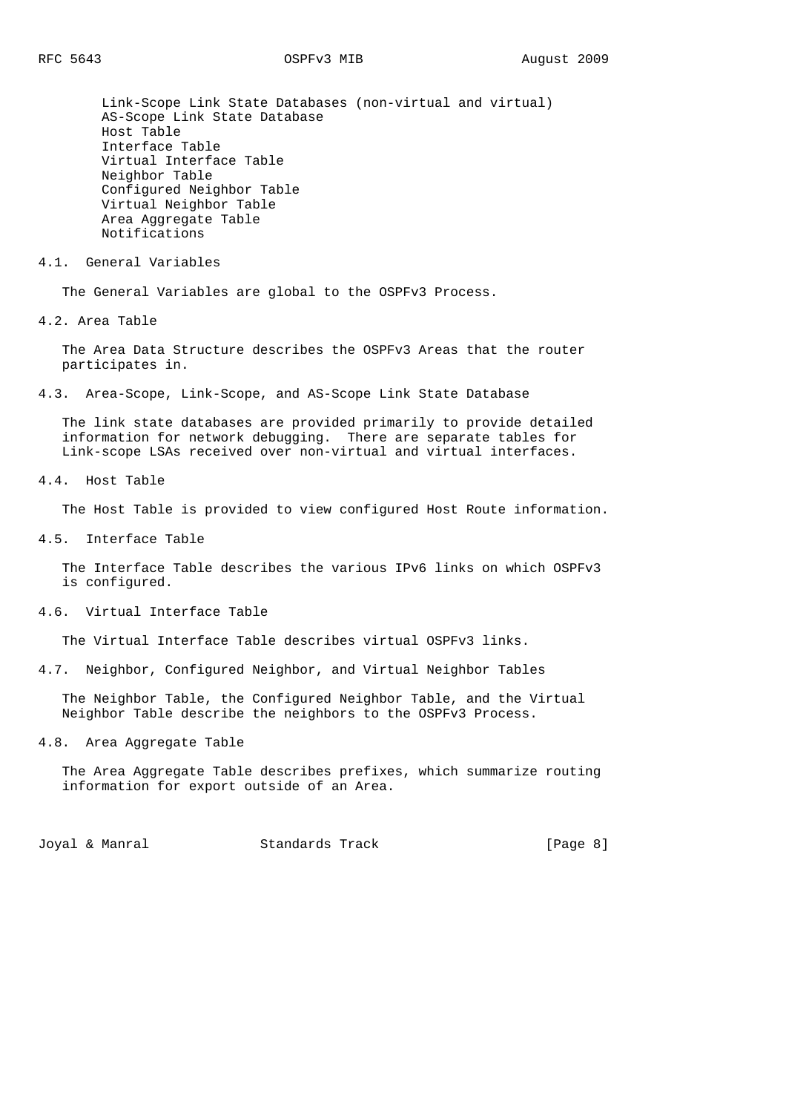Link-Scope Link State Databases (non-virtual and virtual) AS-Scope Link State Database Host Table Interface Table Virtual Interface Table Neighbor Table Configured Neighbor Table Virtual Neighbor Table Area Aggregate Table Notifications

#### 4.1. General Variables

The General Variables are global to the OSPFv3 Process.

4.2. Area Table

 The Area Data Structure describes the OSPFv3 Areas that the router participates in.

4.3. Area-Scope, Link-Scope, and AS-Scope Link State Database

 The link state databases are provided primarily to provide detailed information for network debugging. There are separate tables for Link-scope LSAs received over non-virtual and virtual interfaces.

4.4. Host Table

The Host Table is provided to view configured Host Route information.

4.5. Interface Table

 The Interface Table describes the various IPv6 links on which OSPFv3 is configured.

4.6. Virtual Interface Table

The Virtual Interface Table describes virtual OSPFv3 links.

4.7. Neighbor, Configured Neighbor, and Virtual Neighbor Tables

 The Neighbor Table, the Configured Neighbor Table, and the Virtual Neighbor Table describe the neighbors to the OSPFv3 Process.

4.8. Area Aggregate Table

 The Area Aggregate Table describes prefixes, which summarize routing information for export outside of an Area.

Joyal & Manral **Standards Track** [Page 8]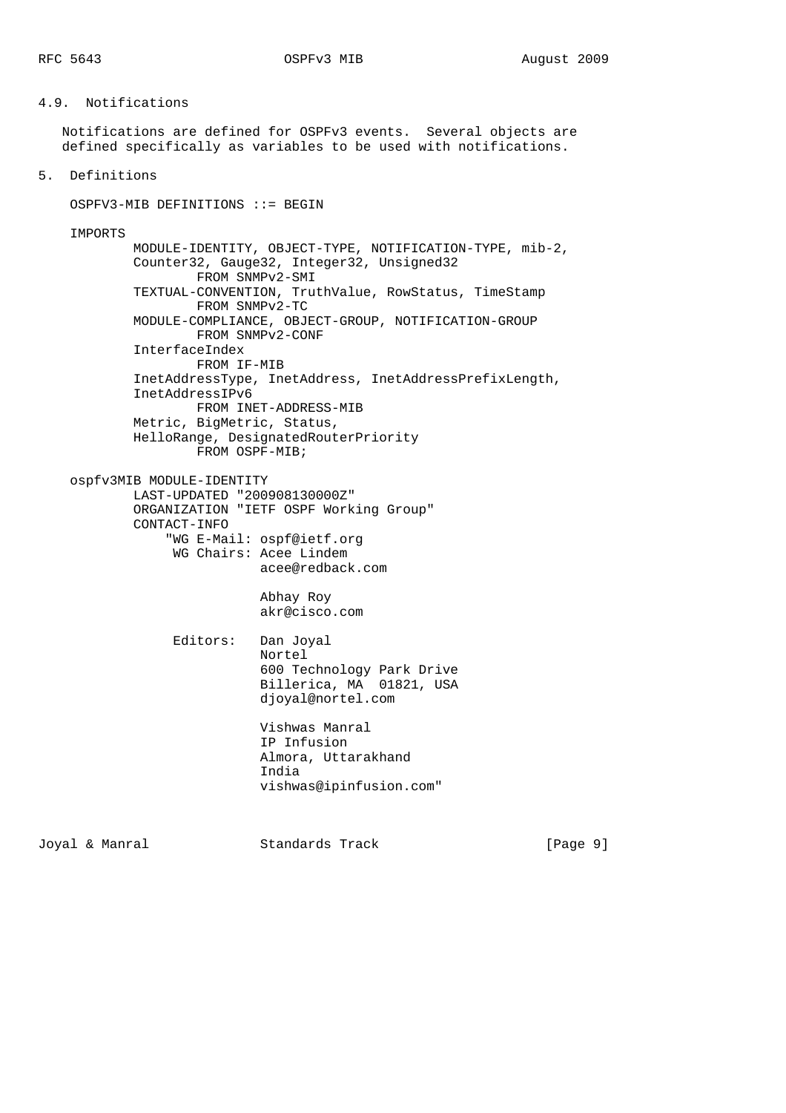### 4.9. Notifications

 Notifications are defined for OSPFv3 events. Several objects are defined specifically as variables to be used with notifications.

5. Definitions

 OSPFV3-MIB DEFINITIONS ::= BEGIN IMPORTS MODULE-IDENTITY, OBJECT-TYPE, NOTIFICATION-TYPE, mib-2, Counter32, Gauge32, Integer32, Unsigned32 FROM SNMPv2-SMI TEXTUAL-CONVENTION, TruthValue, RowStatus, TimeStamp FROM SNMPv2-TC MODULE-COMPLIANCE, OBJECT-GROUP, NOTIFICATION-GROUP FROM SNMPv2-CONF InterfaceIndex FROM IF-MIB InetAddressType, InetAddress, InetAddressPrefixLength, InetAddressIPv6 FROM INET-ADDRESS-MIB Metric, BigMetric, Status, HelloRange, DesignatedRouterPriority FROM OSPF-MIB; ospfv3MIB MODULE-IDENTITY LAST-UPDATED "200908130000Z" ORGANIZATION "IETF OSPF Working Group" CONTACT-INFO "WG E-Mail: ospf@ietf.org WG Chairs: Acee Lindem acee@redback.com Abhay Roy akr@cisco.com Editors: Dan Joyal Nortel 600 Technology Park Drive Billerica, MA 01821, USA djoyal@nortel.com Vishwas Manral IP Infusion Almora, Uttarakhand India vishwas@ipinfusion.com"

Joyal & Manral Standards Track [Page 9]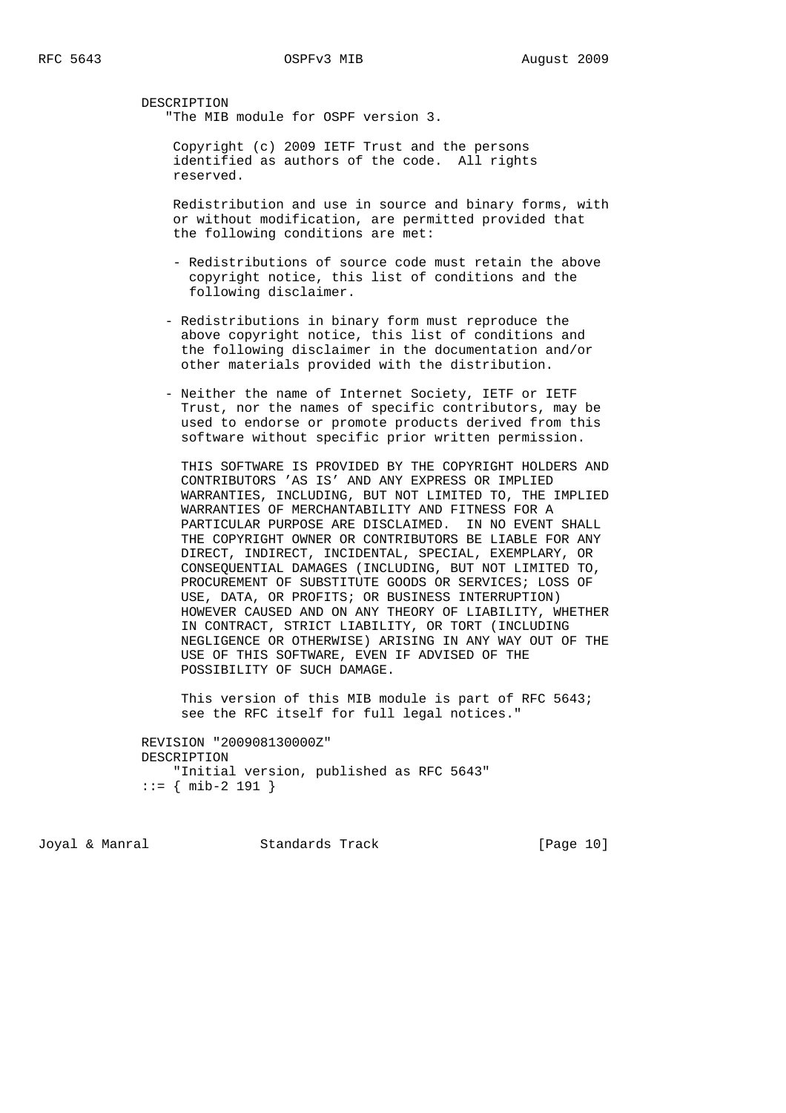DESCRIPTION "The MIB module for OSPF version 3.

> Copyright (c) 2009 IETF Trust and the persons identified as authors of the code. All rights reserved.

 Redistribution and use in source and binary forms, with or without modification, are permitted provided that the following conditions are met:

- Redistributions of source code must retain the above copyright notice, this list of conditions and the following disclaimer.
- Redistributions in binary form must reproduce the above copyright notice, this list of conditions and the following disclaimer in the documentation and/or other materials provided with the distribution.
- Neither the name of Internet Society, IETF or IETF Trust, nor the names of specific contributors, may be used to endorse or promote products derived from this software without specific prior written permission.

 THIS SOFTWARE IS PROVIDED BY THE COPYRIGHT HOLDERS AND CONTRIBUTORS 'AS IS' AND ANY EXPRESS OR IMPLIED WARRANTIES, INCLUDING, BUT NOT LIMITED TO, THE IMPLIED WARRANTIES OF MERCHANTABILITY AND FITNESS FOR A PARTICULAR PURPOSE ARE DISCLAIMED. IN NO EVENT SHALL THE COPYRIGHT OWNER OR CONTRIBUTORS BE LIABLE FOR ANY DIRECT, INDIRECT, INCIDENTAL, SPECIAL, EXEMPLARY, OR CONSEQUENTIAL DAMAGES (INCLUDING, BUT NOT LIMITED TO, PROCUREMENT OF SUBSTITUTE GOODS OR SERVICES; LOSS OF USE, DATA, OR PROFITS; OR BUSINESS INTERRUPTION) HOWEVER CAUSED AND ON ANY THEORY OF LIABILITY, WHETHER IN CONTRACT, STRICT LIABILITY, OR TORT (INCLUDING NEGLIGENCE OR OTHERWISE) ARISING IN ANY WAY OUT OF THE USE OF THIS SOFTWARE, EVEN IF ADVISED OF THE POSSIBILITY OF SUCH DAMAGE.

 This version of this MIB module is part of RFC 5643; see the RFC itself for full legal notices."

 REVISION "200908130000Z" DESCRIPTION "Initial version, published as RFC 5643" ::= { mib-2 191 }

Joyal & Manral Standards Track [Page 10]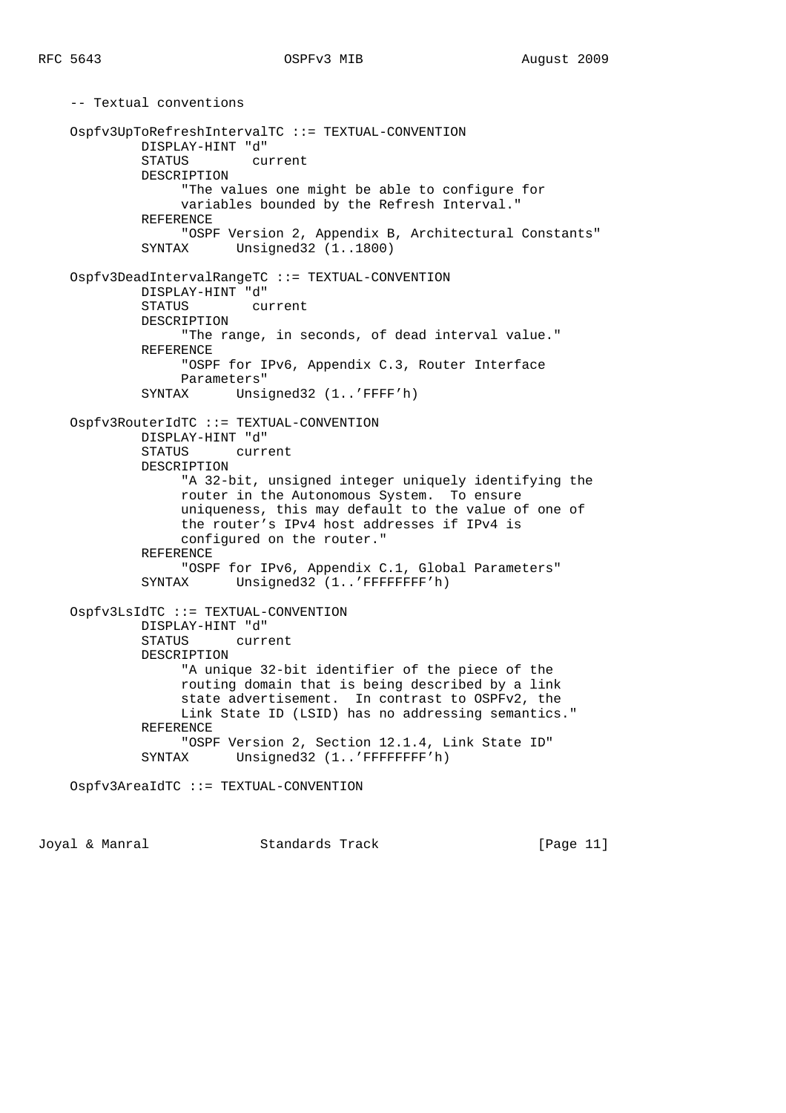-- Textual conventions Ospfv3UpToRefreshIntervalTC ::= TEXTUAL-CONVENTION DISPLAY-HINT "d" STATUS current DESCRIPTION "The values one might be able to configure for variables bounded by the Refresh Interval." REFERENCE "OSPF Version 2, Appendix B, Architectural Constants" SYNTAX Unsigned32 (1..1800) Ospfv3DeadIntervalRangeTC ::= TEXTUAL-CONVENTION DISPLAY-HINT "d" STATUS current DESCRIPTION "The range, in seconds, of dead interval value." REFERENCE "OSPF for IPv6, Appendix C.3, Router Interface Parameters" SYNTAX Unsigned32 (1..'FFFF'h) Ospfv3RouterIdTC ::= TEXTUAL-CONVENTION DISPLAY-HINT "d" STATUS current DESCRIPTION "A 32-bit, unsigned integer uniquely identifying the router in the Autonomous System. To ensure uniqueness, this may default to the value of one of the router's IPv4 host addresses if IPv4 is configured on the router." REFERENCE "OSPF for IPv6, Appendix C.1, Global Parameters" SYNTAX Unsigned32 (1..'FFFFFFFF'h) Ospfv3LsIdTC ::= TEXTUAL-CONVENTION DISPLAY-HINT "d" STATUS current DESCRIPTION "A unique 32-bit identifier of the piece of the routing domain that is being described by a link state advertisement. In contrast to OSPFv2, the Link State ID (LSID) has no addressing semantics." REFERENCE "OSPF Version 2, Section 12.1.4, Link State ID" SYNTAX Unsigned32 (1..'FFFFFFFF'h) Ospfv3AreaIdTC ::= TEXTUAL-CONVENTION

Joyal & Manral Standards Track [Page 11]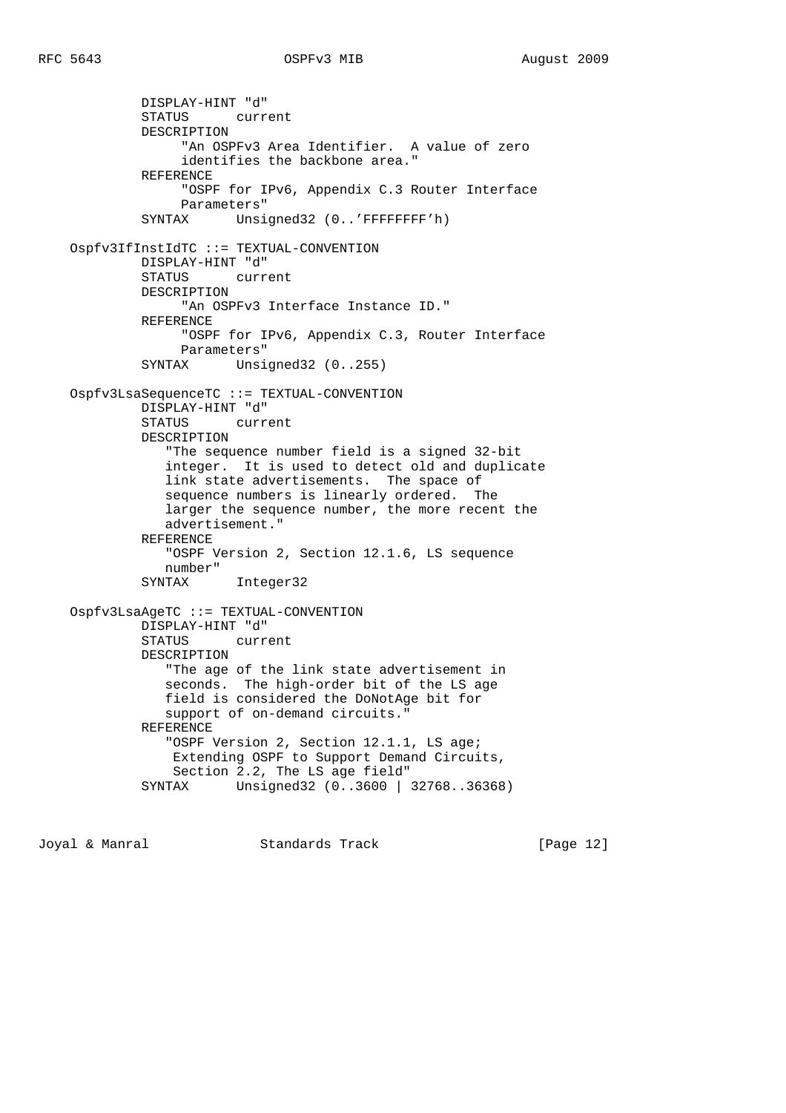DISPLAY-HINT "d" STATUS current DESCRIPTION "An OSPFv3 Area Identifier. A value of zero identifies the backbone area." REFERENCE "OSPF for IPv6, Appendix C.3 Router Interface Parameters" SYNTAX Unsigned32 (0..'FFFFFFFF'h) Ospfv3IfInstIdTC ::= TEXTUAL-CONVENTION DISPLAY-HINT "d" STATUS current DESCRIPTION "An OSPFv3 Interface Instance ID." REFERENCE "OSPF for IPv6, Appendix C.3, Router Interface Parameters" SYNTAX Unsigned32 (0..255) Ospfv3LsaSequenceTC ::= TEXTUAL-CONVENTION DISPLAY-HINT "d" STATUS current DESCRIPTION "The sequence number field is a signed 32-bit integer. It is used to detect old and duplicate link state advertisements. The space of sequence numbers is linearly ordered. The larger the sequence number, the more recent the advertisement." REFERENCE "OSPF Version 2, Section 12.1.6, LS sequence number" SYNTAX Integer32 Ospfv3LsaAgeTC ::= TEXTUAL-CONVENTION DISPLAY-HINT "d" STATUS current DESCRIPTION "The age of the link state advertisement in seconds. The high-order bit of the LS age field is considered the DoNotAge bit for support of on-demand circuits." REFERENCE "OSPF Version 2, Section 12.1.1, LS age; Extending OSPF to Support Demand Circuits, Section 2.2, The LS age field" SYNTAX Unsigned32 (0..3600 | 32768..36368)

Joyal & Manral Standards Track [Page 12]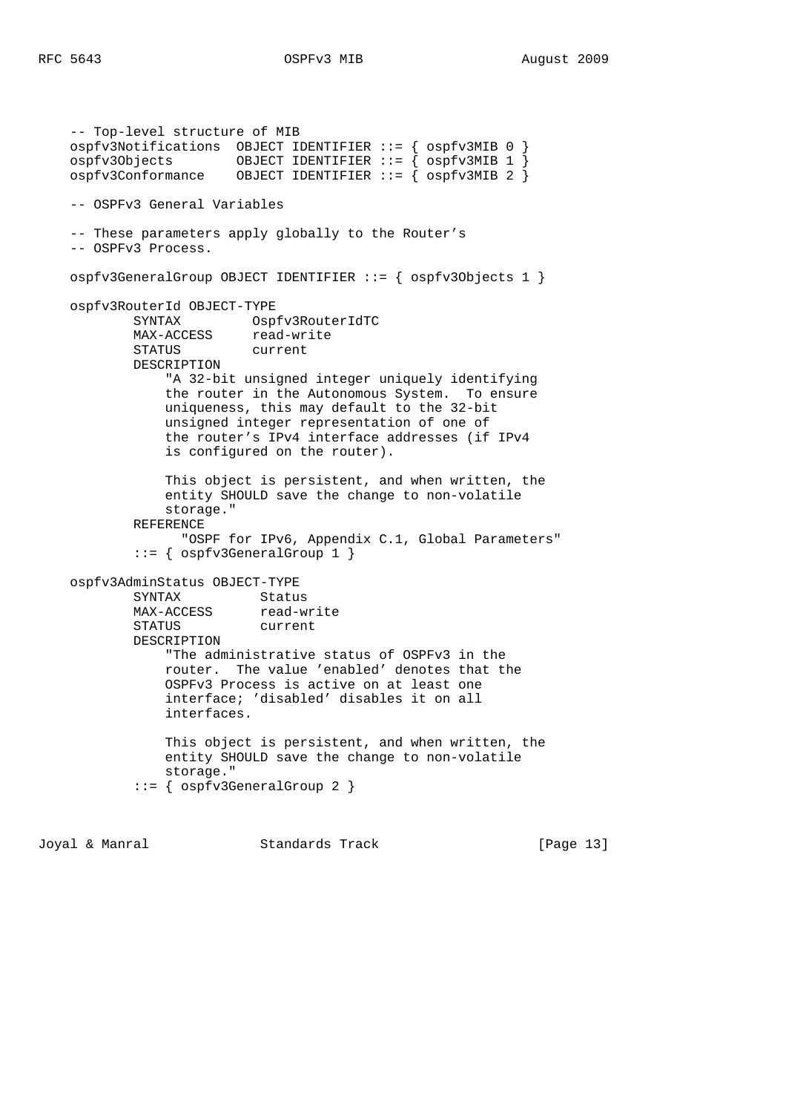```
 -- Top-level structure of MIB
    ospfv3Notifications OBJECT IDENTIFIER ::= { ospfv3MIB 0 }
 ospfv3Objects OBJECT IDENTIFIER ::= { ospfv3MIB 1 }
 ospfv3Conformance OBJECT IDENTIFIER ::= { ospfv3MIB 2 }
    -- OSPFv3 General Variables
    -- These parameters apply globally to the Router's
    -- OSPFv3 Process.
    ospfv3GeneralGroup OBJECT IDENTIFIER ::= { ospfv3Objects 1 }
    ospfv3RouterId OBJECT-TYPE
            SYNTAX Ospfv3RouterIdTC
           MAX-ACCESS read-write<br>STATUS current
           STATUS
            DESCRIPTION
                 "A 32-bit unsigned integer uniquely identifying
                the router in the Autonomous System. To ensure
                uniqueness, this may default to the 32-bit
                unsigned integer representation of one of
                the router's IPv4 interface addresses (if IPv4
                is configured on the router).
                This object is persistent, and when written, the
                entity SHOULD save the change to non-volatile
                storage."
            REFERENCE
                  "OSPF for IPv6, Appendix C.1, Global Parameters"
             ::= { ospfv3GeneralGroup 1 }
    ospfv3AdminStatus OBJECT-TYPE
           SYNTAX Status
           MAX-ACCESS read-write
            STATUS current
            DESCRIPTION
                "The administrative status of OSPFv3 in the
                router. The value 'enabled' denotes that the
                OSPFv3 Process is active on at least one
                interface; 'disabled' disables it on all
                interfaces.
                This object is persistent, and when written, the
                entity SHOULD save the change to non-volatile
                storage."
             ::= { ospfv3GeneralGroup 2 }
```
Joyal & Manral Standards Track [Page 13]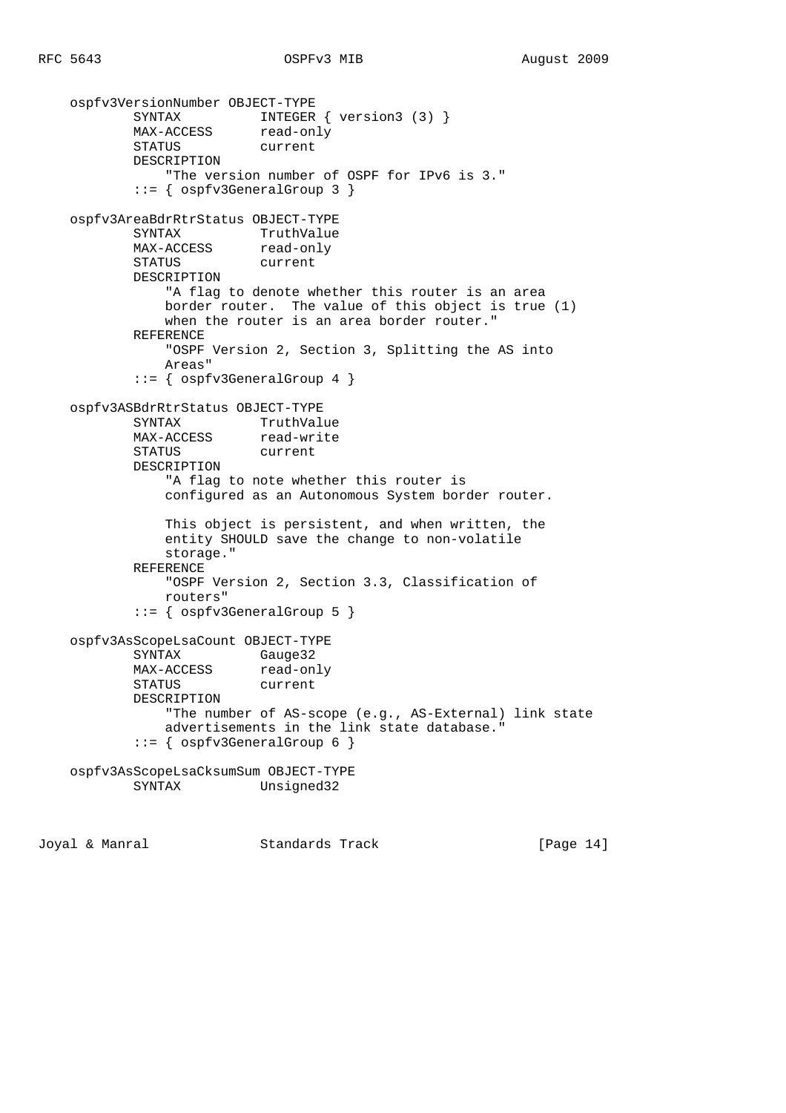```
 ospfv3VersionNumber OBJECT-TYPE
           SYNTAX INTEGER { version3 (3) }
          MAX-ACCESS read-only
          STATUS current
            DESCRIPTION
                "The version number of OSPF for IPv6 is 3."
            ::= { ospfv3GeneralGroup 3 }
    ospfv3AreaBdrRtrStatus OBJECT-TYPE
           SYNTAX TruthValue
           MAX-ACCESS read-only
            STATUS current
            DESCRIPTION
                "A flag to denote whether this router is an area
               border router. The value of this object is true (1)
              when the router is an area border router."
            REFERENCE
                "OSPF Version 2, Section 3, Splitting the AS into
               Areas"
            ::= { ospfv3GeneralGroup 4 }
    ospfv3ASBdrRtrStatus OBJECT-TYPE
SYNTAX TruthValue
MAX-ACCESS read-write
            STATUS current
            DESCRIPTION
                "A flag to note whether this router is
                configured as an Autonomous System border router.
               This object is persistent, and when written, the
               entity SHOULD save the change to non-volatile
               storage."
            REFERENCE
                "OSPF Version 2, Section 3.3, Classification of
               routers"
            ::= { ospfv3GeneralGroup 5 }
    ospfv3AsScopeLsaCount OBJECT-TYPE
            SYNTAX Gauge32
          MAX-ACCESS read-only
            STATUS current
            DESCRIPTION
                "The number of AS-scope (e.g., AS-External) link state
               advertisements in the link state database."
            ::= { ospfv3GeneralGroup 6 }
    ospfv3AsScopeLsaCksumSum OBJECT-TYPE
                         Unsigned32
```
Joyal & Manral Standards Track [Page 14]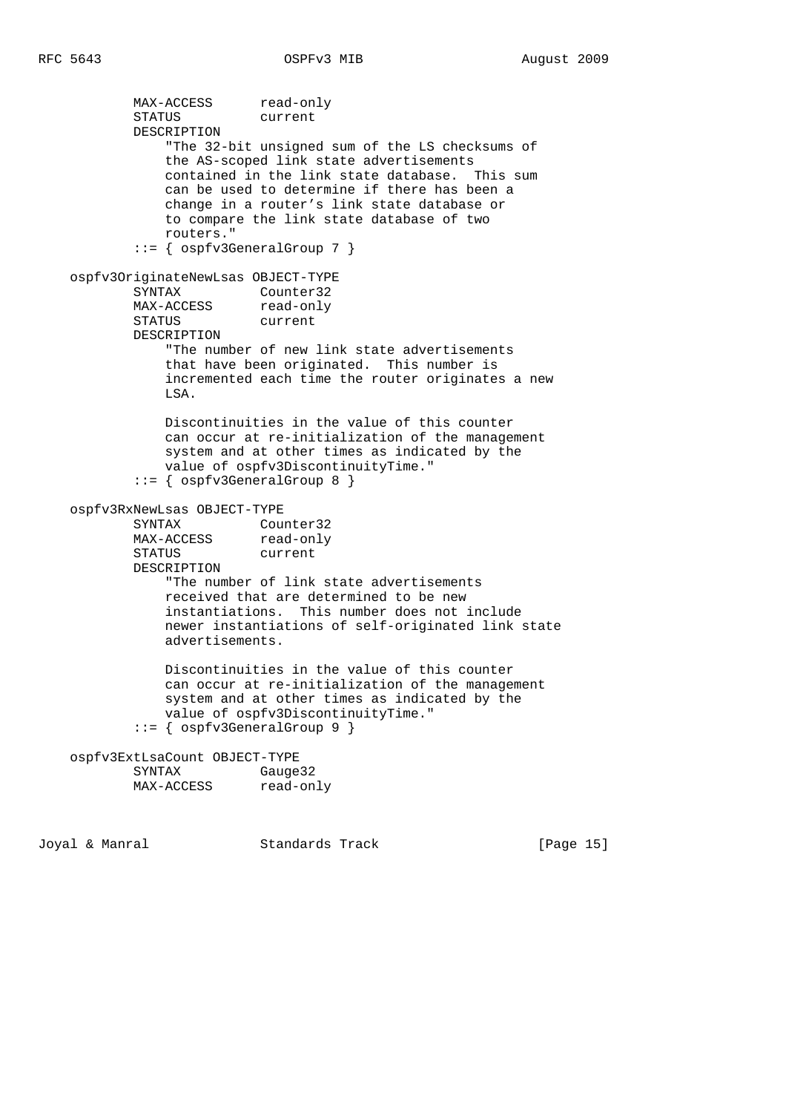```
MAX-ACCESS read-only
            STATUS current
            DESCRIPTION
                "The 32-bit unsigned sum of the LS checksums of
                the AS-scoped link state advertisements
                contained in the link state database. This sum
                can be used to determine if there has been a
                change in a router's link state database or
                to compare the link state database of two
                routers."
            ::= { ospfv3GeneralGroup 7 }
    ospfv3OriginateNewLsas OBJECT-TYPE
            SYNTAX Counter32
           MAX-ACCESS read-only<br>STATUS current
           STATUS
            DESCRIPTION
                "The number of new link state advertisements
                that have been originated. This number is
                incremented each time the router originates a new
                LSA.
                Discontinuities in the value of this counter
                can occur at re-initialization of the management
                system and at other times as indicated by the
                value of ospfv3DiscontinuityTime."
            ::= { ospfv3GeneralGroup 8 }
    ospfv3RxNewLsas OBJECT-TYPE
SYNTAX Counter32
MAX-ACCESS read-only
            STATUS current
            DESCRIPTION
                "The number of link state advertisements
                received that are determined to be new
                instantiations. This number does not include
                newer instantiations of self-originated link state
                advertisements.
                Discontinuities in the value of this counter
                can occur at re-initialization of the management
                system and at other times as indicated by the
                value of ospfv3DiscontinuityTime."
            ::= { ospfv3GeneralGroup 9 }
    ospfv3ExtLsaCount OBJECT-TYPE
           SYNTAX Gauge32<br>MAX-ACCESS read-only
           MAX-ACCESS
```
Joyal & Manral Standards Track [Page 15]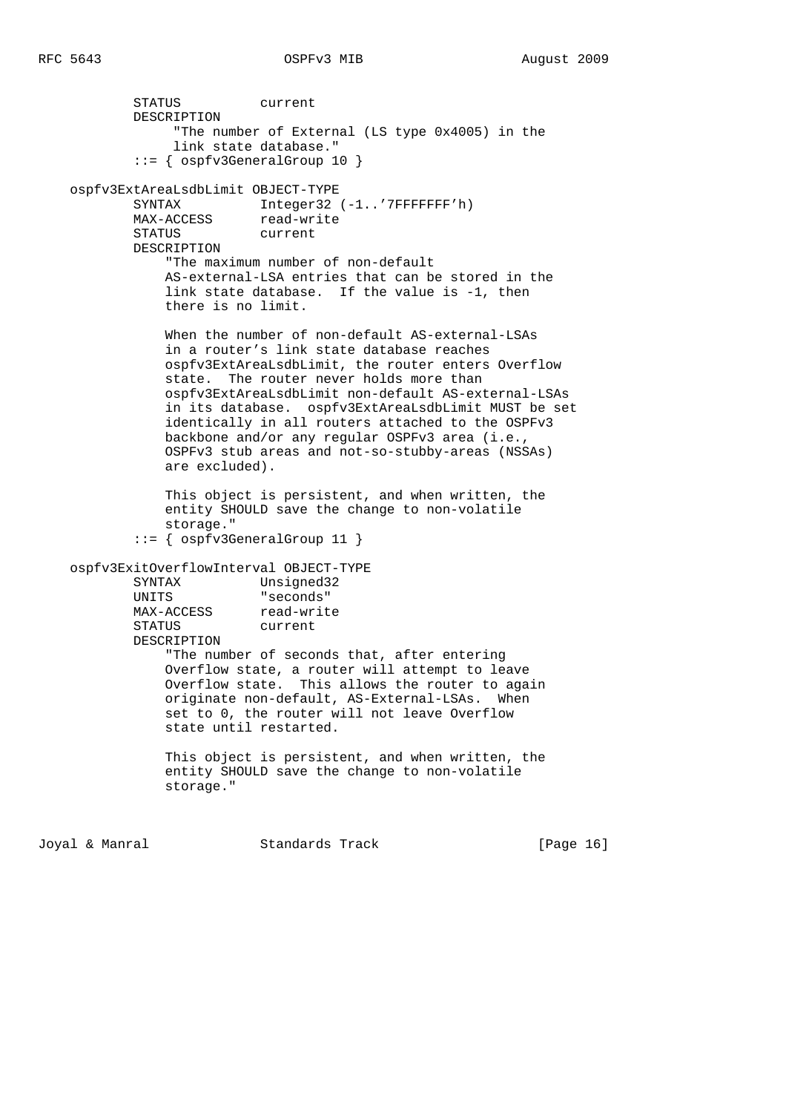```
 STATUS current
        DESCRIPTION
             "The number of External (LS type 0x4005) in the
             link state database."
         ::= { ospfv3GeneralGroup 10 }
 ospfv3ExtAreaLsdbLimit OBJECT-TYPE
       SYNTAX Integer32 (-1..'7FFFFFFF'h)
       MAX-ACCESS read-write
       STATUS current
        DESCRIPTION
            "The maximum number of non-default
            AS-external-LSA entries that can be stored in the
            link state database. If the value is -1, then
            there is no limit.
            When the number of non-default AS-external-LSAs
            in a router's link state database reaches
            ospfv3ExtAreaLsdbLimit, the router enters Overflow
            state. The router never holds more than
            ospfv3ExtAreaLsdbLimit non-default AS-external-LSAs
            in its database. ospfv3ExtAreaLsdbLimit MUST be set
            identically in all routers attached to the OSPFv3
            backbone and/or any regular OSPFv3 area (i.e.,
            OSPFv3 stub areas and not-so-stubby-areas (NSSAs)
            are excluded).
            This object is persistent, and when written, the
            entity SHOULD save the change to non-volatile
           storage."
         ::= { ospfv3GeneralGroup 11 }
 ospfv3ExitOverflowInterval OBJECT-TYPE
        SYNTAX Unsigned32
        UNITS "seconds"
       MAX-ACCESS read-write
        STATUS current
        DESCRIPTION
            "The number of seconds that, after entering
            Overflow state, a router will attempt to leave
            Overflow state. This allows the router to again
            originate non-default, AS-External-LSAs. When
            set to 0, the router will not leave Overflow
            state until restarted.
```
 This object is persistent, and when written, the entity SHOULD save the change to non-volatile storage."

Joyal & Manral Standards Track [Page 16]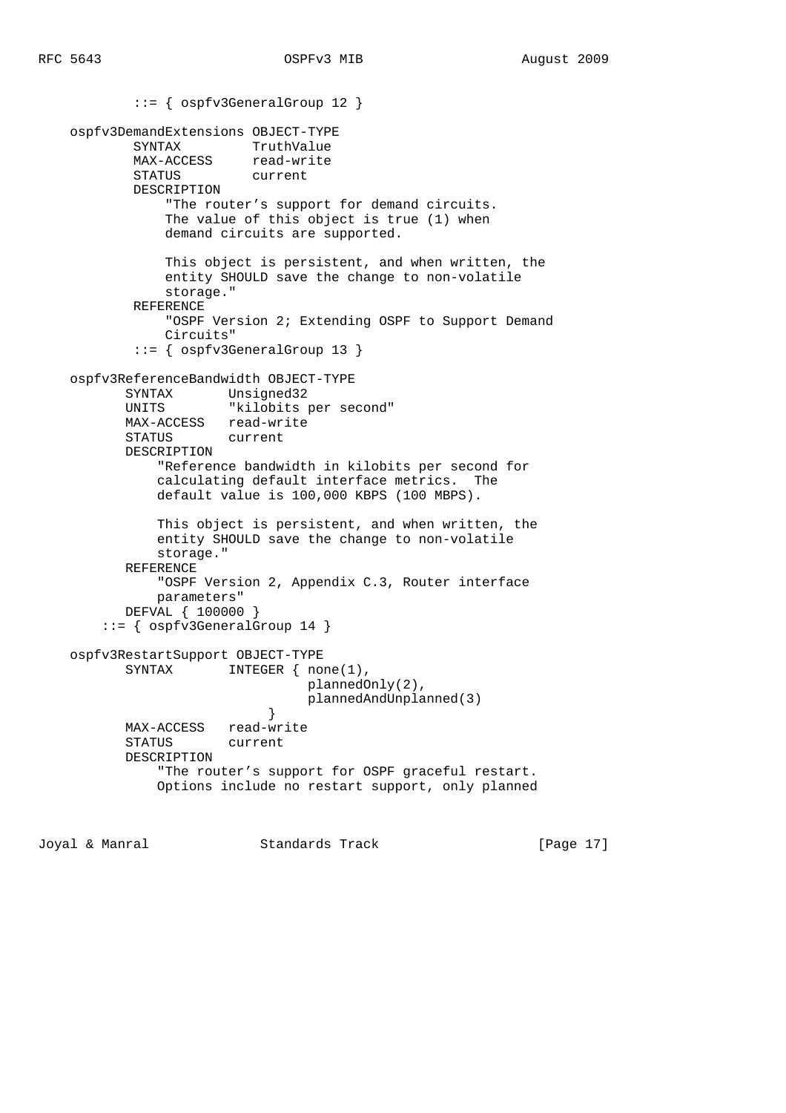```
 ::= { ospfv3GeneralGroup 12 }
    ospfv3DemandExtensions OBJECT-TYPE
 SYNTAX TruthValue
MAX-ACCESS read-write
 STATUS current
            DESCRIPTION
                "The router's support for demand circuits.
                The value of this object is true (1) when
                demand circuits are supported.
                This object is persistent, and when written, the
                entity SHOULD save the change to non-volatile
                storage."
            REFERENCE
                "OSPF Version 2; Extending OSPF to Support Demand
                Circuits"
            ::= { ospfv3GeneralGroup 13 }
    ospfv3ReferenceBandwidth OBJECT-TYPE
           SYNTAX Unsigned32
           UNITS "kilobits per second"
           MAX-ACCESS read-write
           STATUS current
           DESCRIPTION
               "Reference bandwidth in kilobits per second for
               calculating default interface metrics. The
               default value is 100,000 KBPS (100 MBPS).
               This object is persistent, and when written, the
               entity SHOULD save the change to non-volatile
               storage."
           REFERENCE
               "OSPF Version 2, Appendix C.3, Router interface
               parameters"
           DEFVAL { 100000 }
        ::= { ospfv3GeneralGroup 14 }
    ospfv3RestartSupport OBJECT-TYPE
          SYNTAX INTEGER { none(1),
                                 plannedOnly(2),
                                 plannedAndUnplanned(3)
 }
          MAX-ACCESS read-write<br>STATUS current
                      current
           DESCRIPTION
               "The router's support for OSPF graceful restart.
               Options include no restart support, only planned
```
Joyal & Manral Standards Track [Page 17]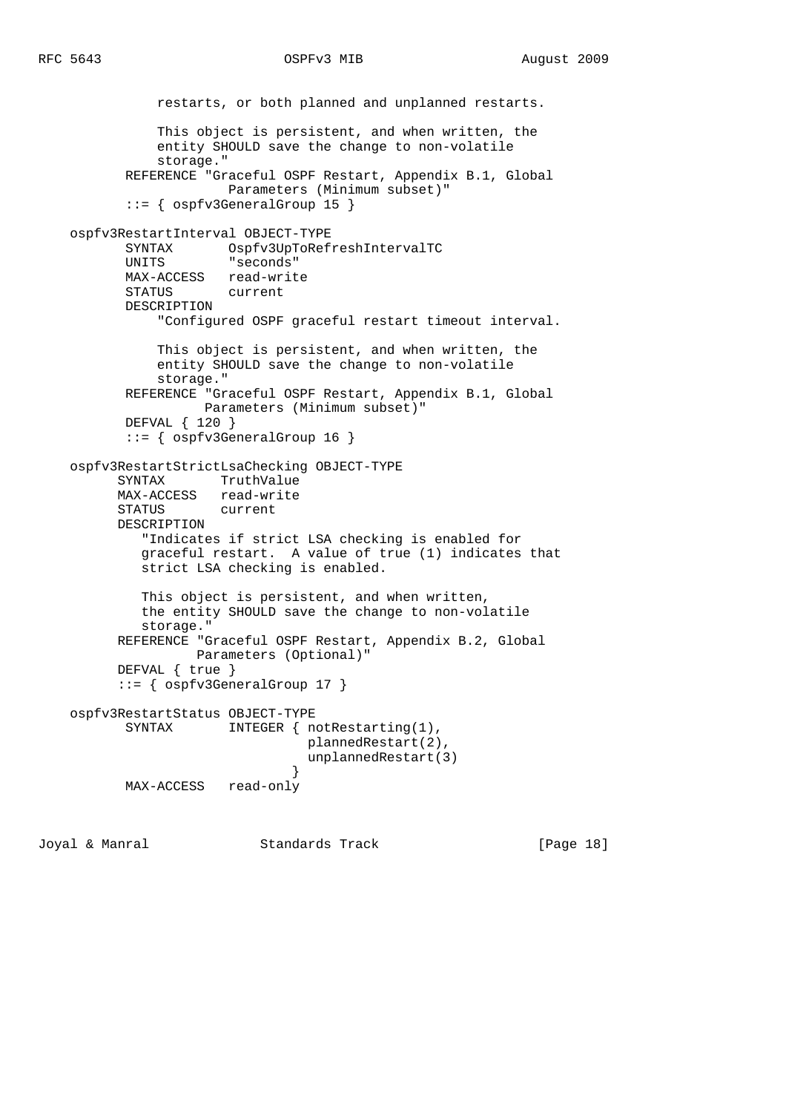```
 restarts, or both planned and unplanned restarts.
               This object is persistent, and when written, the
               entity SHOULD save the change to non-volatile
               storage."
           REFERENCE "Graceful OSPF Restart, Appendix B.1, Global
                      Parameters (Minimum subset)"
           ::= { ospfv3GeneralGroup 15 }
    ospfv3RestartInterval OBJECT-TYPE
           SYNTAX Ospfv3UpToRefreshIntervalTC
           UNITS "seconds"
           MAX-ACCESS read-write
           STATUS current
           DESCRIPTION
               "Configured OSPF graceful restart timeout interval.
               This object is persistent, and when written, the
               entity SHOULD save the change to non-volatile
               storage."
           REFERENCE "Graceful OSPF Restart, Appendix B.1, Global
                     Parameters (Minimum subset)"
           DEFVAL { 120 }
           ::= { ospfv3GeneralGroup 16 }
    ospfv3RestartStrictLsaChecking OBJECT-TYPE
          SYNTAX TruthValue
          MAX-ACCESS read-write
          STATUS current
          DESCRIPTION
             "Indicates if strict LSA checking is enabled for
             graceful restart. A value of true (1) indicates that
             strict LSA checking is enabled.
             This object is persistent, and when written,
             the entity SHOULD save the change to non-volatile
             storage."
          REFERENCE "Graceful OSPF Restart, Appendix B.2, Global
                   Parameters (Optional)"
          DEFVAL { true }
          ::= { ospfv3GeneralGroup 17 }
    ospfv3RestartStatus OBJECT-TYPE
          SYNTAX INTEGER { notRestarting(1),
                                 plannedRestart(2),
                                  unplannedRestart(3)
 }
           MAX-ACCESS read-only
```
Joyal & Manral Standards Track [Page 18]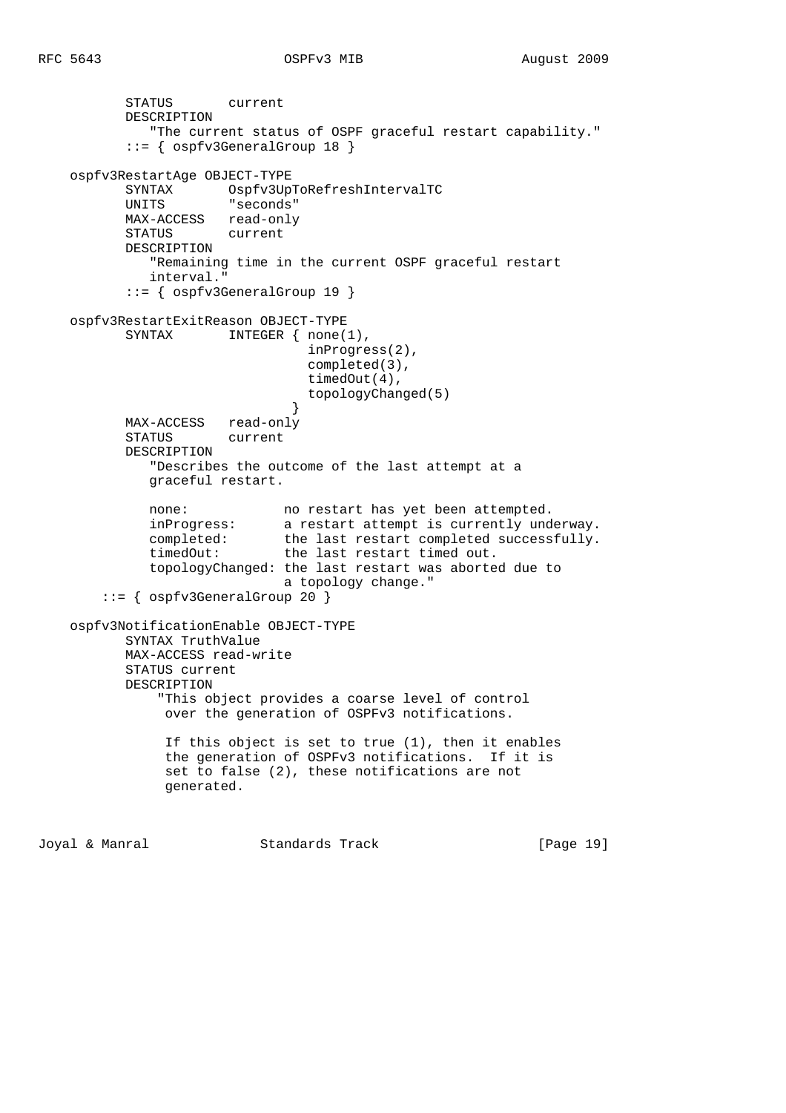```
 STATUS current
            DESCRIPTION
                "The current status of OSPF graceful restart capability."
            ::= { ospfv3GeneralGroup 18 }
     ospfv3RestartAge OBJECT-TYPE
            SYNTAX Ospfv3UpToRefreshIntervalTC
            UNITS "seconds"
            MAX-ACCESS read-only
            STATUS current
            DESCRIPTION
                "Remaining time in the current OSPF graceful restart
               interval."
            ::= { ospfv3GeneralGroup 19 }
     ospfv3RestartExitReason OBJECT-TYPE
           SYNTAX INTEGER { none(1),
                                     inProgress(2),
                                     completed(3),
                                     timedOut(4),
                                     topologyChanged(5)
 }
            MAX-ACCESS read-only
            STATUS current
            DESCRIPTION
                "Describes the outcome of the last attempt at a
               graceful restart.
              none: no restart has yet been attempted.<br>inProgress: a restart attempt is currently und
              inProgress: a restart attempt is currently underway.<br>
completed: the last restart completed successfully.<br>
timedOut: the last restart timed out.
                               the last restart completed successfully.
                                the last restart timed out.
               topologyChanged: the last restart was aborted due to
                                  a topology change."
         ::= { ospfv3GeneralGroup 20 }
     ospfv3NotificationEnable OBJECT-TYPE
            SYNTAX TruthValue
            MAX-ACCESS read-write
            STATUS current
            DESCRIPTION
                 "This object provides a coarse level of control
                  over the generation of OSPFv3 notifications.
                  If this object is set to true (1), then it enables
                  the generation of OSPFv3 notifications. If it is
                  set to false (2), these notifications are not
                  generated.
```
Joyal & Manral Standards Track [Page 19]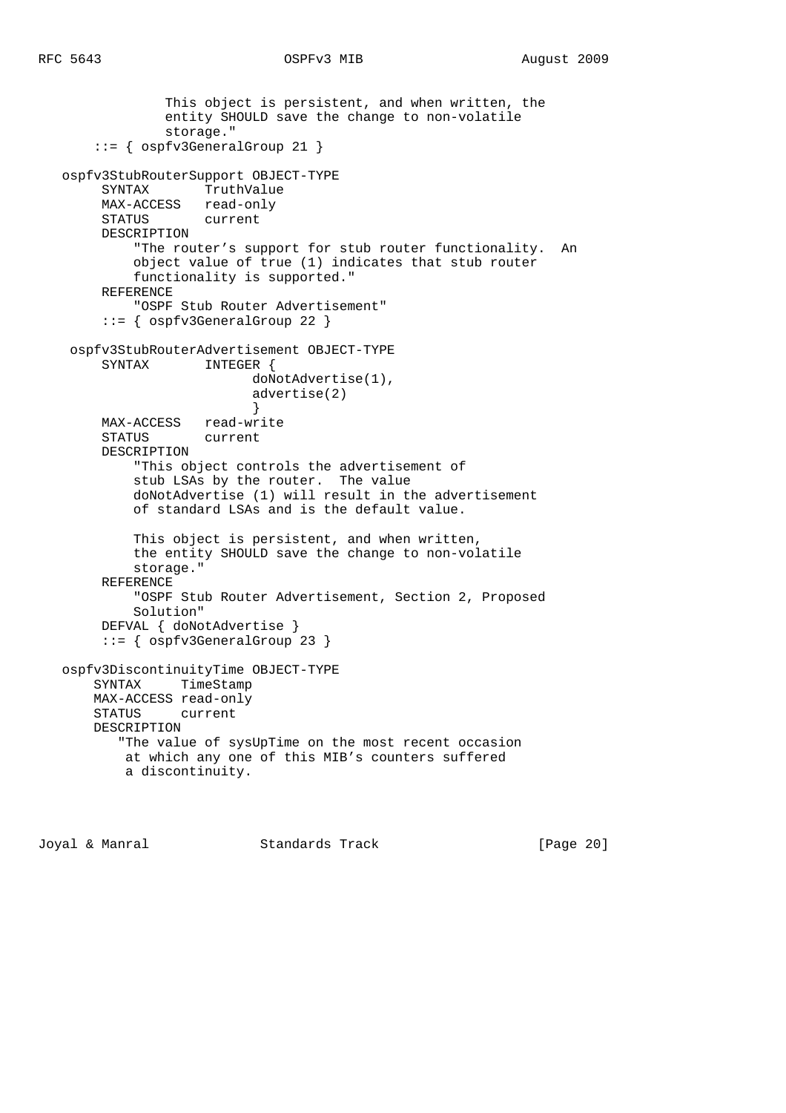```
 This object is persistent, and when written, the
                entity SHOULD save the change to non-volatile
                storage."
       ::= { ospfv3GeneralGroup 21 }
   ospfv3StubRouterSupport OBJECT-TYPE
        SYNTAX TruthValue
        MAX-ACCESS read-only
        STATUS current
        DESCRIPTION
            "The router's support for stub router functionality. An
            object value of true (1) indicates that stub router
            functionality is supported."
        REFERENCE
            "OSPF Stub Router Advertisement"
        ::= { ospfv3GeneralGroup 22 }
    ospfv3StubRouterAdvertisement OBJECT-TYPE
       SYNTAX INTEGER {
                          doNotAdvertise(1),
                           advertise(2)
 }
        MAX-ACCESS read-write
        STATUS current
        DESCRIPTION
            "This object controls the advertisement of
            stub LSAs by the router. The value
            doNotAdvertise (1) will result in the advertisement
            of standard LSAs and is the default value.
            This object is persistent, and when written,
            the entity SHOULD save the change to non-volatile
            storage."
        REFERENCE
            "OSPF Stub Router Advertisement, Section 2, Proposed
            Solution"
        DEFVAL { doNotAdvertise }
        ::= { ospfv3GeneralGroup 23 }
   ospfv3DiscontinuityTime OBJECT-TYPE
       SYNTAX TimeStamp
       MAX-ACCESS read-only
       STATUS current
       DESCRIPTION
          "The value of sysUpTime on the most recent occasion
           at which any one of this MIB's counters suffered
           a discontinuity.
```
Joyal & Manral Standards Track [Page 20]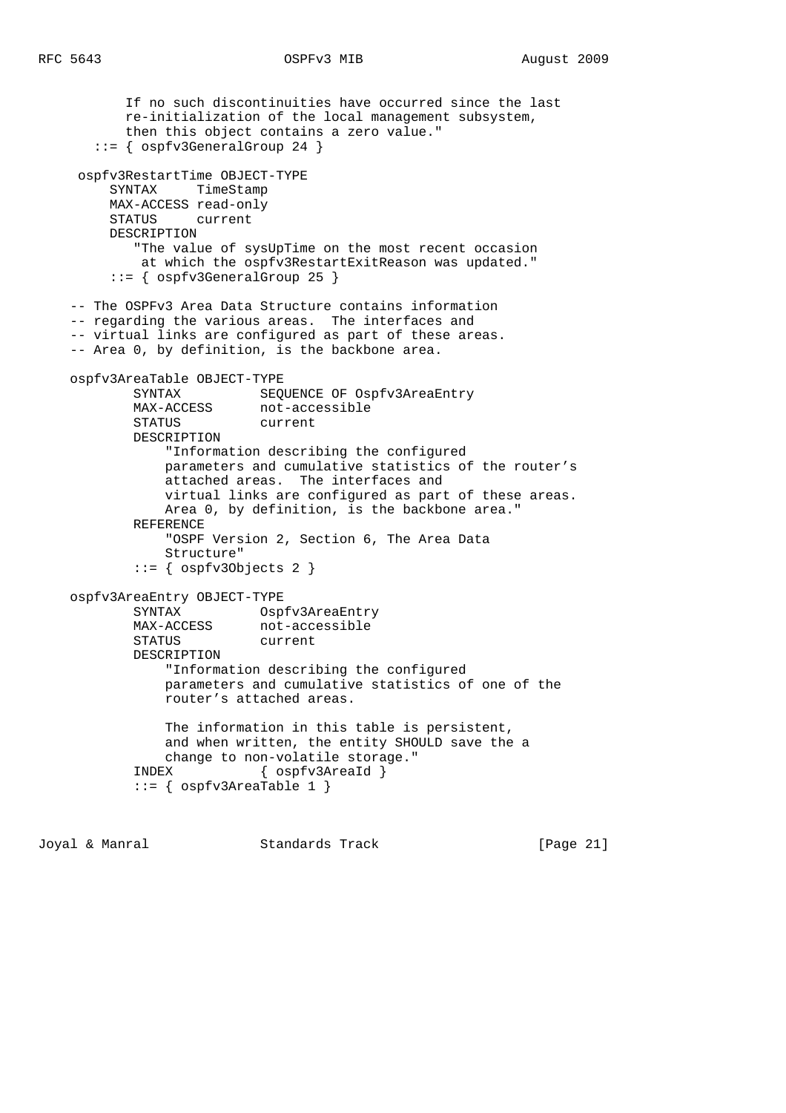If no such discontinuities have occurred since the last re-initialization of the local management subsystem, then this object contains a zero value." ::= { ospfv3GeneralGroup 24 } ospfv3RestartTime OBJECT-TYPE SYNTAX TimeStamp MAX-ACCESS read-only STATUS current DESCRIPTION "The value of sysUpTime on the most recent occasion at which the ospfv3RestartExitReason was updated." ::= { ospfv3GeneralGroup 25 } -- The OSPFv3 Area Data Structure contains information -- regarding the various areas. The interfaces and -- virtual links are configured as part of these areas. -- Area 0, by definition, is the backbone area. ospfv3AreaTable OBJECT-TYPE SYNTAX SEQUENCE OF Ospfv3AreaEntry MAX-ACCESS not-accessible STATUS current DESCRIPTION "Information describing the configured parameters and cumulative statistics of the router's attached areas. The interfaces and virtual links are configured as part of these areas. Area 0, by definition, is the backbone area." REFERENCE "OSPF Version 2, Section 6, The Area Data Structure" ::= { ospfv3Objects 2 } ospfv3AreaEntry OBJECT-TYPE SYNTAX Ospfv3AreaEntry MAX-ACCESS not-accessible<br>STATUS current STATUS DESCRIPTION "Information describing the configured parameters and cumulative statistics of one of the router's attached areas. The information in this table is persistent, and when written, the entity SHOULD save the a change to non-volatile storage." INDEX { ospfv3AreaId } ::= { ospfv3AreaTable 1 }

Joyal & Manral Standards Track [Page 21]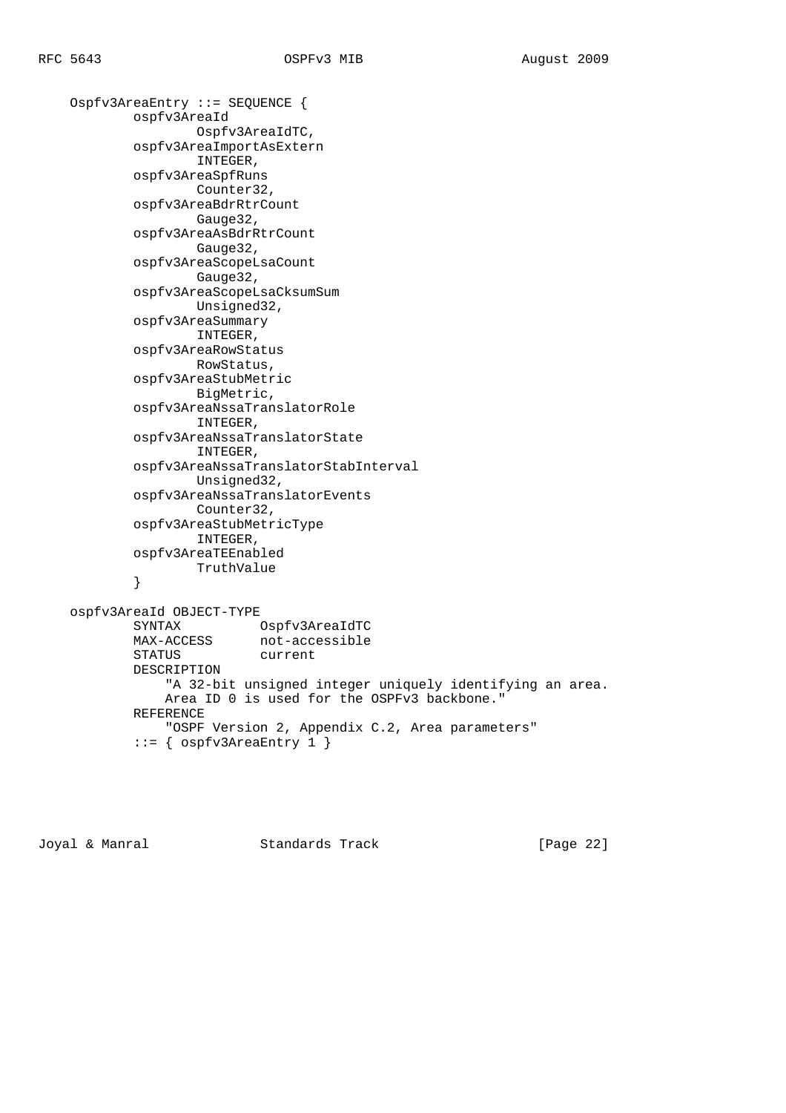```
 Ospfv3AreaEntry ::= SEQUENCE {
            ospfv3AreaId
                   Ospfv3AreaIdTC,
            ospfv3AreaImportAsExtern
                   INTEGER,
            ospfv3AreaSpfRuns
                   Counter32,
            ospfv3AreaBdrRtrCount
                   Gauge32,
            ospfv3AreaAsBdrRtrCount
                   Gauge32,
            ospfv3AreaScopeLsaCount
                   Gauge32,
            ospfv3AreaScopeLsaCksumSum
                    Unsigned32,
            ospfv3AreaSummary
                    INTEGER,
            ospfv3AreaRowStatus
                   RowStatus,
            ospfv3AreaStubMetric
                    BigMetric,
            ospfv3AreaNssaTranslatorRole
                    INTEGER,
            ospfv3AreaNssaTranslatorState
                    INTEGER,
            ospfv3AreaNssaTranslatorStabInterval
                    Unsigned32,
            ospfv3AreaNssaTranslatorEvents
                   Counter32,
            ospfv3AreaStubMetricType
                   INTEGER,
            ospfv3AreaTEEnabled
                   TruthValue
 }
    ospfv3AreaId OBJECT-TYPE
 SYNTAX Ospfv3AreaIdTC
MAX-ACCESS not-accessible
 STATUS current
            DESCRIPTION
                "A 32-bit unsigned integer uniquely identifying an area.
                Area ID 0 is used for the OSPFv3 backbone."
            REFERENCE
                "OSPF Version 2, Appendix C.2, Area parameters"
            ::= { ospfv3AreaEntry 1 }
```
Joyal & Manral Standards Track [Page 22]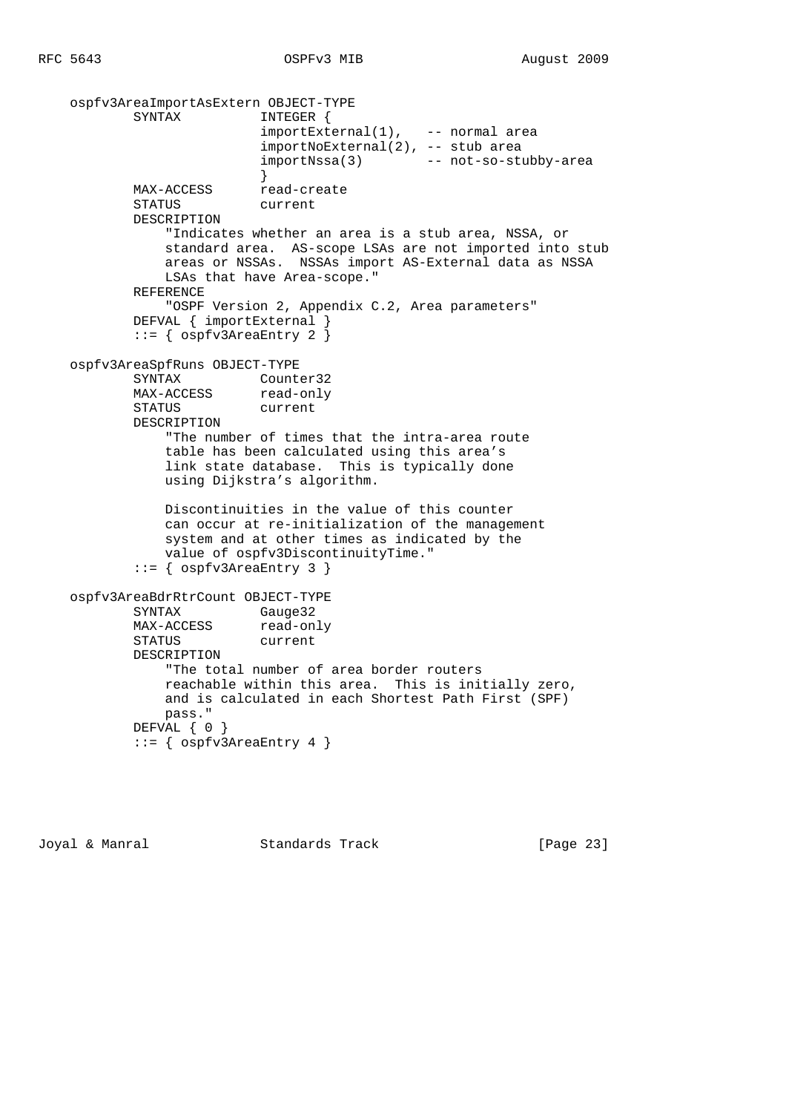```
 ospfv3AreaImportAsExtern OBJECT-TYPE
          SYNTAX INTEGER {
importExternal(1), -- normal area
 importNoExternal(2), -- stub area
                         importNssa(3) -- not-so-stubby-area
 }
MAX-ACCESS read-create
           STATUS current
           DESCRIPTION
               "Indicates whether an area is a stub area, NSSA, or
              standard area. AS-scope LSAs are not imported into stub
              areas or NSSAs. NSSAs import AS-External data as NSSA
              LSAs that have Area-scope."
           REFERENCE
               "OSPF Version 2, Appendix C.2, Area parameters"
           DEFVAL { importExternal }
           ::= { ospfv3AreaEntry 2 }
    ospfv3AreaSpfRuns OBJECT-TYPE
SYNTAX Counter32
MAX-ACCESS read-only
           STATUS current
           DESCRIPTION
               "The number of times that the intra-area route
              table has been calculated using this area's
              link state database. This is typically done
              using Dijkstra's algorithm.
              Discontinuities in the value of this counter
              can occur at re-initialization of the management
              system and at other times as indicated by the
              value of ospfv3DiscontinuityTime."
           ::= { ospfv3AreaEntry 3 }
    ospfv3AreaBdrRtrCount OBJECT-TYPE
SYNTAX Gauge32
MAX-ACCESS read-only
           STATUS current
           DESCRIPTION
               "The total number of area border routers
              reachable within this area. This is initially zero,
              and is calculated in each Shortest Path First (SPF)
              pass."
          DEFVAL { 0 }
           ::= { ospfv3AreaEntry 4 }
```
Joyal & Manral **Standards Track** [Page 23]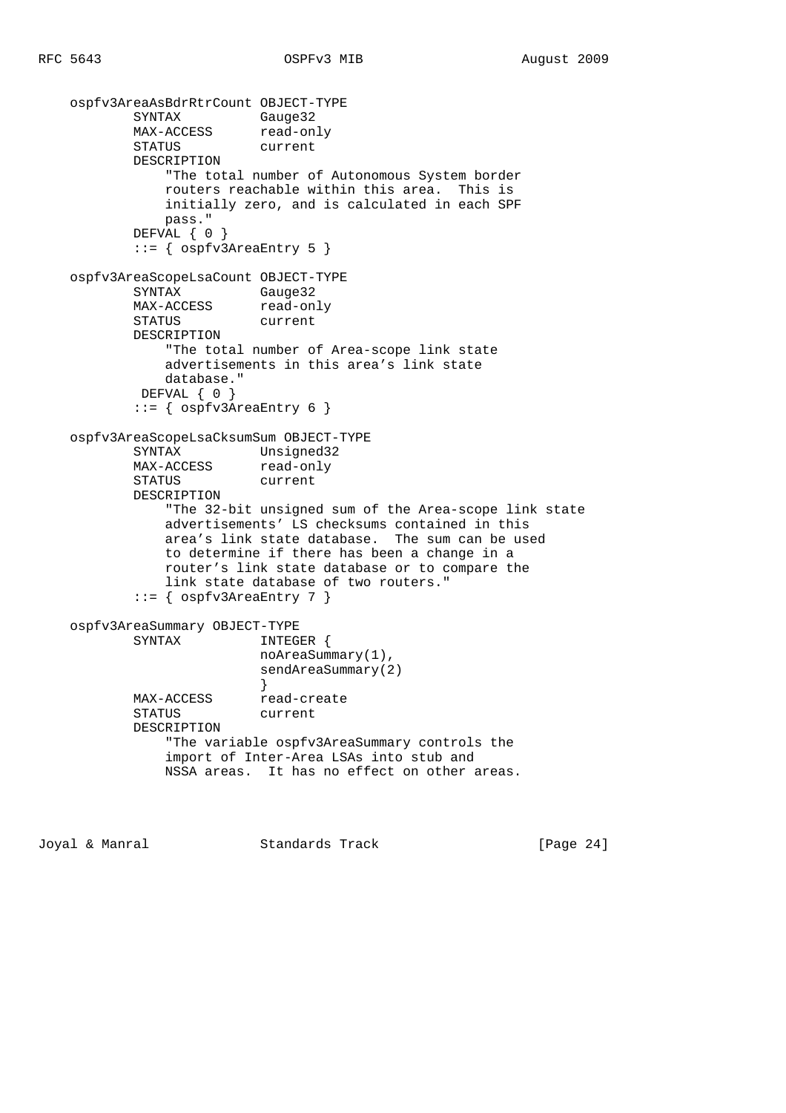```
ospfv3AreaAsBdrRtrCount OBJECT-TYPE<br>SYNTAX Gauge32<br>MAX-ACCESS read-only
SYNTAX Gauge32
MAX-ACCESS read-only
 STATUS current
            DESCRIPTION
                "The total number of Autonomous System border
               routers reachable within this area. This is
               initially zero, and is calculated in each SPF
               pass."
            DEFVAL { 0 }
            ::= { ospfv3AreaEntry 5 }
    ospfv3AreaScopeLsaCount OBJECT-TYPE
            SYNTAX Gauge32
          MAX-ACCESS read-only<br>STATUS current
           STATUS
            DESCRIPTION
                "The total number of Area-scope link state
               advertisements in this area's link state
               database."
           DEFVAL { 0 }
            ::= { ospfv3AreaEntry 6 }
    ospfv3AreaScopeLsaCksumSum OBJECT-TYPE
 SYNTAX Unsigned32
MAX-ACCESS read-only
           STATUS current
           DESCRIPTION
                "The 32-bit unsigned sum of the Area-scope link state
               advertisements' LS checksums contained in this
               area's link state database. The sum can be used
               to determine if there has been a change in a
               router's link state database or to compare the
               link state database of two routers."
            ::= { ospfv3AreaEntry 7 }
    ospfv3AreaSummary OBJECT-TYPE
           SYNTAX INTEGER {
                          noAreaSummary(1),
                          sendAreaSummary(2)
 }
MAX-ACCESS read-create
            STATUS current
            DESCRIPTION
                "The variable ospfv3AreaSummary controls the
               import of Inter-Area LSAs into stub and
               NSSA areas. It has no effect on other areas.
```
Joyal & Manral Standards Track [Page 24]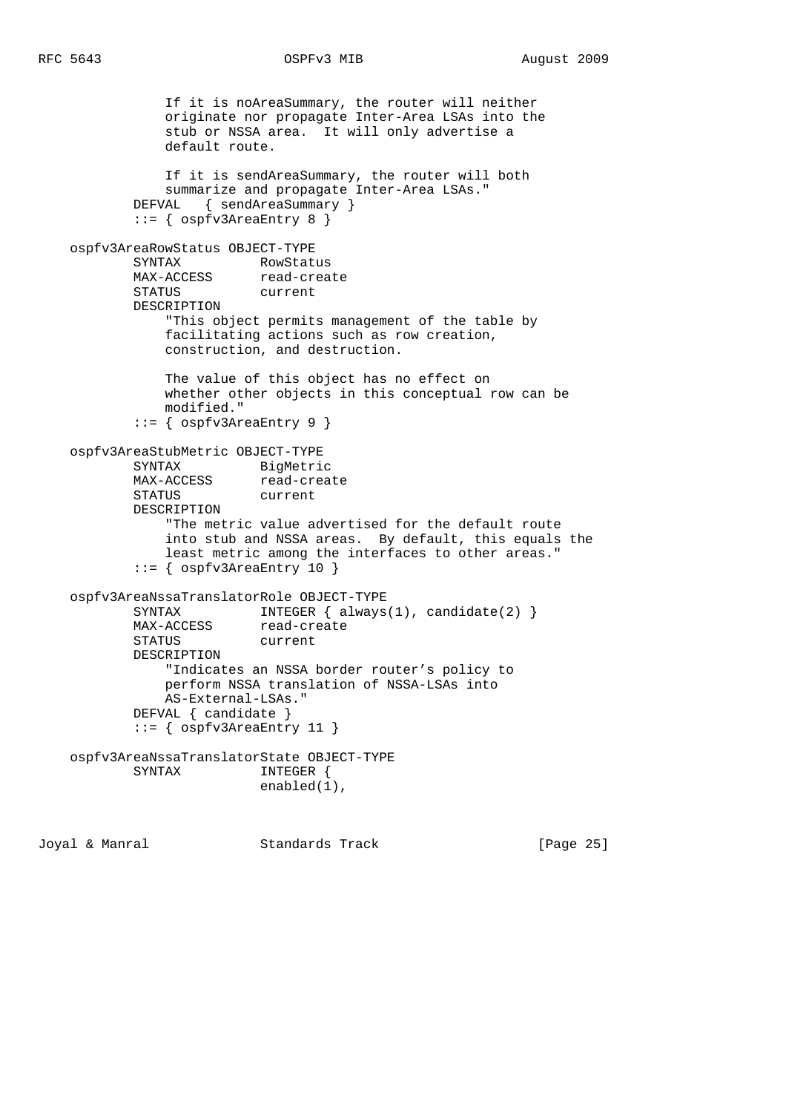```
 If it is noAreaSummary, the router will neither
               originate nor propagate Inter-Area LSAs into the
               stub or NSSA area. It will only advertise a
               default route.
               If it is sendAreaSummary, the router will both
               summarize and propagate Inter-Area LSAs."
            DEFVAL { sendAreaSummary }
            ::= { ospfv3AreaEntry 8 }
    ospfv3AreaRowStatus OBJECT-TYPE
SYNTAX RowStatus
MAX-ACCESS read-create
 STATUS current
           DESCRIPTION
               "This object permits management of the table by
               facilitating actions such as row creation,
               construction, and destruction.
               The value of this object has no effect on
               whether other objects in this conceptual row can be
               modified."
            ::= { ospfv3AreaEntry 9 }
    ospfv3AreaStubMetric OBJECT-TYPE
 SYNTAX BigMetric
MAX-ACCESS read-create
           STATUS current
            DESCRIPTION
                "The metric value advertised for the default route
               into stub and NSSA areas. By default, this equals the
               least metric among the interfaces to other areas."
            ::= { ospfv3AreaEntry 10 }
    ospfv3AreaNssaTranslatorRole OBJECT-TYPE
           SYNTAX INTEGER { always(1), candidate(2) }
          MAX-ACCESS read-create
           STATUS current
            DESCRIPTION
                "Indicates an NSSA border router's policy to
               perform NSSA translation of NSSA-LSAs into
               AS-External-LSAs."
            DEFVAL { candidate }
            ::= { ospfv3AreaEntry 11 }
    ospfv3AreaNssaTranslatorState OBJECT-TYPE
          SYNTAX
                           enabled(1),
```
Joyal & Manral Standards Track [Page 25]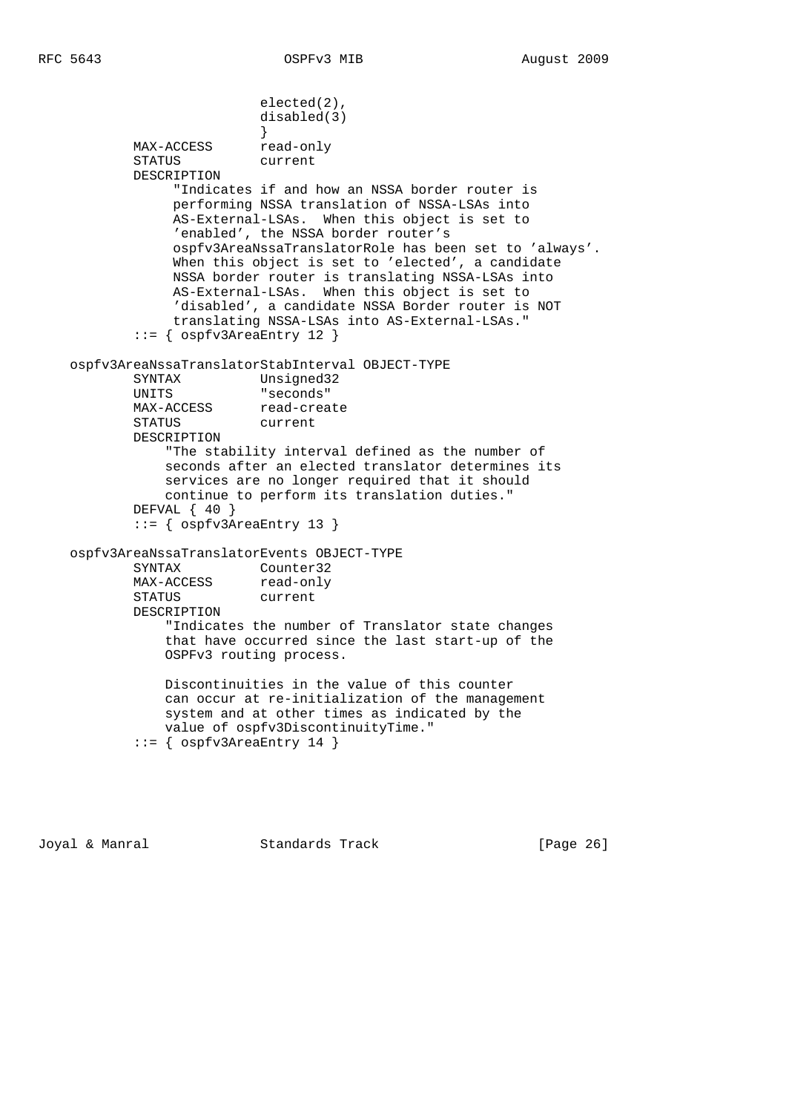```
 elected(2),
                           disabled(3)
 }
           MAX-ACCESS read-only
            STATUS current
            DESCRIPTION
                 "Indicates if and how an NSSA border router is
                 performing NSSA translation of NSSA-LSAs into
                AS-External-LSAs. When this object is set to
                 'enabled', the NSSA border router's
                 ospfv3AreaNssaTranslatorRole has been set to 'always'.
                When this object is set to 'elected', a candidate
                 NSSA border router is translating NSSA-LSAs into
                 AS-External-LSAs. When this object is set to
                 'disabled', a candidate NSSA Border router is NOT
                 translating NSSA-LSAs into AS-External-LSAs."
            ::= { ospfv3AreaEntry 12 }
    ospfv3AreaNssaTranslatorStabInterval OBJECT-TYPE
            SYNTAX Unsigned32
            UNITS "seconds"
           MAX-ACCESS read-create
            STATUS current
            DESCRIPTION
                "The stability interval defined as the number of
                seconds after an elected translator determines its
                services are no longer required that it should
                continue to perform its translation duties."
            DEFVAL { 40 }
            ::= { ospfv3AreaEntry 13 }
    ospfv3AreaNssaTranslatorEvents OBJECT-TYPE
            SYNTAX Counter32
           MAX-ACCESS read-only
            STATUS current
            DESCRIPTION
                "Indicates the number of Translator state changes
                that have occurred since the last start-up of the
                OSPFv3 routing process.
                Discontinuities in the value of this counter
                can occur at re-initialization of the management
                system and at other times as indicated by the
                value of ospfv3DiscontinuityTime."
            ::= { ospfv3AreaEntry 14 }
```
Joyal & Manral Standards Track [Page 26]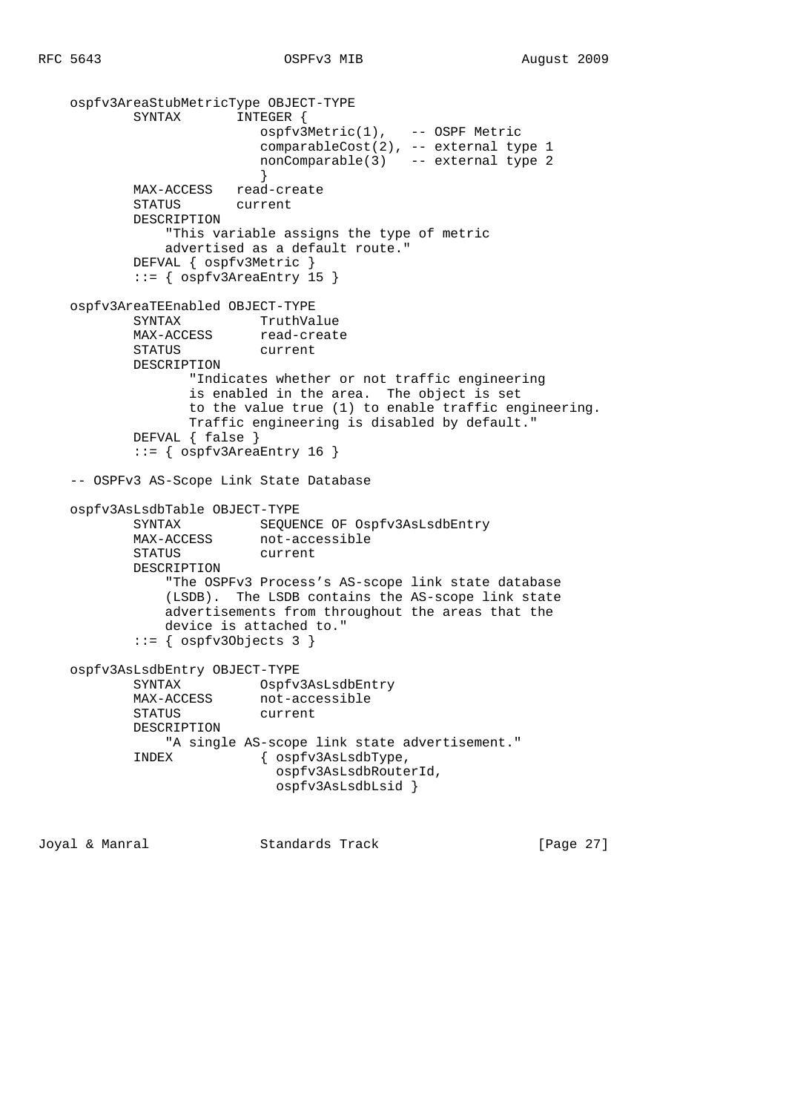```
ospfv3AreaStubMetricType OBJECT-TYPE<br>SYNTAX INTEGER {
           SYNTAX
                         ospfv3Metric(1), -- OSPF Metric
                          comparableCost(2), -- external type 1
                          nonComparable(3) -- external type 2
 }
           MAX-ACCESS read-create
            STATUS current
            DESCRIPTION
                "This variable assigns the type of metric
               advertised as a default route."
            DEFVAL { ospfv3Metric }
            ::= { ospfv3AreaEntry 15 }
    ospfv3AreaTEEnabled OBJECT-TYPE
            SYNTAX TruthValue
          SINIAA<br>MAX-ACCESS read-create<br>STATUS current
           STATUS
           DESCRIPTION
                  "Indicates whether or not traffic engineering
 is enabled in the area. The object is set
 to the value true (1) to enable traffic engineering.
                  Traffic engineering is disabled by default."
            DEFVAL { false }
            ::= { ospfv3AreaEntry 16 }
    -- OSPFv3 AS-Scope Link State Database
    ospfv3AsLsdbTable OBJECT-TYPE
 SYNTAX SEQUENCE OF Ospfv3AsLsdbEntry
MAX-ACCESS not-accessible
           STATUS current
            DESCRIPTION
                "The OSPFv3 Process's AS-scope link state database
               (LSDB). The LSDB contains the AS-scope link state
               advertisements from throughout the areas that the
               device is attached to."
```
 $::=$  { ospfv30bjects 3 }

```
 ospfv3AsLsdbEntry OBJECT-TYPE
        SYNTAX Ospfv3AsLsdbEntry
       MAX-ACCESS not-accessible
        STATUS current
        DESCRIPTION
           "A single AS-scope link state advertisement."
        INDEX { ospfv3AsLsdbType,
                        ospfv3AsLsdbRouterId,
                        ospfv3AsLsdbLsid }
```
Joyal & Manral Standards Track [Page 27]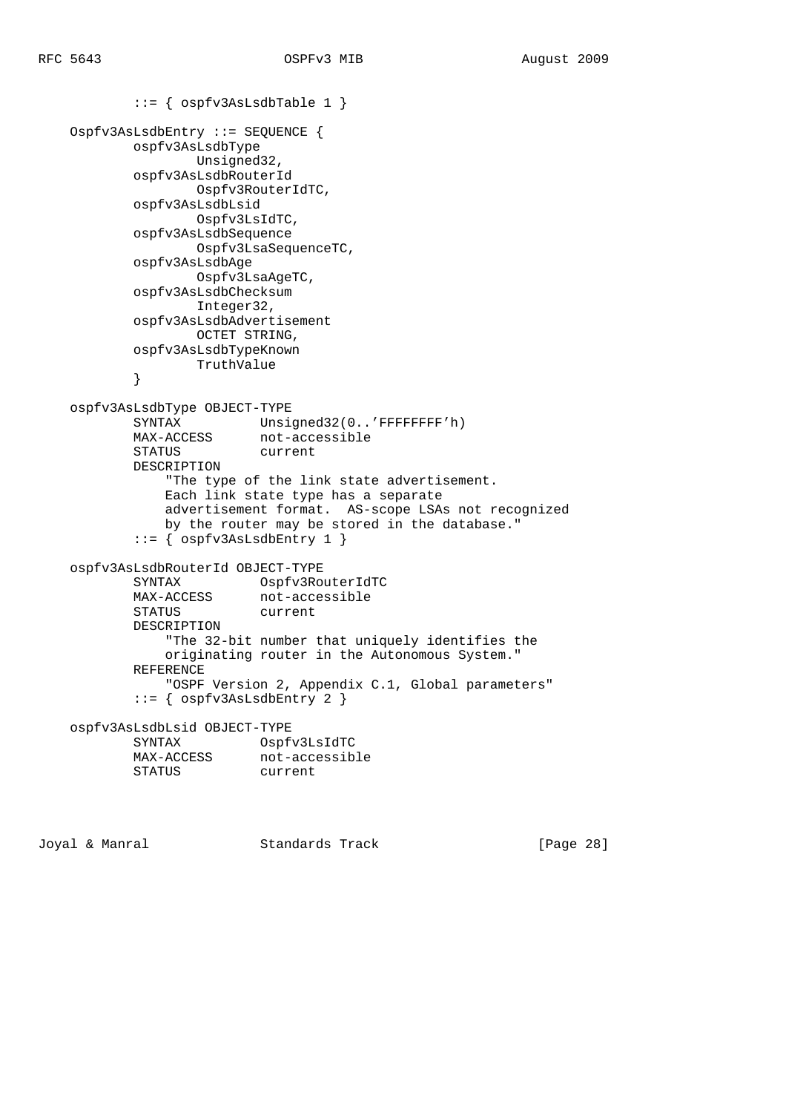```
 ::= { ospfv3AsLsdbTable 1 }
    Ospfv3AsLsdbEntry ::= SEQUENCE {
           ospfv3AsLsdbType
                 Unsigned32,
           ospfv3AsLsdbRouterId
                  Ospfv3RouterIdTC,
           ospfv3AsLsdbLsid
                 Ospfv3LsIdTC,
           ospfv3AsLsdbSequence
                  Ospfv3LsaSequenceTC,
           ospfv3AsLsdbAge
                  Ospfv3LsaAgeTC,
           ospfv3AsLsdbChecksum
                  Integer32,
           ospfv3AsLsdbAdvertisement
                  OCTET STRING,
           ospfv3AsLsdbTypeKnown
                  TruthValue
 }
    ospfv3AsLsdbType OBJECT-TYPE
 SYNTAX Unsigned32(0..'FFFFFFFF'h)
MAX-ACCESS not-accessible
           STATUS current
           DESCRIPTION
               "The type of the link state advertisement.
               Each link state type has a separate
               advertisement format. AS-scope LSAs not recognized
               by the router may be stored in the database."
          ::= { ospfv3AsLsdbEntry 1 }
    ospfv3AsLsdbRouterId OBJECT-TYPE
 SYNTAX Ospfv3RouterIdTC
MAX-ACCESS not-accessible
 STATUS current
           DESCRIPTION
               "The 32-bit number that uniquely identifies the
               originating router in the Autonomous System."
           REFERENCE
               "OSPF Version 2, Appendix C.1, Global parameters"
           ::= { ospfv3AsLsdbEntry 2 }
    ospfv3AsLsdbLsid OBJECT-TYPE
           SYNTAX Ospfv3LsIdTC
MAX-ACCESS not-accessible
 STATUS current
```
Joyal & Manral **Standards Track** [Page 28]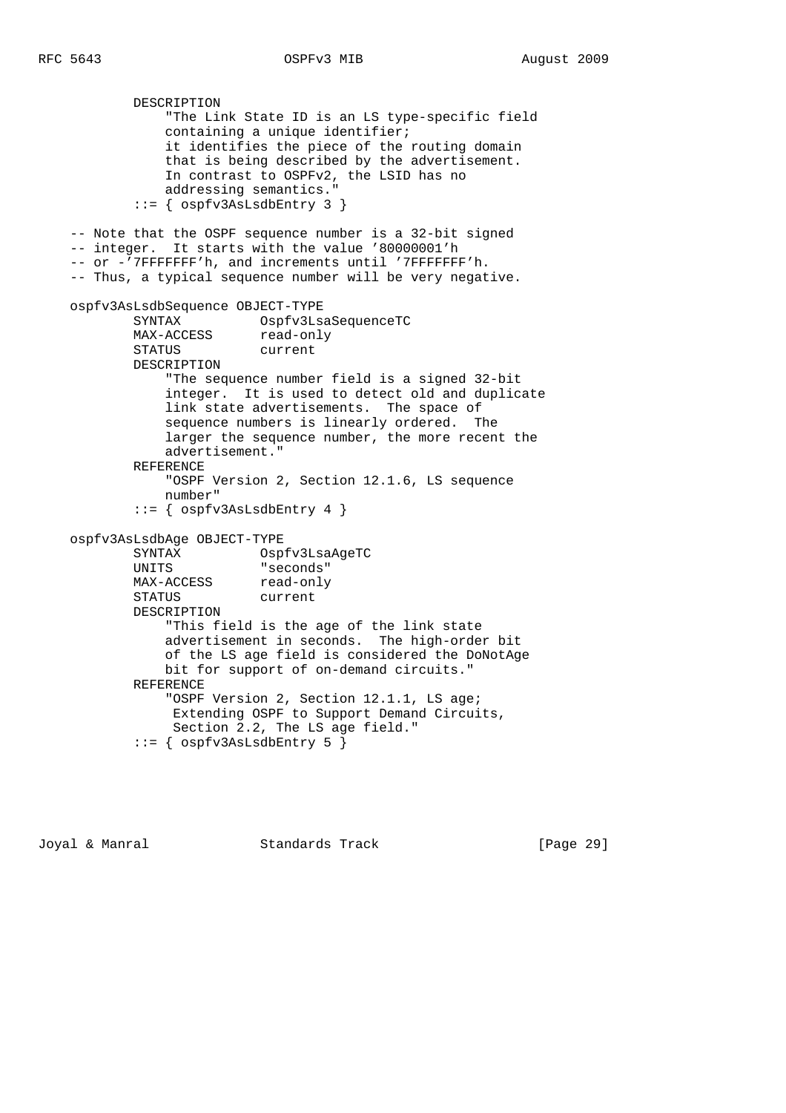DESCRIPTION "The Link State ID is an LS type-specific field containing a unique identifier; it identifies the piece of the routing domain that is being described by the advertisement. In contrast to OSPFv2, the LSID has no addressing semantics." ::= { ospfv3AsLsdbEntry 3 } -- Note that the OSPF sequence number is a 32-bit signed -- integer. It starts with the value '80000001'h -- or -'7FFFFFFF'h, and increments until '7FFFFFFF'h. -- Thus, a typical sequence number will be very negative. ospfv3AsLsdbSequence OBJECT-TYPE Ospfv3LsaSequenceTC MAX-ACCESS read-only<br>STATUS current STATUS DESCRIPTION "The sequence number field is a signed 32-bit integer. It is used to detect old and duplicate link state advertisements. The space of sequence numbers is linearly ordered. The larger the sequence number, the more recent the advertisement." REFERENCE "OSPF Version 2, Section 12.1.6, LS sequence number"  $::=$  {  $ospfv3AsLsdbEntry 4$  } ospfv3AsLsdbAge OBJECT-TYPE SYNTAX Ospfv3LsaAgeTC UNITS "seconds" MAX-ACCESS read-only STATUS current DESCRIPTION "This field is the age of the link state advertisement in seconds. The high-order bit of the LS age field is considered the DoNotAge bit for support of on-demand circuits." REFERENCE "OSPF Version 2, Section 12.1.1, LS age; Extending OSPF to Support Demand Circuits, Section 2.2, The LS age field."

```
 ::= { ospfv3AsLsdbEntry 5 }
```
Joyal & Manral Standards Track [Page 29]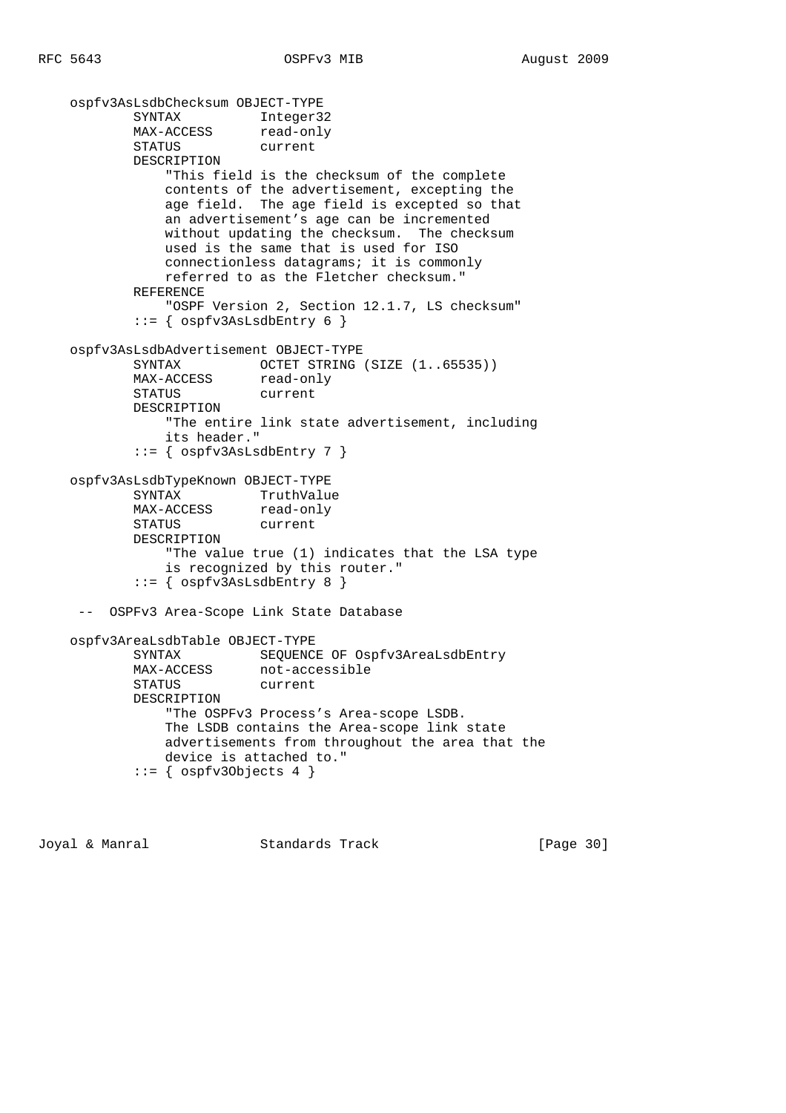```
 ospfv3AsLsdbChecksum OBJECT-TYPE
           SYNTAX Integer32<br>MAX-ACCESS read-only
MAX-ACCESS read-only
 STATUS current
            DESCRIPTION
                "This field is the checksum of the complete
               contents of the advertisement, excepting the
               age field. The age field is excepted so that
               an advertisement's age can be incremented
               without updating the checksum. The checksum
               used is the same that is used for ISO
               connectionless datagrams; it is commonly
               referred to as the Fletcher checksum."
            REFERENCE
                "OSPF Version 2, Section 12.1.7, LS checksum"
           ::= { ospfv3AsLsdbEntry 6 }
    ospfv3AsLsdbAdvertisement OBJECT-TYPE
           SYNTAX OCTET STRING (SIZE (1..65535))
           MAX-ACCESS read-only
            STATUS current
            DESCRIPTION
                "The entire link state advertisement, including
                its header."
            ::= { ospfv3AsLsdbEntry 7 }
    ospfv3AsLsdbTypeKnown OBJECT-TYPE
SYNTAX TruthValue
MAX-ACCESS read-only
            STATUS current
            DESCRIPTION
                "The value true (1) indicates that the LSA type
                is recognized by this router."
            ::= { ospfv3AsLsdbEntry 8 }
     -- OSPFv3 Area-Scope Link State Database
    ospfv3AreaLsdbTable OBJECT-TYPE
            SYNTAX SEQUENCE OF Ospfv3AreaLsdbEntry
            MAX-ACCESS not-accessible
            STATUS current
            DESCRIPTION
                "The OSPFv3 Process's Area-scope LSDB.
               The LSDB contains the Area-scope link state
               advertisements from throughout the area that the
               device is attached to."
           ::= { ospfv30bjects 4 }
```
Joyal & Manral Standards Track [Page 30]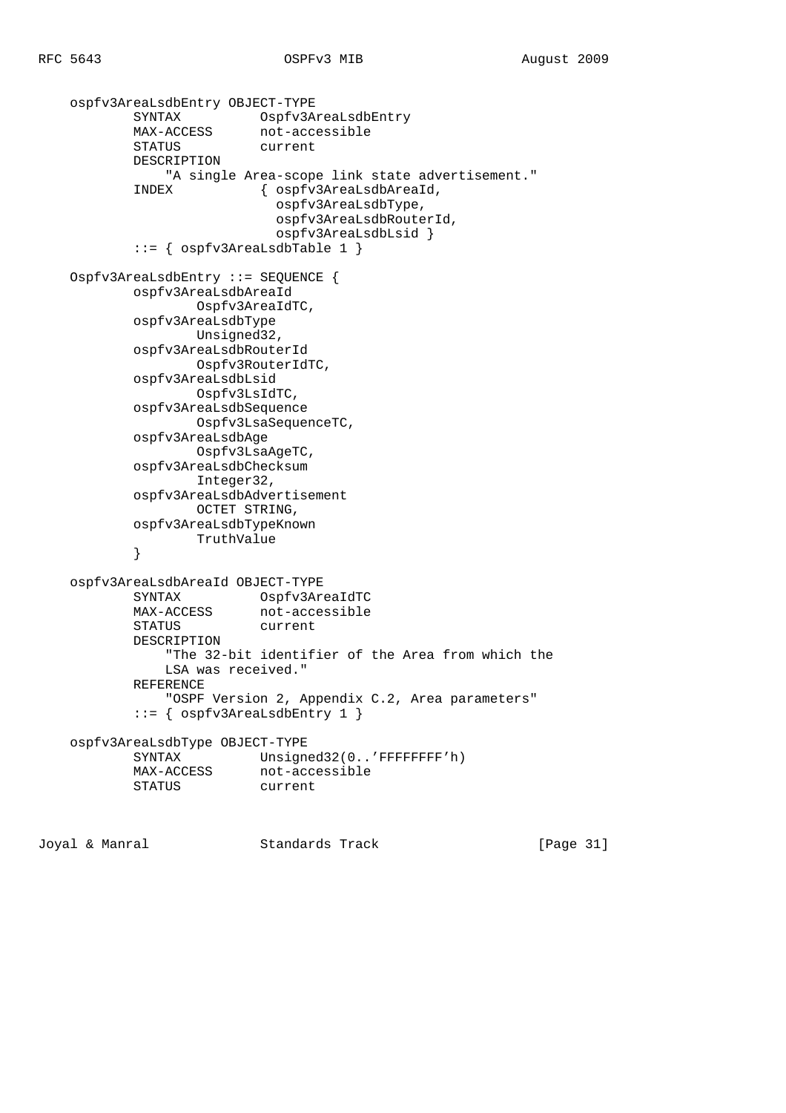```
 ospfv3AreaLsdbEntry OBJECT-TYPE
 SYNTAX Ospfv3AreaLsdbEntry
MAX-ACCESS not-accessible
 STATUS current
           DESCRIPTION
               "A single Area-scope link state advertisement."
           INDEX { ospfv3AreaLsdbAreaId,
                           ospfv3AreaLsdbType,
                           ospfv3AreaLsdbRouterId,
                           ospfv3AreaLsdbLsid }
           ::= { ospfv3AreaLsdbTable 1 }
    Ospfv3AreaLsdbEntry ::= SEQUENCE {
           ospfv3AreaLsdbAreaId
                  Ospfv3AreaIdTC,
           ospfv3AreaLsdbType
                  Unsigned32,
           ospfv3AreaLsdbRouterId
                  Ospfv3RouterIdTC,
           ospfv3AreaLsdbLsid
                  Ospfv3LsIdTC,
           ospfv3AreaLsdbSequence
                  Ospfv3LsaSequenceTC,
           ospfv3AreaLsdbAge
                  Ospfv3LsaAgeTC,
           ospfv3AreaLsdbChecksum
                  Integer32,
           ospfv3AreaLsdbAdvertisement
                  OCTET STRING,
           ospfv3AreaLsdbTypeKnown
           TruthValue
 }
    ospfv3AreaLsdbAreaId OBJECT-TYPE
 SYNTAX Ospfv3AreaIdTC
MAX-ACCESS not-accessible
 STATUS current
           DESCRIPTION
               "The 32-bit identifier of the Area from which the
              LSA was received."
           REFERENCE
              "OSPF Version 2, Appendix C.2, Area parameters"
           ::= { ospfv3AreaLsdbEntry 1 }
    ospfv3AreaLsdbType OBJECT-TYPE
          SYNTAX Unsigned32(0..'FFFFFFFF'h)
MAX-ACCESS not-accessible
 STATUS current
```
Joyal & Manral Standards Track [Page 31]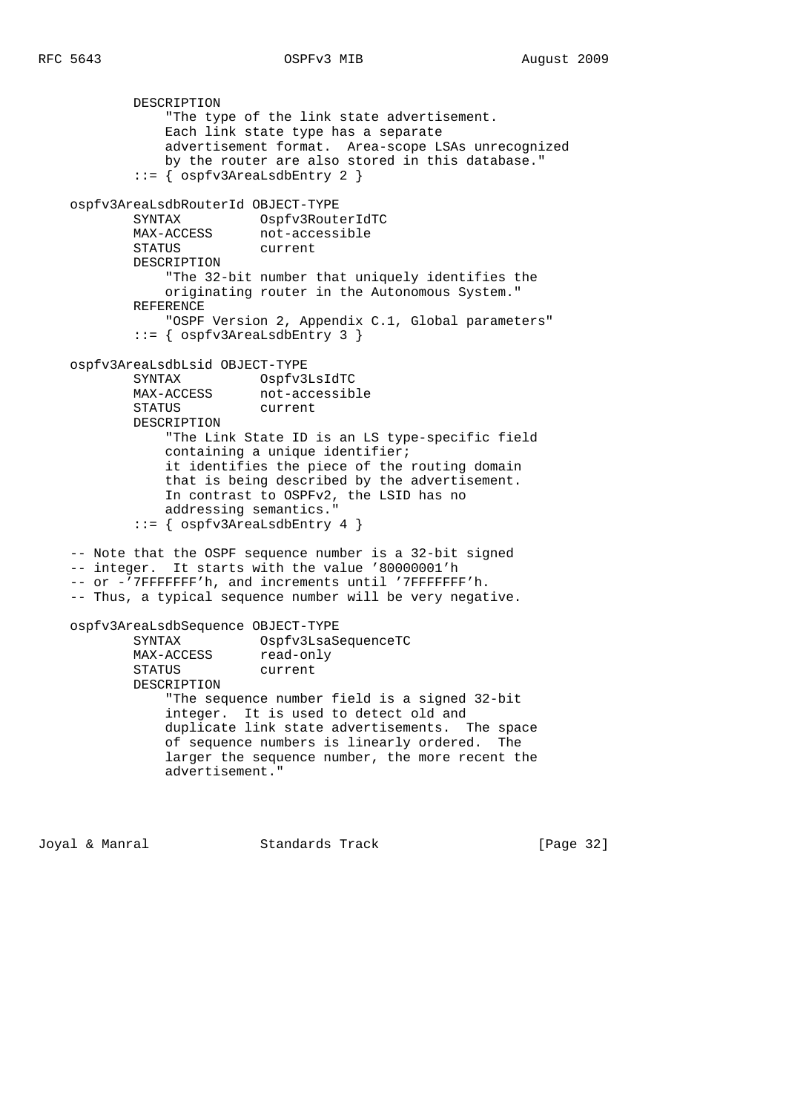DESCRIPTION "The type of the link state advertisement. Each link state type has a separate advertisement format. Area-scope LSAs unrecognized by the router are also stored in this database." ::= { ospfv3AreaLsdbEntry 2 } ospfv3AreaLsdbRouterId OBJECT-TYPE SYNTAX Ospfv3RouterIdTC MAX-ACCESS not-accessible SINIAA<br>MAX-ACCESS not-acc<br>STATUS current DESCRIPTION "The 32-bit number that uniquely identifies the originating router in the Autonomous System." REFERENCE "OSPF Version 2, Appendix C.1, Global parameters" ::= { ospfv3AreaLsdbEntry 3 } ospfv3AreaLsdbLsid OBJECT-TYPE SYNTAX Ospfv3LsIdTC MAX-ACCESS not-accessible STATUS current DESCRIPTION "The Link State ID is an LS type-specific field containing a unique identifier; it identifies the piece of the routing domain that is being described by the advertisement. In contrast to OSPFv2, the LSID has no addressing semantics." ::= { ospfv3AreaLsdbEntry 4 } -- Note that the OSPF sequence number is a 32-bit signed -- integer. It starts with the value '80000001'h -- or -'7FFFFFFF'h, and increments until '7FFFFFFF'h. -- Thus, a typical sequence number will be very negative. ospfv3AreaLsdbSequence OBJECT-TYPE SYNTAX Ospfv3LsaSequenceTC MAX-ACCESS read-only STATUS current DESCRIPTION "The sequence number field is a signed 32-bit integer. It is used to detect old and duplicate link state advertisements. The space of sequence numbers is linearly ordered. The larger the sequence number, the more recent the advertisement."

Joyal & Manral Standards Track [Page 32]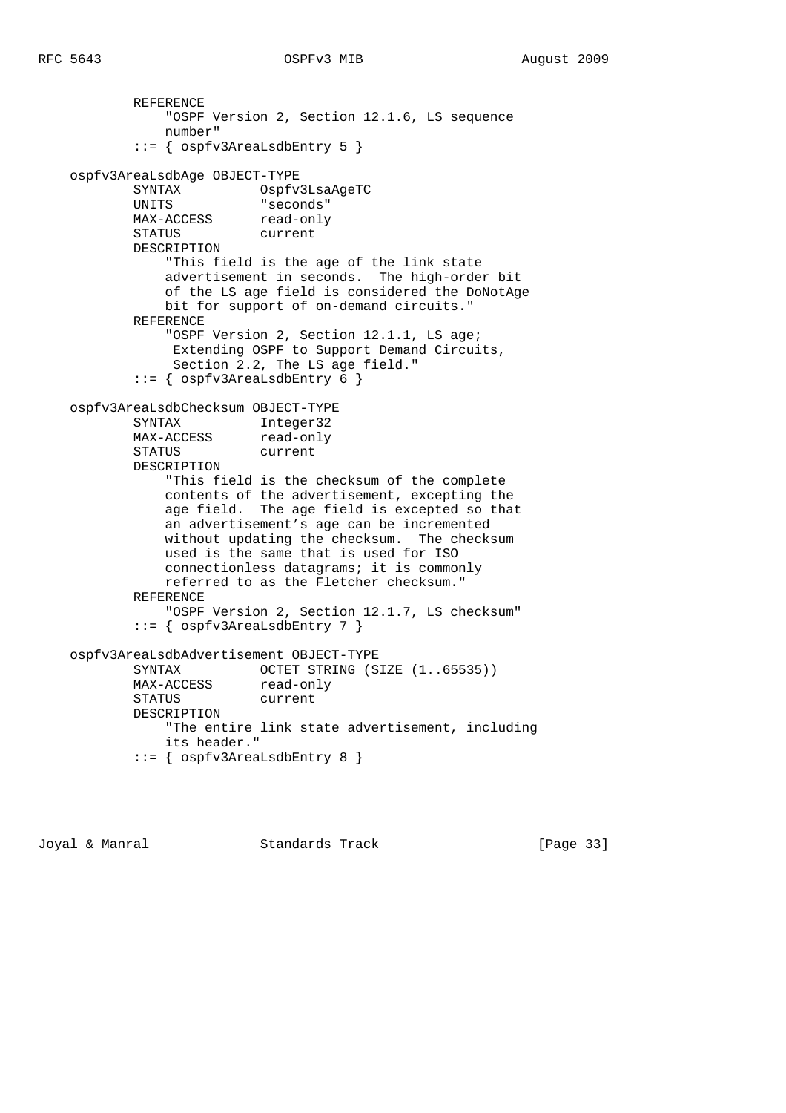```
 REFERENCE
                "OSPF Version 2, Section 12.1.6, LS sequence
               number"
            ::= { ospfv3AreaLsdbEntry 5 }
    ospfv3AreaLsdbAge OBJECT-TYPE
          SYNTAX Ospfv3LsaAgeTC<br>UNITS "seconds"
 UNITS "seconds"
MAX-ACCESS read-only
            STATUS current
            DESCRIPTION
                "This field is the age of the link state
               advertisement in seconds. The high-order bit
               of the LS age field is considered the DoNotAge
               bit for support of on-demand circuits."
            REFERENCE
                "OSPF Version 2, Section 12.1.1, LS age;
                Extending OSPF to Support Demand Circuits,
                Section 2.2, The LS age field."
            ::= { ospfv3AreaLsdbEntry 6 }
    ospfv3AreaLsdbChecksum OBJECT-TYPE
 SYNTAX Integer32
MAX-ACCESS read-only
            STATUS current
            DESCRIPTION
                "This field is the checksum of the complete
               contents of the advertisement, excepting the
               age field. The age field is excepted so that
               an advertisement's age can be incremented
               without updating the checksum. The checksum
               used is the same that is used for ISO
               connectionless datagrams; it is commonly
               referred to as the Fletcher checksum."
            REFERENCE
               "OSPF Version 2, Section 12.1.7, LS checksum"
            ::= { ospfv3AreaLsdbEntry 7 }
    ospfv3AreaLsdbAdvertisement OBJECT-TYPE
           SYNTAX OCTET STRING (SIZE (1..65535))
MAX-ACCESS read-only
 STATUS current
            DESCRIPTION
               "The entire link state advertisement, including
               its header."
            ::= { ospfv3AreaLsdbEntry 8 }
```
Joyal & Manral Standards Track [Page 33]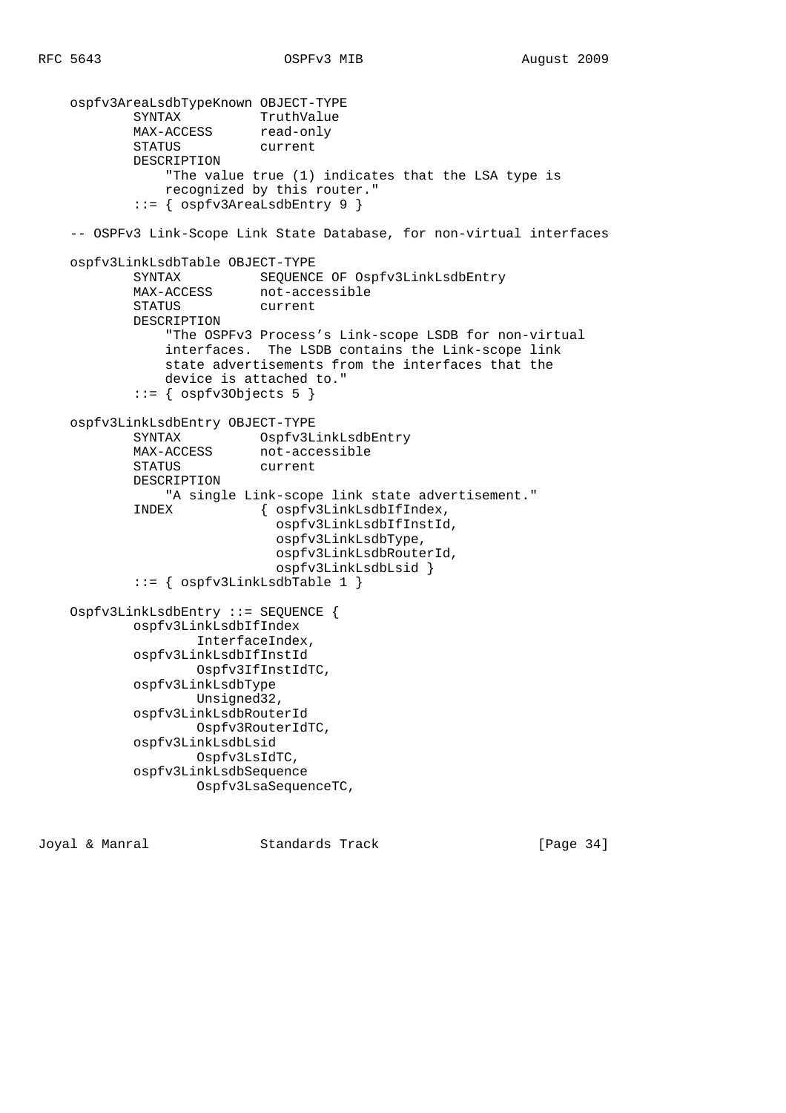```
 ospfv3AreaLsdbTypeKnown OBJECT-TYPE
           SYNTAX TruthValue<br>MAX-ACCESS read-only
MAX-ACCESS read-only
 STATUS current
            DESCRIPTION
                "The value true (1) indicates that the LSA type is
                recognized by this router."
            ::= { ospfv3AreaLsdbEntry 9 }
    -- OSPFv3 Link-Scope Link State Database, for non-virtual interfaces
    ospfv3LinkLsdbTable OBJECT-TYPE
            SYNTAX SEQUENCE OF Ospfv3LinkLsdbEntry
            MAX-ACCESS not-accessible
           STATUS current
            DESCRIPTION
                "The OSPFv3 Process's Link-scope LSDB for non-virtual
                interfaces. The LSDB contains the Link-scope link
                state advertisements from the interfaces that the
                device is attached to."
           ::= { ospfv30bjects 5 }
    ospfv3LinkLsdbEntry OBJECT-TYPE
SYNTAX Ospfv3LinkLsdbEntry
MAX-ACCESS not-accessible
            STATUS current
            DESCRIPTION
                "A single Link-scope link state advertisement."
            INDEX { ospfv3LinkLsdbIfIndex,
                             ospfv3LinkLsdbIfInstId,
                             ospfv3LinkLsdbType,
                             ospfv3LinkLsdbRouterId,
                             ospfv3LinkLsdbLsid }
            ::= { ospfv3LinkLsdbTable 1 }
    Ospfv3LinkLsdbEntry ::= SEQUENCE {
            ospfv3LinkLsdbIfIndex
                   InterfaceIndex,
            ospfv3LinkLsdbIfInstId
                   Ospfv3IfInstIdTC,
            ospfv3LinkLsdbType
                   Unsigned32,
            ospfv3LinkLsdbRouterId
                   Ospfv3RouterIdTC,
            ospfv3LinkLsdbLsid
                   Ospfv3LsIdTC,
            ospfv3LinkLsdbSequence
                   Ospfv3LsaSequenceTC,
```
Joyal & Manral Standards Track [Page 34]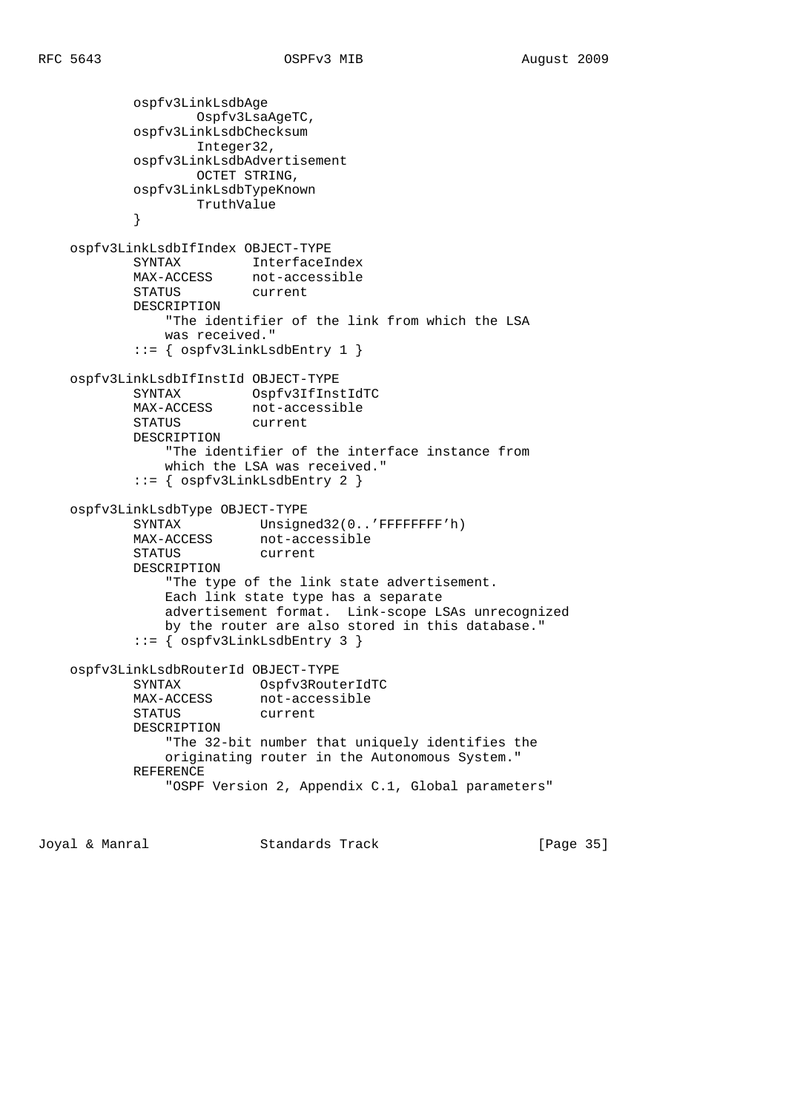```
 ospfv3LinkLsdbAge
                    Ospfv3LsaAgeTC,
            ospfv3LinkLsdbChecksum
                    Integer32,
            ospfv3LinkLsdbAdvertisement
                   OCTET STRING,
            ospfv3LinkLsdbTypeKnown
                    TruthValue
 }
    ospfv3LinkLsdbIfIndex OBJECT-TYPE
            SYNTAX InterfaceIndex
            MAX-ACCESS not-accessible
            STATUS current
            DESCRIPTION
                "The identifier of the link from which the LSA
                was received."
            ::= { ospfv3LinkLsdbEntry 1 }
    ospfv3LinkLsdbIfInstId OBJECT-TYPE
            SYNTAX Ospfv3IfInstIdTC
            MAX-ACCESS not-accessible
            STATUS current
            DESCRIPTION
                "The identifier of the interface instance from
                which the LSA was received."
            ::= { ospfv3LinkLsdbEntry 2 }
    ospfv3LinkLsdbType OBJECT-TYPE
           SYNTAX Unsigned32(0..'FFFFFFFF'h)<br>MAX-ACCESS not-accessible
                         not-accessible<br>current
           STATUS
            DESCRIPTION
                "The type of the link state advertisement.
                Each link state type has a separate
                advertisement format. Link-scope LSAs unrecognized
                by the router are also stored in this database."
            ::= { ospfv3LinkLsdbEntry 3 }
    ospfv3LinkLsdbRouterId OBJECT-TYPE
            SYNTAX Ospfv3RouterIdTC
MAX-ACCESS not-accessible
 STATUS current
            DESCRIPTION
                "The 32-bit number that uniquely identifies the
                originating router in the Autonomous System."
            REFERENCE
                "OSPF Version 2, Appendix C.1, Global parameters"
```
Joyal & Manral Standards Track [Page 35]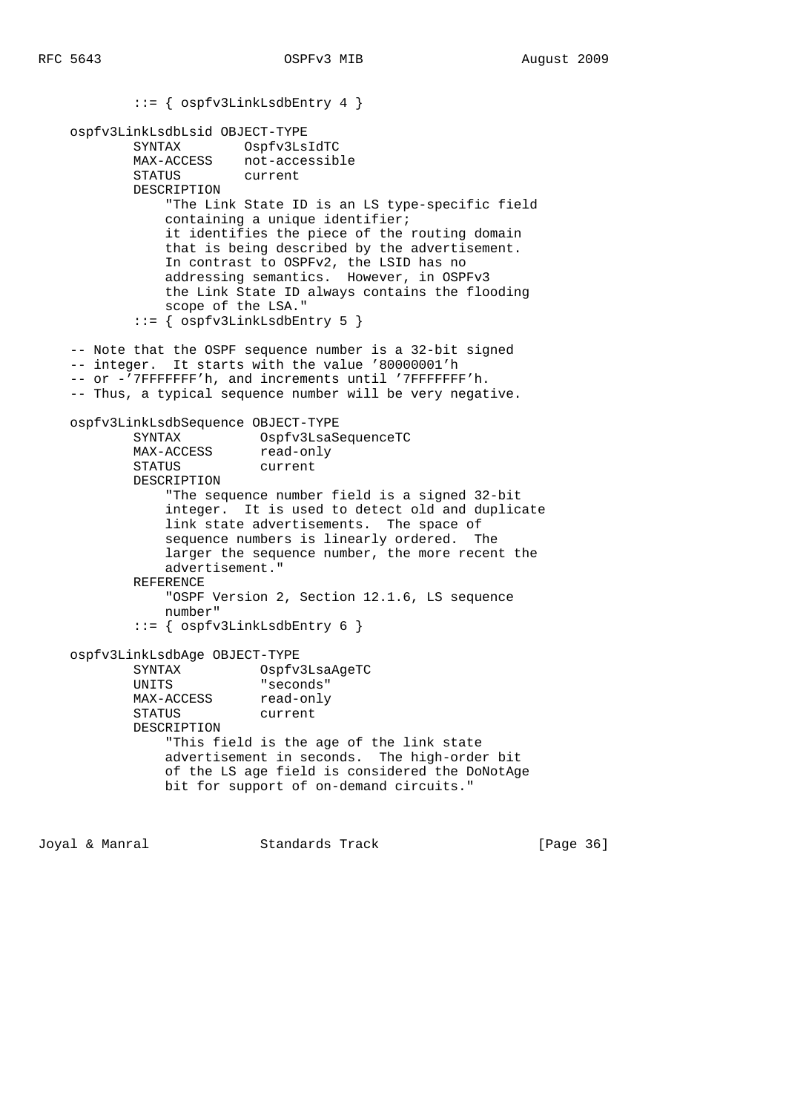```
 ::= { ospfv3LinkLsdbEntry 4 }
    ospfv3LinkLsdbLsid OBJECT-TYPE
            SYNTAX Ospfv3LsIdTC
 MAX-ACCESS not-accessible
 STATUS current
            DESCRIPTION
                "The Link State ID is an LS type-specific field
                containing a unique identifier;
                it identifies the piece of the routing domain
                that is being described by the advertisement.
                In contrast to OSPFv2, the LSID has no
                addressing semantics. However, in OSPFv3
                the Link State ID always contains the flooding
                scope of the LSA."
            ::= { ospfv3LinkLsdbEntry 5 }
    -- Note that the OSPF sequence number is a 32-bit signed
    -- integer. It starts with the value '80000001'h
    -- or -'7FFFFFFF'h, and increments until '7FFFFFFF'h.
    -- Thus, a typical sequence number will be very negative.
    ospfv3LinkLsdbSequence OBJECT-TYPE
 SYNTAX Ospfv3LsaSequenceTC
MAX-ACCESS read-only
            STATUS current
            DESCRIPTION
                "The sequence number field is a signed 32-bit
                integer. It is used to detect old and duplicate
                link state advertisements. The space of
                sequence numbers is linearly ordered. The
                larger the sequence number, the more recent the
               advertisement."
            REFERENCE
                "OSPF Version 2, Section 12.1.6, LS sequence
               number"
            ::= { ospfv3LinkLsdbEntry 6 }
    ospfv3LinkLsdbAge OBJECT-TYPE
            SYNTAX Ospfv3LsaAgeTC
            UNITS "seconds"
           MAX-ACCESS read-only
            STATUS current
            DESCRIPTION
                "This field is the age of the link state
                advertisement in seconds. The high-order bit
                of the LS age field is considered the DoNotAge
                bit for support of on-demand circuits."
```
Joyal & Manral Standards Track [Page 36]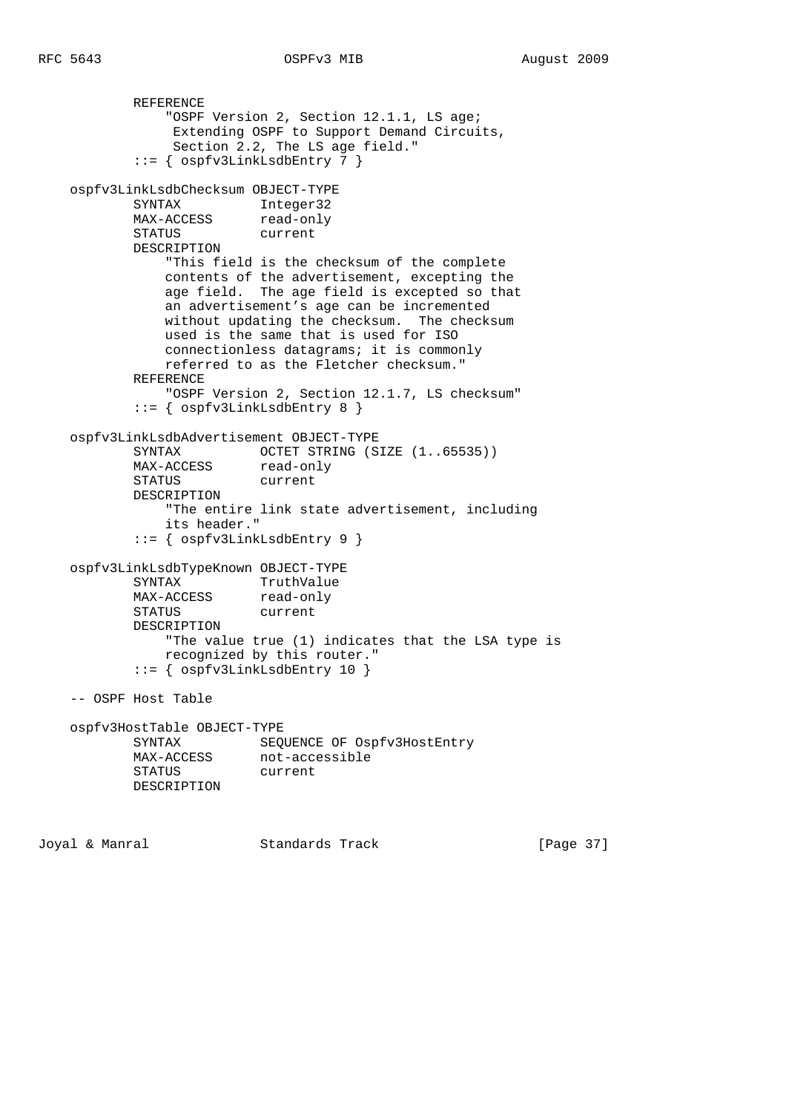```
 REFERENCE
               "OSPF Version 2, Section 12.1.1, LS age;
                Extending OSPF to Support Demand Circuits,
                Section 2.2, The LS age field."
            ::= { ospfv3LinkLsdbEntry 7 }
    ospfv3LinkLsdbChecksum OBJECT-TYPE
SYNTAX Integer32
MAX-ACCESS read-only
          MAX-ACCESS read-on<br>STATUS current
           DESCRIPTION
               "This field is the checksum of the complete
               contents of the advertisement, excepting the
               age field. The age field is excepted so that
               an advertisement's age can be incremented
               without updating the checksum. The checksum
               used is the same that is used for ISO
               connectionless datagrams; it is commonly
               referred to as the Fletcher checksum."
           REFERENCE
               "OSPF Version 2, Section 12.1.7, LS checksum"
            ::= { ospfv3LinkLsdbEntry 8 }
    ospfv3LinkLsdbAdvertisement OBJECT-TYPE
SYNTAX OCTET STRING (SIZE (1..65535))
MAX-ACCESS read-only
 STATUS current
           DESCRIPTION
               "The entire link state advertisement, including
               its header."
            ::= { ospfv3LinkLsdbEntry 9 }
    ospfv3LinkLsdbTypeKnown OBJECT-TYPE
           SYNTAX TruthValue
          MAX-ACCESS read-only
           STATUS current
           DESCRIPTION
               "The value true (1) indicates that the LSA type is
               recognized by this router."
            ::= { ospfv3LinkLsdbEntry 10 }
    -- OSPF Host Table
    ospfv3HostTable OBJECT-TYPE
           SYNTAX SEQUENCE OF Ospfv3HostEntry
MAX-ACCESS not-accessible
 STATUS current
           DESCRIPTION
Joyal & Manral Standards Track [Page 37]
```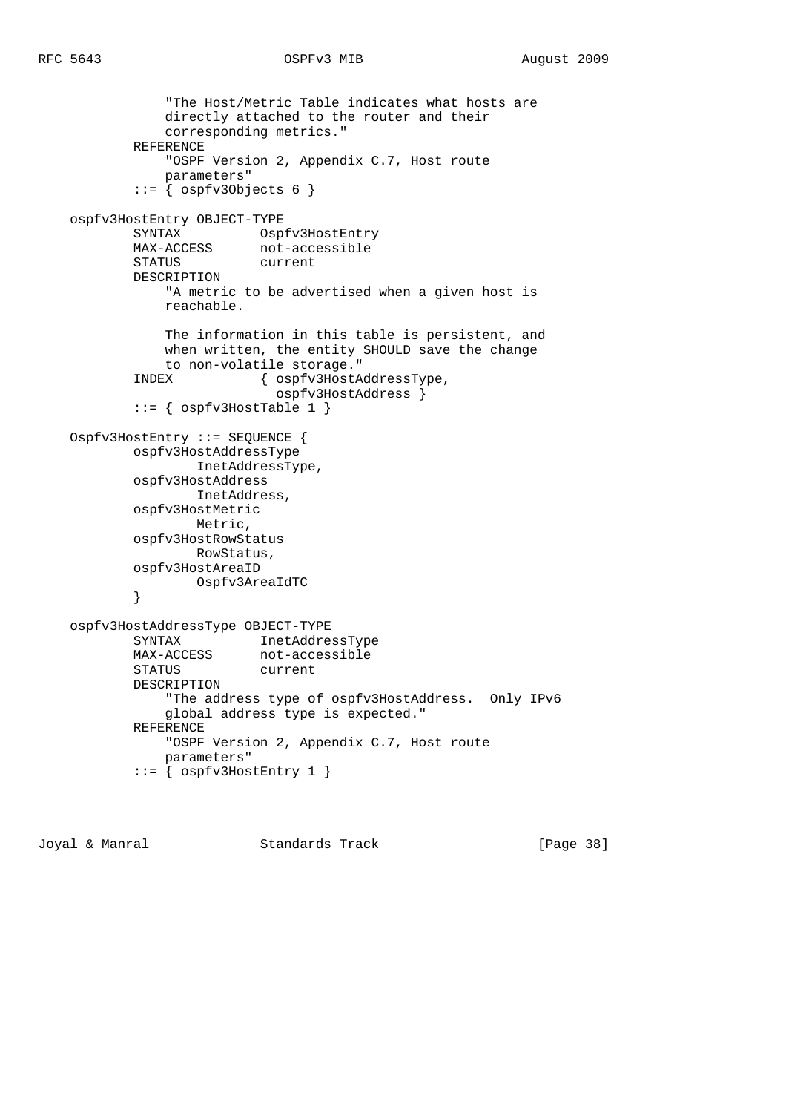```
 "The Host/Metric Table indicates what hosts are
                directly attached to the router and their
                corresponding metrics."
            REFERENCE
                "OSPF Version 2, Appendix C.7, Host route
                parameters"
            ::= { ospfv3Objects 6 }
    ospfv3HostEntry OBJECT-TYPE
           SYNTAX Ospfv3HostEntry
            MAX-ACCESS not-accessible
            STATUS current
            DESCRIPTION
                "A metric to be advertised when a given host is
                reachable.
                The information in this table is persistent, and
                when written, the entity SHOULD save the change
                to non-volatile storage."
            INDEX { ospfv3HostAddressType,
                              ospfv3HostAddress }
           ::= { ospfv3HostTable 1 }
    Ospfv3HostEntry ::= SEQUENCE {
            ospfv3HostAddressType
                    InetAddressType,
            ospfv3HostAddress
                    InetAddress,
            ospfv3HostMetric
                    Metric,
            ospfv3HostRowStatus
                    RowStatus,
            ospfv3HostAreaID
                    Ospfv3AreaIdTC
 }
    ospfv3HostAddressType OBJECT-TYPE
            SYNTAX InetAddressType
            MAX-ACCESS not-accessible
            STATUS current
            DESCRIPTION
                "The address type of ospfv3HostAddress. Only IPv6
                global address type is expected."
            REFERENCE
                "OSPF Version 2, Appendix C.7, Host route
                parameters"
           ::= { ospfv3HostEntry 1 }
```
Joyal & Manral Standards Track [Page 38]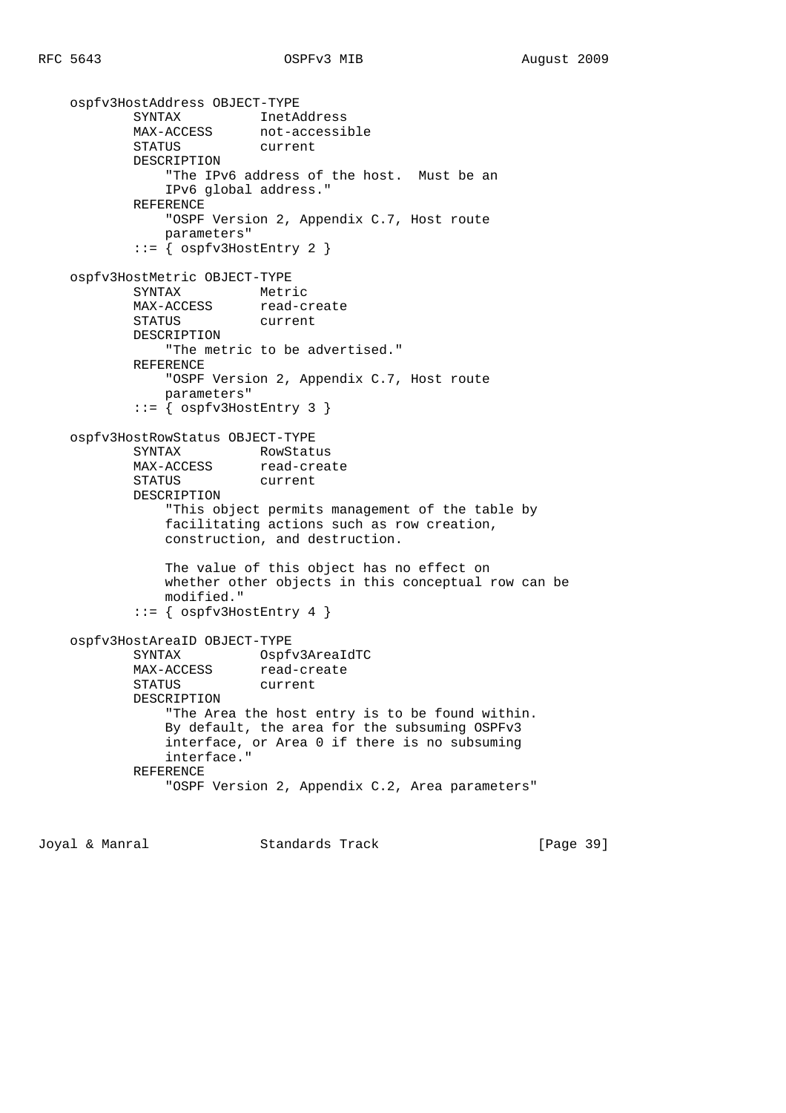```
 ospfv3HostAddress OBJECT-TYPE
 SYNTAX InetAddress
MAX-ACCESS not-accessible
          MAX-ACCESS not-accert<br>STATUS current
            DESCRIPTION
                "The IPv6 address of the host. Must be an
               IPv6 global address."
            REFERENCE
                "OSPF Version 2, Appendix C.7, Host route
               parameters"
            ::= { ospfv3HostEntry 2 }
    ospfv3HostMetric OBJECT-TYPE
            SYNTAX Metric
          MAX-ACCESS read-create
            STATUS current
            DESCRIPTION
                "The metric to be advertised."
            REFERENCE
               "OSPF Version 2, Appendix C.7, Host route
               parameters"
            ::= { ospfv3HostEntry 3 }
    ospfv3HostRowStatus OBJECT-TYPE
SYNTAX RowStatus
MAX-ACCESS read-create
 STATUS current
           DESCRIPTION
                "This object permits management of the table by
               facilitating actions such as row creation,
               construction, and destruction.
               The value of this object has no effect on
               whether other objects in this conceptual row can be
               modified."
            ::= { ospfv3HostEntry 4 }
    ospfv3HostAreaID OBJECT-TYPE
            SYNTAX Ospfv3AreaIdTC
          MAX-ACCESS read-create
            STATUS current
            DESCRIPTION
                "The Area the host entry is to be found within.
               By default, the area for the subsuming OSPFv3
               interface, or Area 0 if there is no subsuming
               interface."
            REFERENCE
                "OSPF Version 2, Appendix C.2, Area parameters"
```
Joyal & Manral Standards Track [Page 39]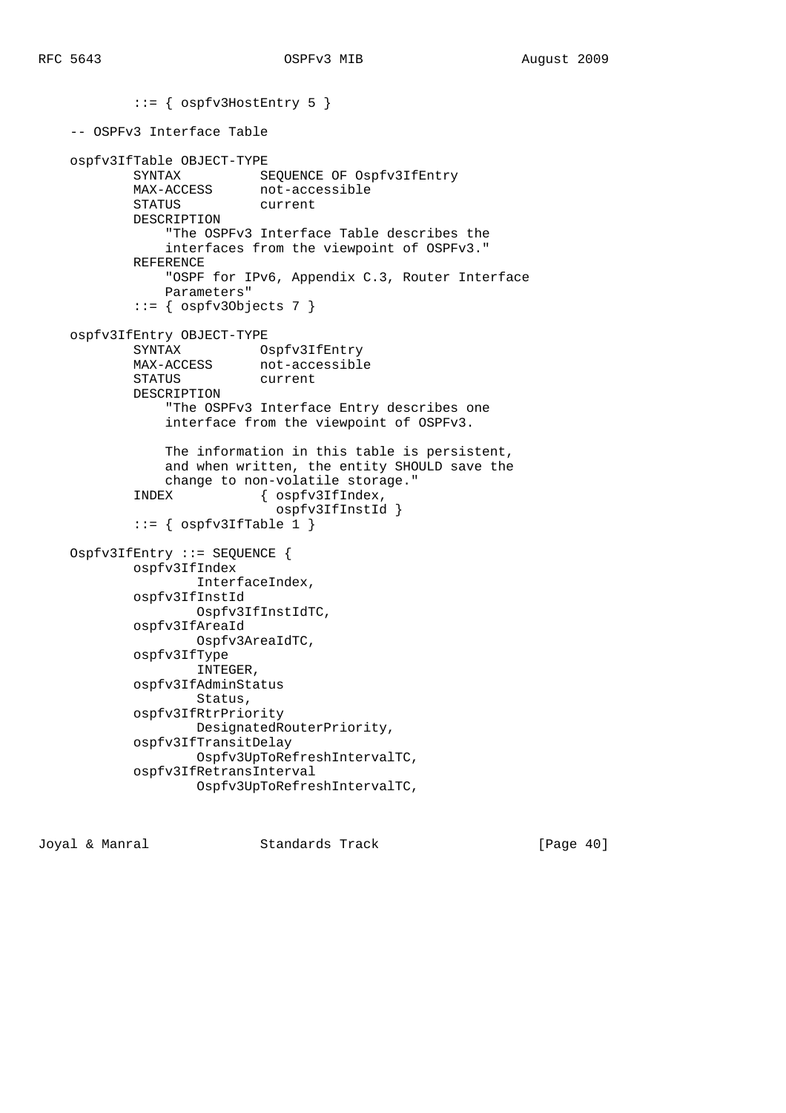::= { ospfv3HostEntry 5 } -- OSPFv3 Interface Table ospfv3IfTable OBJECT-TYPE SYNTAX SEQUENCE OF Ospfv3IfEntry MAX-ACCESS not-accessible STATUS current DESCRIPTION "The OSPFv3 Interface Table describes the interfaces from the viewpoint of OSPFv3." REFERENCE "OSPF for IPv6, Appendix C.3, Router Interface Parameters"  $::=$  { ospfv30bjects 7 } ospfv3IfEntry OBJECT-TYPE SYNTAX Ospfv3IfEntry MAX-ACCESS not-accessible STATUS current DESCRIPTION "The OSPFv3 Interface Entry describes one interface from the viewpoint of OSPFv3. The information in this table is persistent, and when written, the entity SHOULD save the change to non-volatile storage." INDEX { ospfv3IfIndex, ospfv3IfInstId }  $::=$  {  $ospfv3IfTable 1$  } Ospfv3IfEntry ::= SEQUENCE { ospfv3IfIndex InterfaceIndex, ospfv3IfInstId Ospfv3IfInstIdTC, ospfv3IfAreaId Ospfv3AreaIdTC, ospfv3IfType INTEGER, ospfv3IfAdminStatus Status, ospfv3IfRtrPriority DesignatedRouterPriority, ospfv3IfTransitDelay Ospfv3UpToRefreshIntervalTC, ospfv3IfRetransInterval Ospfv3UpToRefreshIntervalTC,

Joyal & Manral Standards Track [Page 40]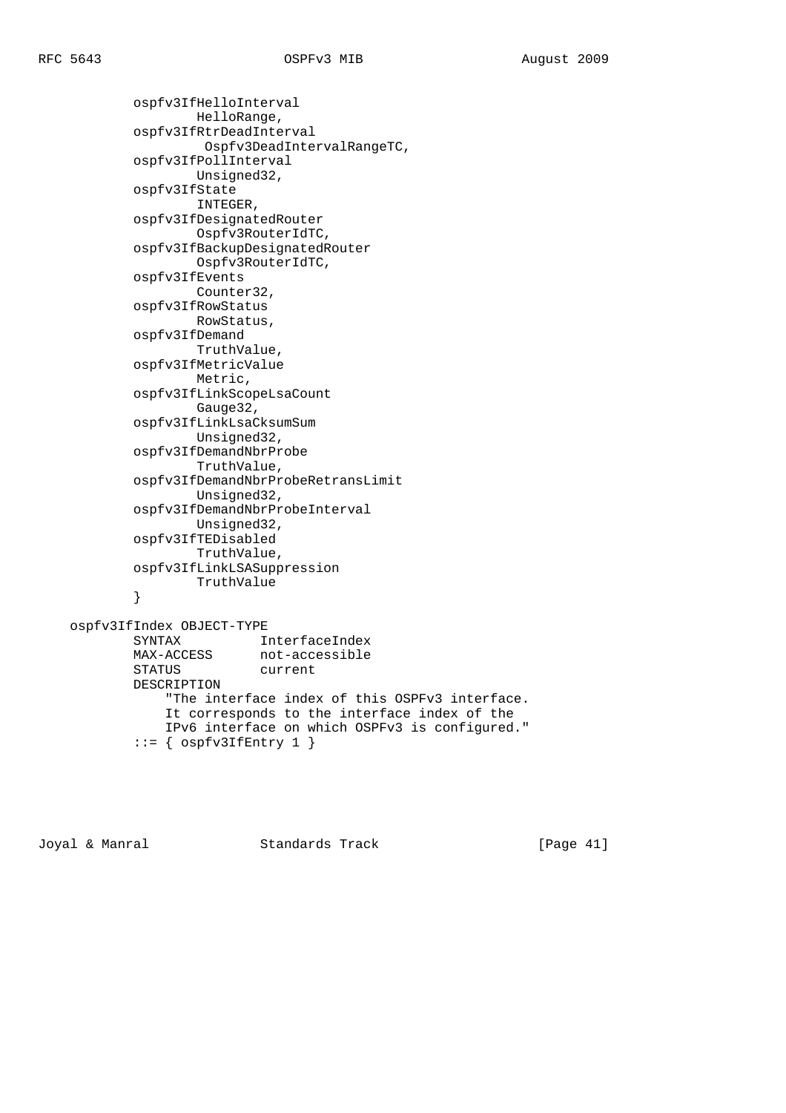ospfv3IfHelloInterval HelloRange, ospfv3IfRtrDeadInterval Ospfv3DeadIntervalRangeTC, ospfv3IfPollInterval Unsigned32, ospfv3IfState INTEGER, ospfv3IfDesignatedRouter Ospfv3RouterIdTC, ospfv3IfBackupDesignatedRouter Ospfv3RouterIdTC, ospfv3IfEvents Counter32, ospfv3IfRowStatus RowStatus, ospfv3IfDemand TruthValue, ospfv3IfMetricValue Metric, ospfv3IfLinkScopeLsaCount Gauge32, ospfv3IfLinkLsaCksumSum Unsigned32, ospfv3IfDemandNbrProbe TruthValue, ospfv3IfDemandNbrProbeRetransLimit Unsigned32, ospfv3IfDemandNbrProbeInterval Unsigned32, ospfv3IfTEDisabled TruthValue, ospfv3IfLinkLSASuppression TruthValue }

 ospfv3IfIndex OBJECT-TYPE SYNTAX InterfaceIndex MAX-ACCESS not-accessible STATUS current DESCRIPTION "The interface index of this OSPFv3 interface. It corresponds to the interface index of the IPv6 interface on which OSPFv3 is configured."  $::=$  {  $ospfv3IffEntry 1$  }

Joyal & Manral Standards Track [Page 41]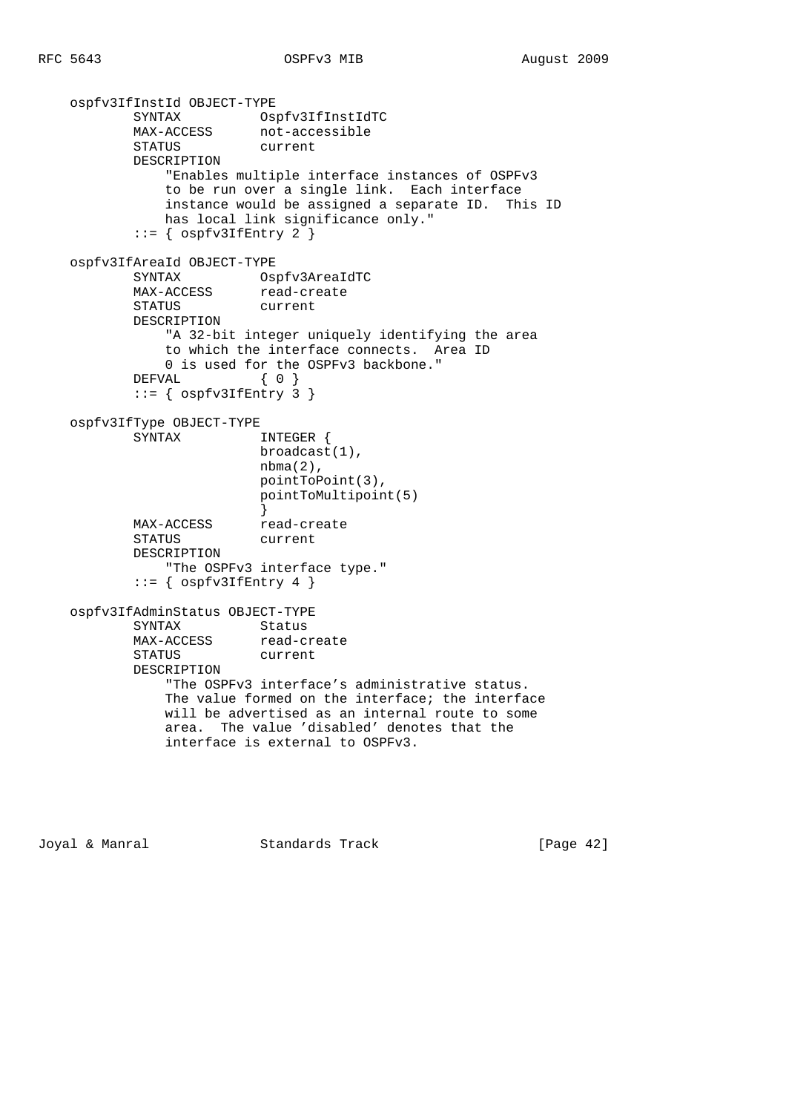```
 ospfv3IfInstId OBJECT-TYPE
 SYNTAX Ospfv3IfInstIdTC
MAX-ACCESS not-accessible
 STATUS current
           DESCRIPTION
              "Enables multiple interface instances of OSPFv3
              to be run over a single link. Each interface
              instance would be assigned a separate ID. This ID
              has local link significance only."
          ::= { ospfv3IffEntry 2 }
    ospfv3IfAreaId OBJECT-TYPE
 SYNTAX Ospfv3AreaIdTC
MAX-ACCESS read-create
           STATUS current
           DESCRIPTION
              "A 32-bit integer uniquely identifying the area
              to which the interface connects. Area ID
              0 is used for the OSPFv3 backbone."
          DEFVAL \{ 0 \}::= { ospfv3IffEntry 3 }
    ospfv3IfType OBJECT-TYPE
           SYNTAX INTEGER {
                         broadcast(1),
                         nbma(2),
                         pointToPoint(3),
                         pointToMultipoint(5)
 }
          MAX-ACCESS read-create
           STATUS current
           DESCRIPTION
              "The OSPFv3 interface type."
          ::= { ospfv3IffEntry 4 }
    ospfv3IfAdminStatus OBJECT-TYPE
          SYNTAX Status
MAX-ACCESS read-create
 STATUS current
           DESCRIPTION
              "The OSPFv3 interface's administrative status.
              The value formed on the interface; the interface
              will be advertised as an internal route to some
              area. The value 'disabled' denotes that the
              interface is external to OSPFv3.
```
Joyal & Manral **Standards Track** [Page 42]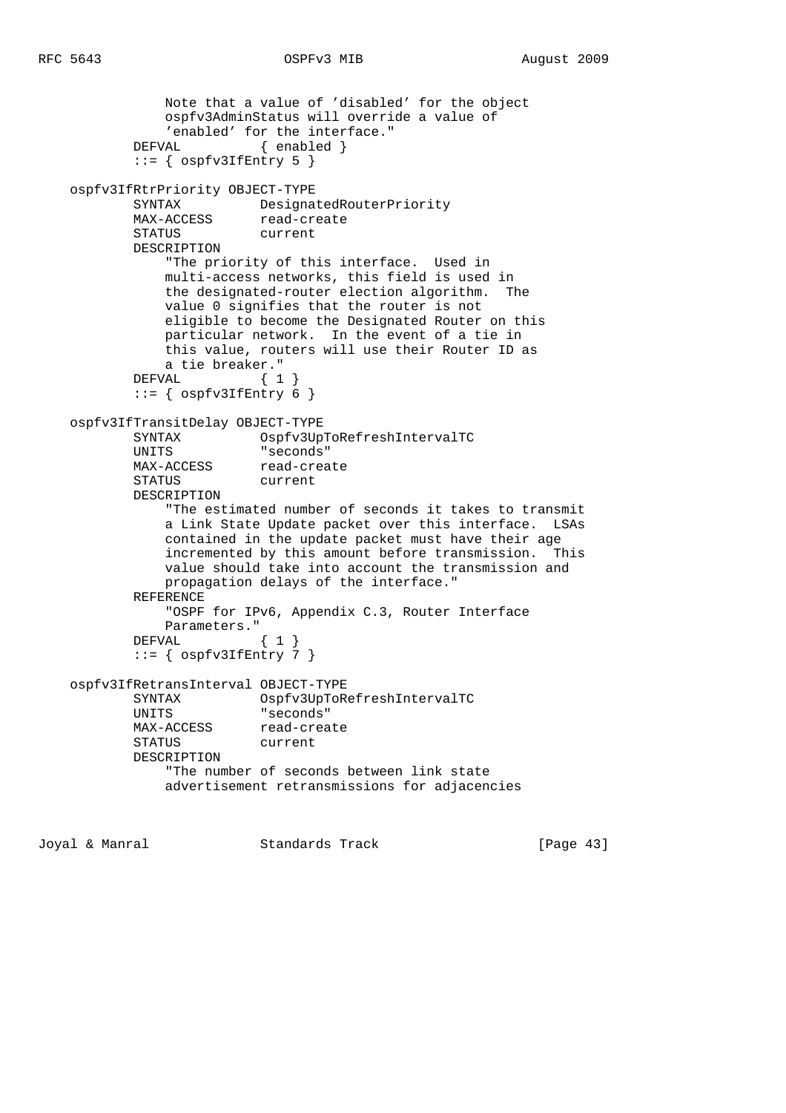```
 Note that a value of 'disabled' for the object
                ospfv3AdminStatus will override a value of
                'enabled' for the interface."
           DEFVAL { enabled }
           ::= { ospfv3IfEntry 5 }
    ospfv3IfRtrPriority OBJECT-TYPE
            SYNTAX DesignatedRouterPriority
           MAX-ACCESS read-create
            STATUS current
            DESCRIPTION
                "The priority of this interface. Used in
                multi-access networks, this field is used in
                the designated-router election algorithm. The
                value 0 signifies that the router is not
                eligible to become the Designated Router on this
                particular network. In the event of a tie in
                this value, routers will use their Router ID as
                a tie breaker."
           DEFVAL \{ 1 \}::= { ospfv3IfEntry 6 }
    ospfv3IfTransitDelay OBJECT-TYPE
 SYNTAX Ospfv3UpToRefreshIntervalTC
 UNITS "seconds"
           MAX-ACCESS read-create
            STATUS current
            DESCRIPTION
                "The estimated number of seconds it takes to transmit
                a Link State Update packet over this interface. LSAs
                contained in the update packet must have their age
                incremented by this amount before transmission. This
                value should take into account the transmission and
               propagation delays of the interface."
            REFERENCE
                "OSPF for IPv6, Appendix C.3, Router Interface
                Parameters."
            DEFVAL { 1 }
           ::= { ospfv3IfEntry 7 }
    ospfv3IfRetransInterval OBJECT-TYPE
            SYNTAX Ospfv3UpToRefreshIntervalTC
            UNITS "seconds"
           MAX-ACCESS read-create<br>STATUS current
                         current
            DESCRIPTION
                "The number of seconds between link state
                advertisement retransmissions for adjacencies
```
Joyal & Manral Standards Track [Page 43]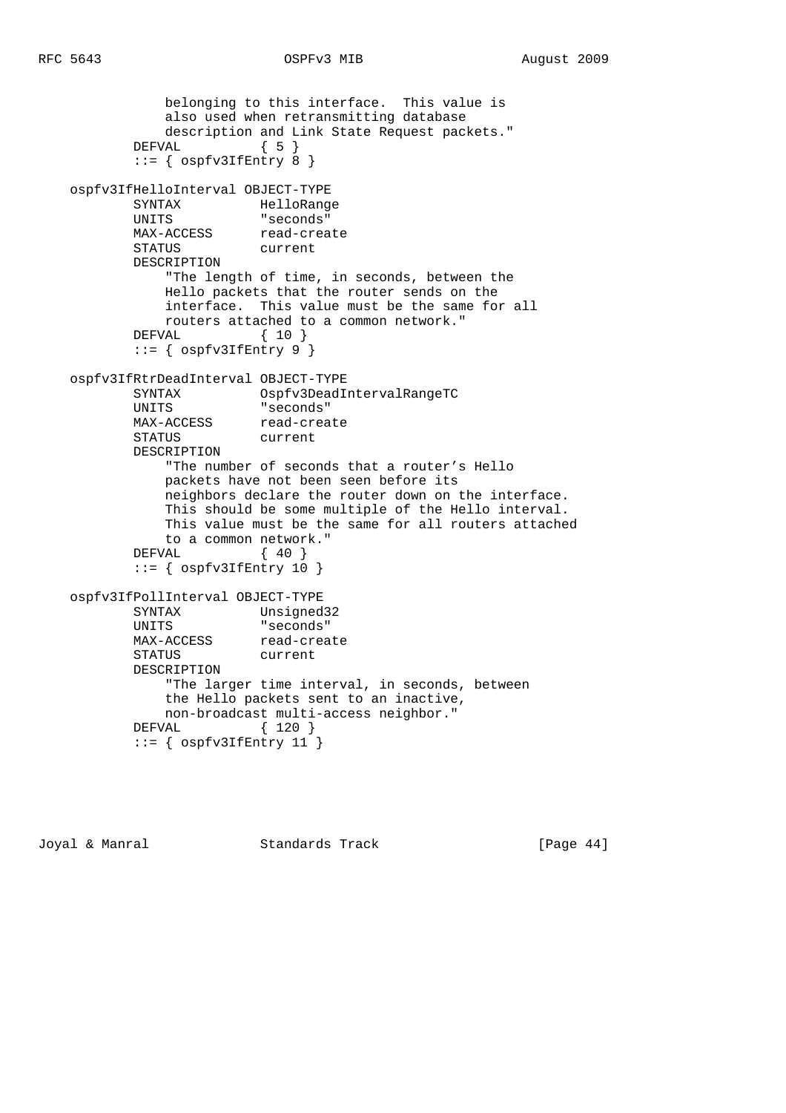```
 belonging to this interface. This value is
               also used when retransmitting database
               description and Link State Request packets."
          DEFVAL { 5 }
          ::= { ospfv3IfEntry 8 }
    ospfv3IfHelloInterval OBJECT-TYPE
           SYNTAX HelloRange
           UNITS "seconds"
           MAX-ACCESS read-create
           STATUS current
           DESCRIPTION
               "The length of time, in seconds, between the
               Hello packets that the router sends on the
               interface. This value must be the same for all
               routers attached to a common network."
           DEFVAL { 10 }
          ::= { ospfv3IffEntry 9 }
    ospfv3IfRtrDeadInterval OBJECT-TYPE
 SYNTAX Ospfv3DeadIntervalRangeTC
 UNITS "seconds"
           MAX-ACCESS read-create
           STATUS current
           DESCRIPTION
               "The number of seconds that a router's Hello
               packets have not been seen before its
               neighbors declare the router down on the interface.
               This should be some multiple of the Hello interval.
               This value must be the same for all routers attached
              to a common network."
          DEFVAL { 40 }
          ::= { ospfv3IfEntry 10 }
    ospfv3IfPollInterval OBJECT-TYPE
 SYNTAX Unsigned32
 UNITS "seconds"
          MAX-ACCESS read-create
           STATUS current
           DESCRIPTION
               "The larger time interval, in seconds, between
               the Hello packets sent to an inactive,
              non-broadcast multi-access neighbor."
           DEFVAL { 120 }
          ::= { ospfv3IffEntry 11 }
```
Joyal & Manral **Standards Track** [Page 44]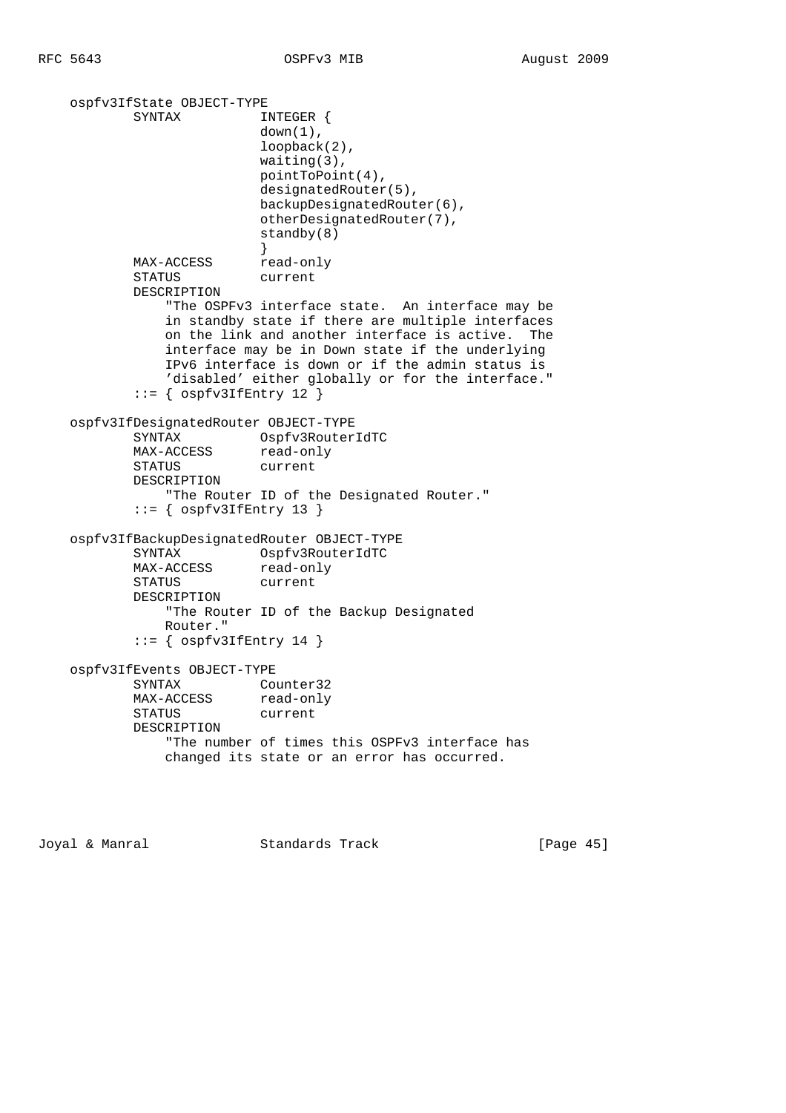ospfv3IfState OBJECT-TYPE SYNTAX INTEGER {  $down(1)$ , loopback(2), waiting(3), pointToPoint(4), designatedRouter(5), backupDesignatedRouter(6), otherDesignatedRouter(7), standby(8) } MAX-ACCESS read-only STATUS current DESCRIPTION "The OSPFv3 interface state. An interface may be in standby state if there are multiple interfaces on the link and another interface is active. The interface may be in Down state if the underlying IPv6 interface is down or if the admin status is 'disabled' either globally or for the interface."  $::=$  {  $ospfv3IffEntry 12$  } ospfv3IfDesignatedRouter OBJECT-TYPE SYNTAX Ospfv3RouterIdTC MAX-ACCESS read-only STATUS current DESCRIPTION "The Router ID of the Designated Router."  $::=$  {  $ospfv3IffEntry 13$  } ospfv3IfBackupDesignatedRouter OBJECT-TYPE SYNTAX Ospfv3RouterIdTC MAX-ACCESS read-only STATUS current DESCRIPTION "The Router ID of the Backup Designated Router."  $::=$  {  $ospfv3IffEntry 14$  } ospfv3IfEvents OBJECT-TYPE SYNTAX Counter32 MAX-ACCESS read-only STATUS current DESCRIPTION "The number of times this OSPFv3 interface has changed its state or an error has occurred.

Joyal & Manral Standards Track [Page 45]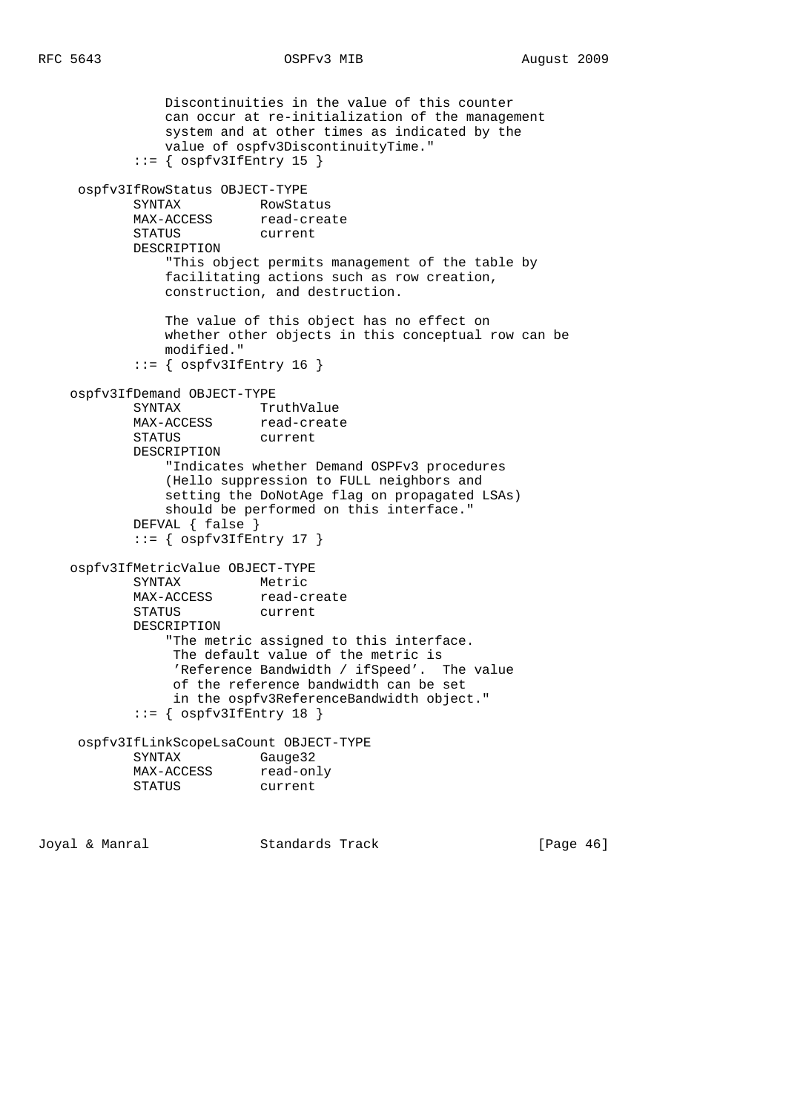```
 Discontinuities in the value of this counter
               can occur at re-initialization of the management
               system and at other times as indicated by the
               value of ospfv3DiscontinuityTime."
           ::= { ospfv3IfEntry 15 }
     ospfv3IfRowStatus OBJECT-TYPE
           SYNTAX RowStatus
MAX-ACCESS read-create
 STATUS current
           DESCRIPTION
               "This object permits management of the table by
               facilitating actions such as row creation,
               construction, and destruction.
               The value of this object has no effect on
               whether other objects in this conceptual row can be
               modified."
           ::= { ospfv3IffEntry 16 }
    ospfv3IfDemand OBJECT-TYPE
SYNTAX TruthValue
MAX-ACCESS read-create
           STATUS current
           DESCRIPTION
               "Indicates whether Demand OSPFv3 procedures
               (Hello suppression to FULL neighbors and
               setting the DoNotAge flag on propagated LSAs)
               should be performed on this interface."
           DEFVAL { false }
           ::= { ospfv3IfEntry 17 }
    ospfv3IfMetricValue OBJECT-TYPE
 SYNTAX Metric
MAX-ACCESS read-create
          MAX-ACCESS read-create<br>STATUS current
           DESCRIPTION
               "The metric assigned to this interface.
                The default value of the metric is
                'Reference Bandwidth / ifSpeed'. The value
                of the reference bandwidth can be set
                in the ospfv3ReferenceBandwidth object."
            ::= { ospfv3IfEntry 18 }
     ospfv3IfLinkScopeLsaCount OBJECT-TYPE
           SYNTAX Gauge32
MAX-ACCESS read-only
 STATUS current
Joyal & Manral Standards Track [Page 46]
```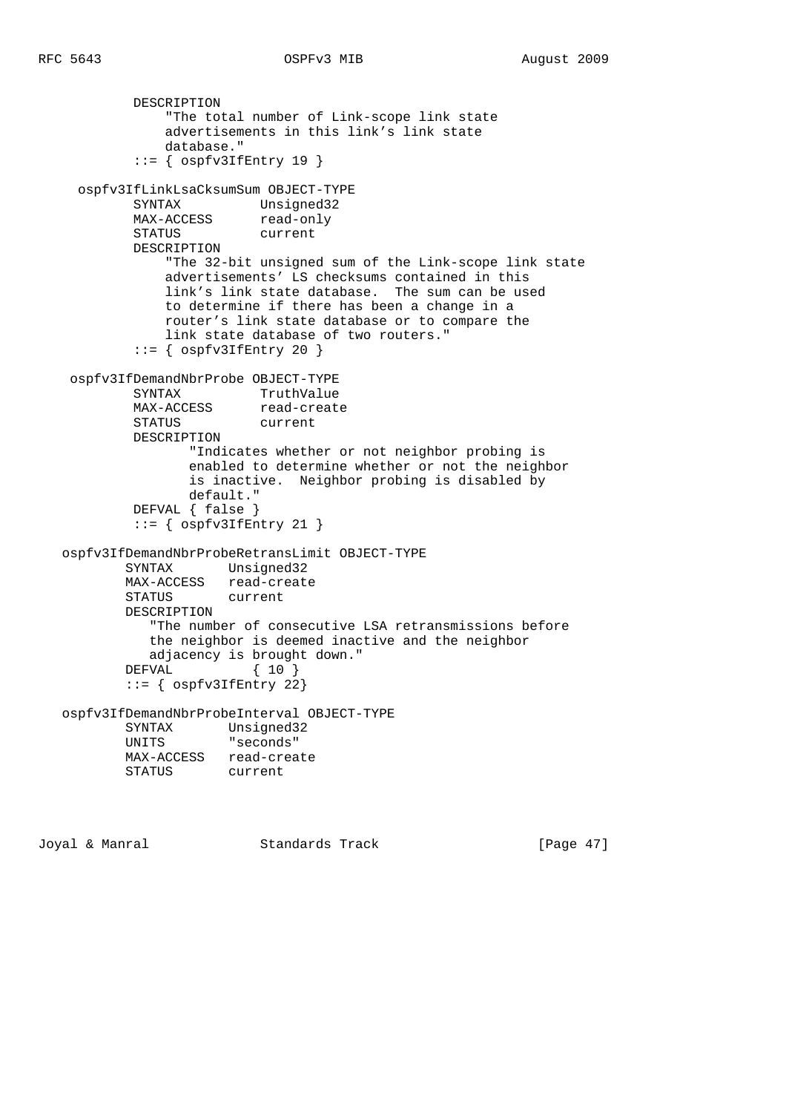```
 DESCRIPTION
                "The total number of Link-scope link state
                advertisements in this link's link state
                database."
           ::= { ospfv3IfEntry 19 }
     ospfv3IfLinkLsaCksumSum OBJECT-TYPE
           SYNTAX Unsigned32
MAX-ACCESS read-only
 STATUS current
            DESCRIPTION
                "The 32-bit unsigned sum of the Link-scope link state
                advertisements' LS checksums contained in this
                link's link state database. The sum can be used
                to determine if there has been a change in a
                router's link state database or to compare the
                link state database of two routers."
           ::= { ospfv3IffEntry 20 }
    ospfv3IfDemandNbrProbe OBJECT-TYPE
SYNTAX TruthValue
MAX-ACCESS read-create
            STATUS current
            DESCRIPTION
                   "Indicates whether or not neighbor probing is
                   enabled to determine whether or not the neighbor
                   is inactive. Neighbor probing is disabled by
                  default."
            DEFVAL { false }
           ::= { ospfv3IfEntry 21 }
   ospfv3IfDemandNbrProbeRetransLimit OBJECT-TYPE
           SYNTAX Unsigned32
           MAX-ACCESS read-create
           STATUS current
           DESCRIPTION
              "The number of consecutive LSA retransmissions before
              the neighbor is deemed inactive and the neighbor
              adjacency is brought down."
           DEFVAL { 10 }
           ::= { ospfv3IfEntry 22}
   ospfv3IfDemandNbrProbeInterval OBJECT-TYPE
          SYNTAX Unsigned32<br>UNITS "seconds"
                      "seconds"
          MAX-ACCESS read-create<br>STATUS current
                     current
```
Joyal & Manral Standards Track [Page 47]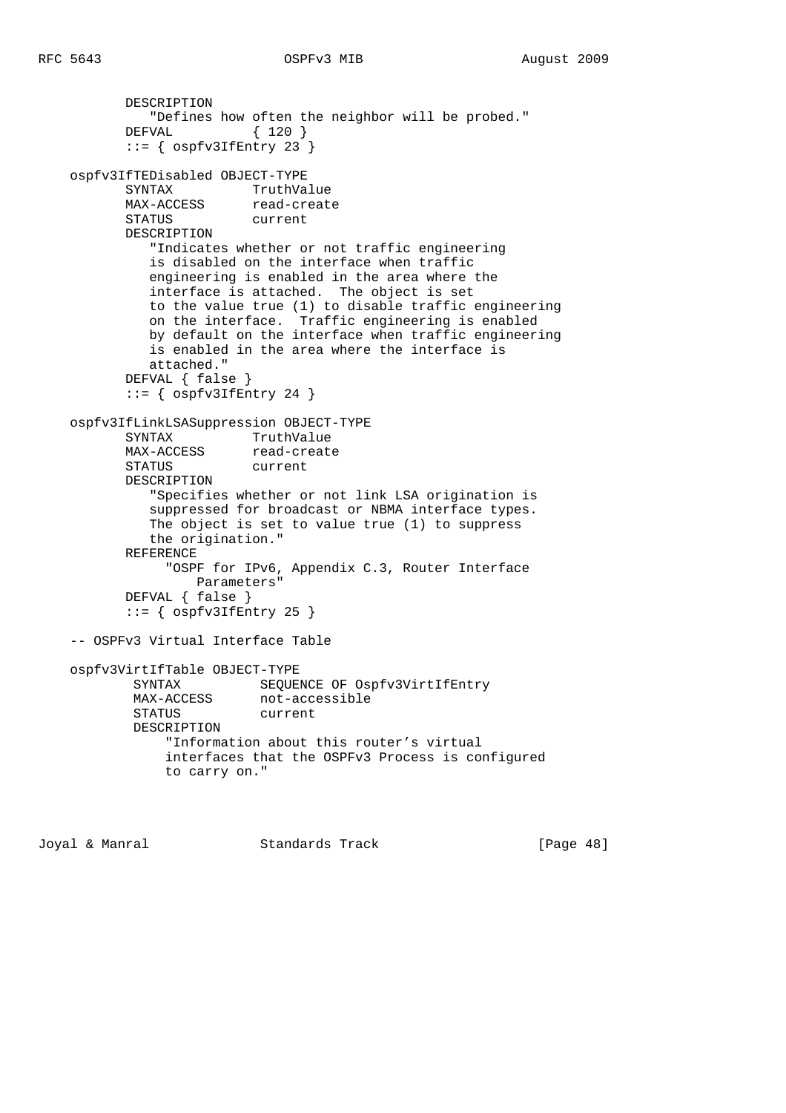```
 DESCRIPTION
             "Defines how often the neighbor will be probed."
           DEFVAL { 120 }
          ::= { ospfv3IffEntry 23}
    ospfv3IfTEDisabled OBJECT-TYPE
           SYNTAX TruthValue
          MAX-ACCESS read-create
           STATUS current
           DESCRIPTION
              "Indicates whether or not traffic engineering
              is disabled on the interface when traffic
              engineering is enabled in the area where the
              interface is attached. The object is set
              to the value true (1) to disable traffic engineering
              on the interface. Traffic engineering is enabled
              by default on the interface when traffic engineering
              is enabled in the area where the interface is
              attached."
           DEFVAL { false }
          ::= { ospfv3IfEntry 24 }
    ospfv3IfLinkLSASuppression OBJECT-TYPE
SYNTAX TruthValue
MAX-ACCESS read-create
           STATUS current
           DESCRIPTION
              "Specifies whether or not link LSA origination is
              suppressed for broadcast or NBMA interface types.
              The object is set to value true (1) to suppress
              the origination."
           REFERENCE
                "OSPF for IPv6, Appendix C.3, Router Interface
                   Parameters"
           DEFVAL { false }
          ::= { ospfv3IffEntry 25 }
    -- OSPFv3 Virtual Interface Table
    ospfv3VirtIfTable OBJECT-TYPE
           SYNTAX SEQUENCE OF Ospfv3VirtIfEntry
           MAX-ACCESS not-accessible
            STATUS current
            DESCRIPTION
                "Information about this router's virtual
                interfaces that the OSPFv3 Process is configured
                to carry on."
```
Joyal & Manral Standards Track [Page 48]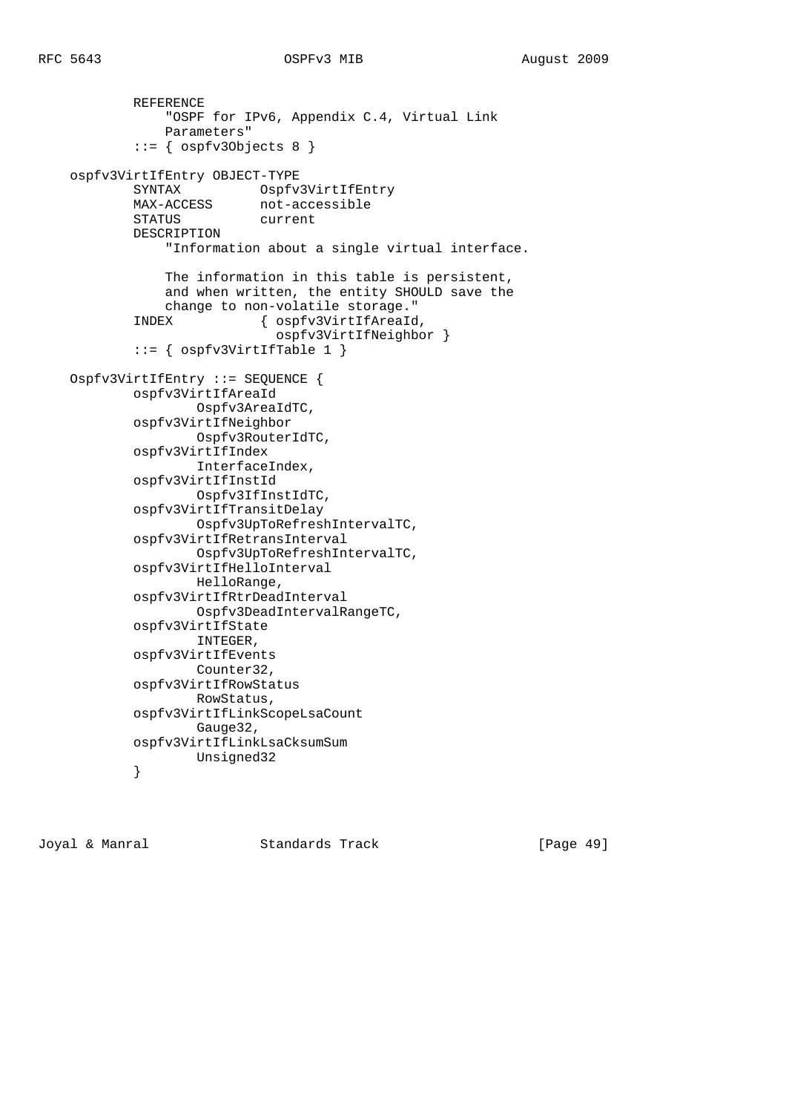```
 REFERENCE
                 "OSPF for IPv6, Appendix C.4, Virtual Link
                Parameters"
             ::= { ospfv3Objects 8 }
    ospfv3VirtIfEntry OBJECT-TYPE
           SYNTAX Ospfv3VirtIfEntry
            MAX-ACCESS not-accessible
            STATUS current
            DESCRIPTION
                 "Information about a single virtual interface.
                The information in this table is persistent,
                 and when written, the entity SHOULD save the
                 change to non-volatile storage."
            INDEX { ospfv3VirtIfAreaId,
                              ospfv3VirtIfNeighbor }
            ::= { ospfv3Virt1fTable 1 }
    Ospfv3VirtIfEntry ::= SEQUENCE {
            ospfv3VirtIfAreaId
                    Ospfv3AreaIdTC,
            ospfv3VirtIfNeighbor
                    Ospfv3RouterIdTC,
            ospfv3VirtIfIndex
                    InterfaceIndex,
            ospfv3VirtIfInstId
                    Ospfv3IfInstIdTC,
            ospfv3VirtIfTransitDelay
                    Ospfv3UpToRefreshIntervalTC,
            ospfv3VirtIfRetransInterval
                    Ospfv3UpToRefreshIntervalTC,
            ospfv3VirtIfHelloInterval
                    HelloRange,
            ospfv3VirtIfRtrDeadInterval
                    Ospfv3DeadIntervalRangeTC,
            ospfv3VirtIfState
                    INTEGER,
            ospfv3VirtIfEvents
                    Counter32,
            ospfv3VirtIfRowStatus
                    RowStatus,
            ospfv3VirtIfLinkScopeLsaCount
                    Gauge32,
            ospfv3VirtIfLinkLsaCksumSum
           Unsigned32<br>}
 }
```
Joyal & Manral Standards Track [Page 49]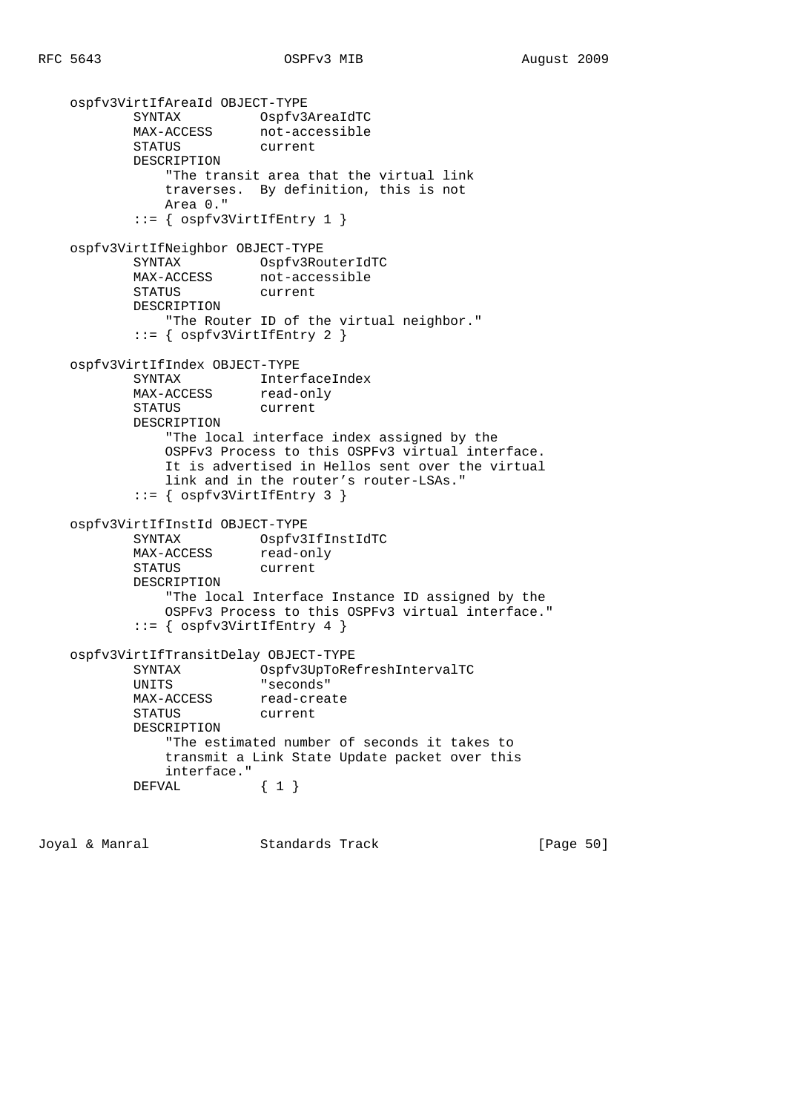```
 ospfv3VirtIfAreaId OBJECT-TYPE
 SYNTAX Ospfv3AreaIdTC
MAX-ACCESS not-accessible
 STATUS current
           DESCRIPTION
               "The transit area that the virtual link
               traverses. By definition, this is not
               Area 0."
            ::= { ospfv3VirtIfEntry 1 }
    ospfv3VirtIfNeighbor OBJECT-TYPE
          SYNTAX Ospfv3RouterIdTC
          MAX-ACCESS not-accessible
           STATUS current
           DESCRIPTION
               "The Router ID of the virtual neighbor."
            ::= { ospfv3VirtIfEntry 2 }
    ospfv3VirtIfIndex OBJECT-TYPE
           SYNTAX InterfaceIndex
          MAX-ACCESS read-only
           STATUS current
           DESCRIPTION
               "The local interface index assigned by the
               OSPFv3 Process to this OSPFv3 virtual interface.
               It is advertised in Hellos sent over the virtual
               link and in the router's router-LSAs."
            ::= { ospfv3VirtIfEntry 3 }
    ospfv3VirtIfInstId OBJECT-TYPE
          SYNTAX Ospfv3IfInstIdTC<br>
MAX-ACCESS read-only
                       read-only
           STATUS current
           DESCRIPTION
               "The local Interface Instance ID assigned by the
               OSPFv3 Process to this OSPFv3 virtual interface."
           ::= { ospfv3VirtIffEntry 4 }
    ospfv3VirtIfTransitDelay OBJECT-TYPE
           SYNTAX Ospfv3UpToRefreshIntervalTC
           UNITS "seconds"
          MAX-ACCESS read-create
           STATUS current
           DESCRIPTION
               "The estimated number of seconds it takes to
               transmit a Link State Update packet over this
               interface."
          DEFVAL \{ 1 \}
```
Joyal & Manral Standards Track [Page 50]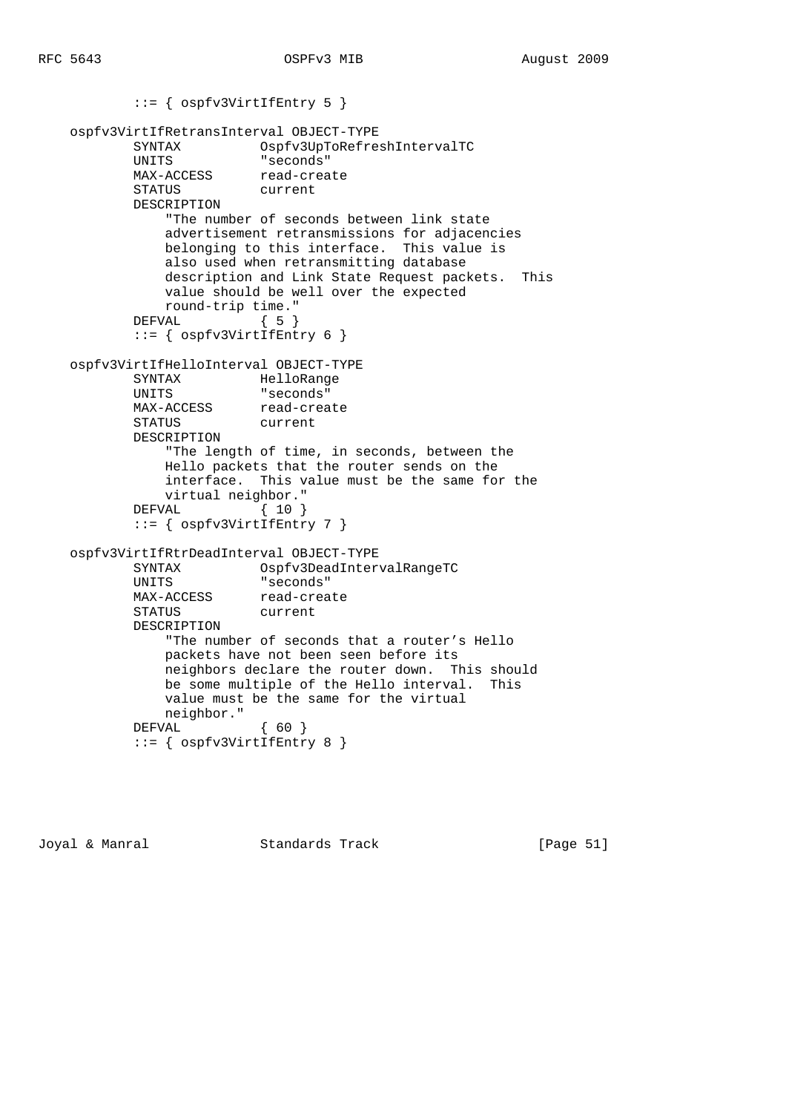```
 ::= { ospfv3VirtIfEntry 5 }
    ospfv3VirtIfRetransInterval OBJECT-TYPE
 SYNTAX Ospfv3UpToRefreshIntervalTC
 UNITS "seconds"
MAX-ACCESS read-create
 STATUS current
           DESCRIPTION
               "The number of seconds between link state
               advertisement retransmissions for adjacencies
              belonging to this interface. This value is
               also used when retransmitting database
               description and Link State Request packets. This
               value should be well over the expected
               round-trip time."
          DEFVAL { 5 }
           ::= { ospfv3VirtIfEntry 6 }
    ospfv3VirtIfHelloInterval OBJECT-TYPE
           SYNTAX HelloRange
           UNITS "seconds"
          MAX-ACCESS read-create
           STATUS current
           DESCRIPTION
               "The length of time, in seconds, between the
               Hello packets that the router sends on the
               interface. This value must be the same for the
               virtual neighbor."
           DEFVAL { 10 }
           ::= { ospfv3VirtIfEntry 7 }
    ospfv3VirtIfRtrDeadInterval OBJECT-TYPE
 SYNTAX Ospfv3DeadIntervalRangeTC
 UNITS "seconds"
          MAX-ACCESS read-create
           STATUS current
           DESCRIPTION
               "The number of seconds that a router's Hello
              packets have not been seen before its
              neighbors declare the router down. This should
              be some multiple of the Hello interval. This
              value must be the same for the virtual
              neighbor."
           DEFVAL { 60 }
           ::= { ospfv3VirtIfEntry 8 }
```
Joyal & Manral Standards Track [Page 51]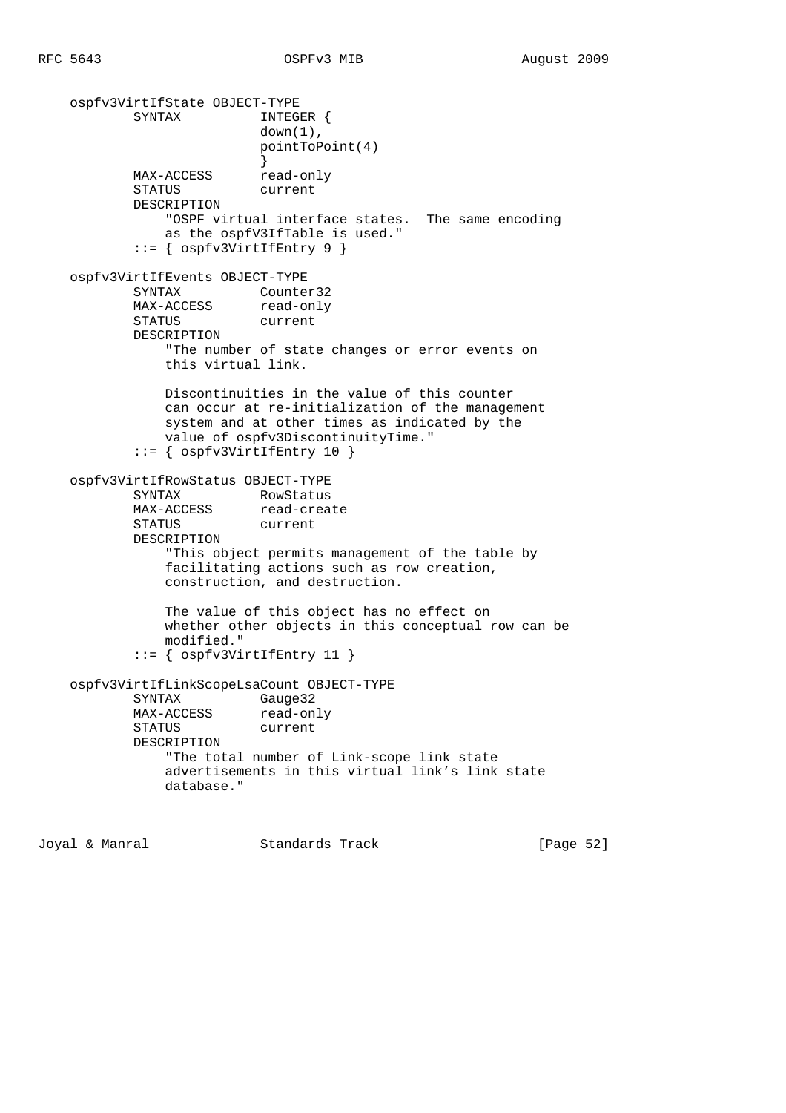```
 ospfv3VirtIfState OBJECT-TYPE
          SYNTAX INTEGER {
                        down(1),
                         pointToPoint(4)
 }
          MAX-ACCESS read-only
           STATUS current
           DESCRIPTION
               "OSPF virtual interface states. The same encoding
               as the ospfV3IfTable is used."
           ::= { ospfv3VirtIfEntry 9 }
    ospfv3VirtIfEvents OBJECT-TYPE
           SYNTAX Counter32
          MAX-ACCESS read-only
           STATUS current
           DESCRIPTION
               "The number of state changes or error events on
               this virtual link.
               Discontinuities in the value of this counter
               can occur at re-initialization of the management
               system and at other times as indicated by the
               value of ospfv3DiscontinuityTime."
           ::= { ospfv3VirtIfEntry 10 }
    ospfv3VirtIfRowStatus OBJECT-TYPE
SYNTAX RowStatus
MAX-ACCESS read-create
 STATUS current
           DESCRIPTION
               "This object permits management of the table by
               facilitating actions such as row creation,
               construction, and destruction.
               The value of this object has no effect on
               whether other objects in this conceptual row can be
               modified."
           ::= { ospfv3VirtIfEntry 11 }
    ospfv3VirtIfLinkScopeLsaCount OBJECT-TYPE
           SYNTAX Gauge32
MAX-ACCESS read-only
 STATUS current
           DESCRIPTION
               "The total number of Link-scope link state
               advertisements in this virtual link's link state
               database."
```
Joyal & Manral Standards Track [Page 52]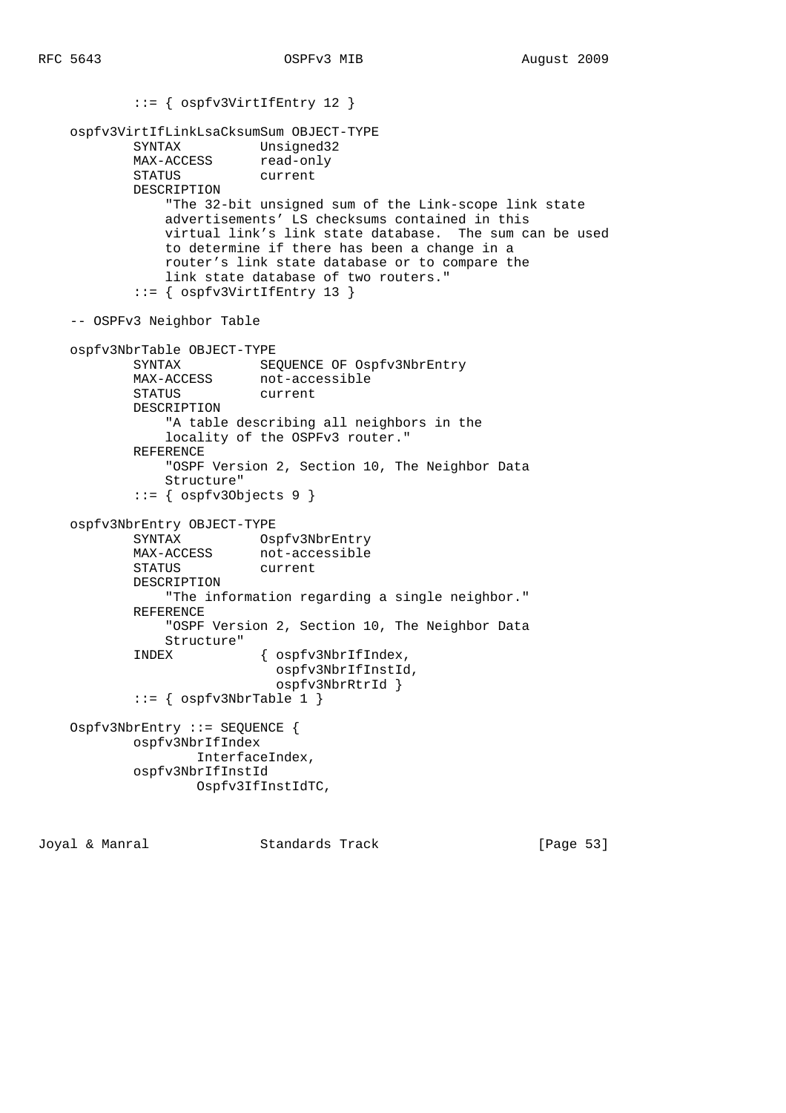```
 ::= { ospfv3VirtIfEntry 12 }
    ospfv3VirtIfLinkLsaCksumSum OBJECT-TYPE
 SYNTAX Unsigned32
MAX-ACCESS read-only
 STATUS current
            DESCRIPTION
                "The 32-bit unsigned sum of the Link-scope link state
                advertisements' LS checksums contained in this
                virtual link's link state database. The sum can be used
                to determine if there has been a change in a
                router's link state database or to compare the
                link state database of two routers."
            ::= { ospfv3VirtIfEntry 13 }
    -- OSPFv3 Neighbor Table
    ospfv3NbrTable OBJECT-TYPE
            SYNTAX SEQUENCE OF Ospfv3NbrEntry
            MAX-ACCESS not-accessible
            STATUS current
            DESCRIPTION
                "A table describing all neighbors in the
                locality of the OSPFv3 router."
            REFERENCE
                "OSPF Version 2, Section 10, The Neighbor Data
                Structure"
           ::= { ospfv30bjects 9 }
    ospfv3NbrEntry OBJECT-TYPE
           SYNTAX Ospfv3NbrEntry
                        not-accessible
            STATUS current
            DESCRIPTION
                "The information regarding a single neighbor."
            REFERENCE
                "OSPF Version 2, Section 10, The Neighbor Data
                Structure"
            INDEX { ospfv3NbrIfIndex,
                             ospfv3NbrIfInstId,
                             ospfv3NbrRtrId }
           ::= { ospfv3NbrTable 1 }
    Ospfv3NbrEntry ::= SEQUENCE {
            ospfv3NbrIfIndex
                   InterfaceIndex,
            ospfv3NbrIfInstId
                   Ospfv3IfInstIdTC,
```
Joyal & Manral Standards Track [Page 53]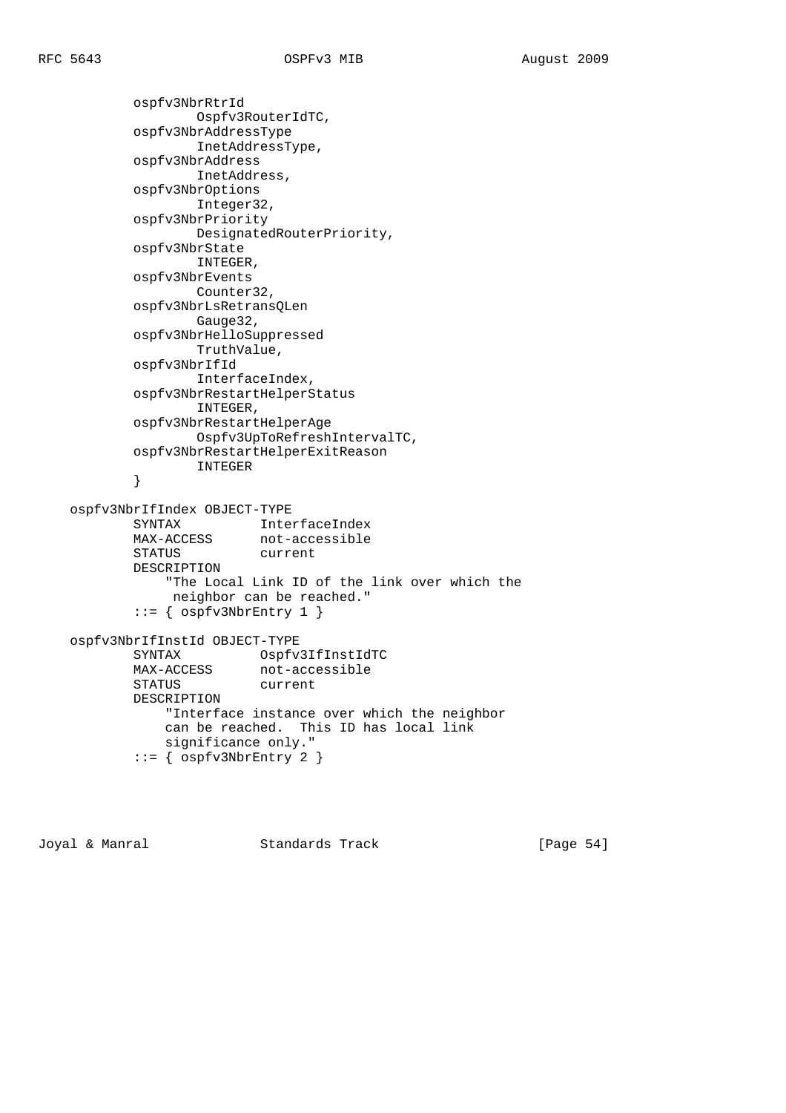```
 ospfv3NbrRtrId
                   Ospfv3RouterIdTC,
            ospfv3NbrAddressType
                   InetAddressType,
            ospfv3NbrAddress
                   InetAddress,
            ospfv3NbrOptions
                   Integer32,
            ospfv3NbrPriority
                   DesignatedRouterPriority,
            ospfv3NbrState
                   INTEGER,
            ospfv3NbrEvents
                   Counter32,
            ospfv3NbrLsRetransQLen
                   Gauge32,
            ospfv3NbrHelloSuppressed
                   TruthValue,
            ospfv3NbrIfId
                   InterfaceIndex,
            ospfv3NbrRestartHelperStatus
                   INTEGER,
            ospfv3NbrRestartHelperAge
                   Ospfv3UpToRefreshIntervalTC,
            ospfv3NbrRestartHelperExitReason
            INTEGER
 }
    ospfv3NbrIfIndex OBJECT-TYPE
 SYNTAX InterfaceIndex
MAX-ACCESS not-accessible
           STATUS current
           DESCRIPTION
                "The Local Link ID of the link over which the
                neighbor can be reached."
           ::= { ospfv3NbrEntry 1 }
    ospfv3NbrIfInstId OBJECT-TYPE
           SYNTAX Ospfv3IfInstIdTC
MAX-ACCESS not-accessible
 STATUS current
           DESCRIPTION
               "Interface instance over which the neighbor
               can be reached. This ID has local link
               significance only."
            ::= { ospfv3NbrEntry 2 }
```
Joyal & Manral Standards Track [Page 54]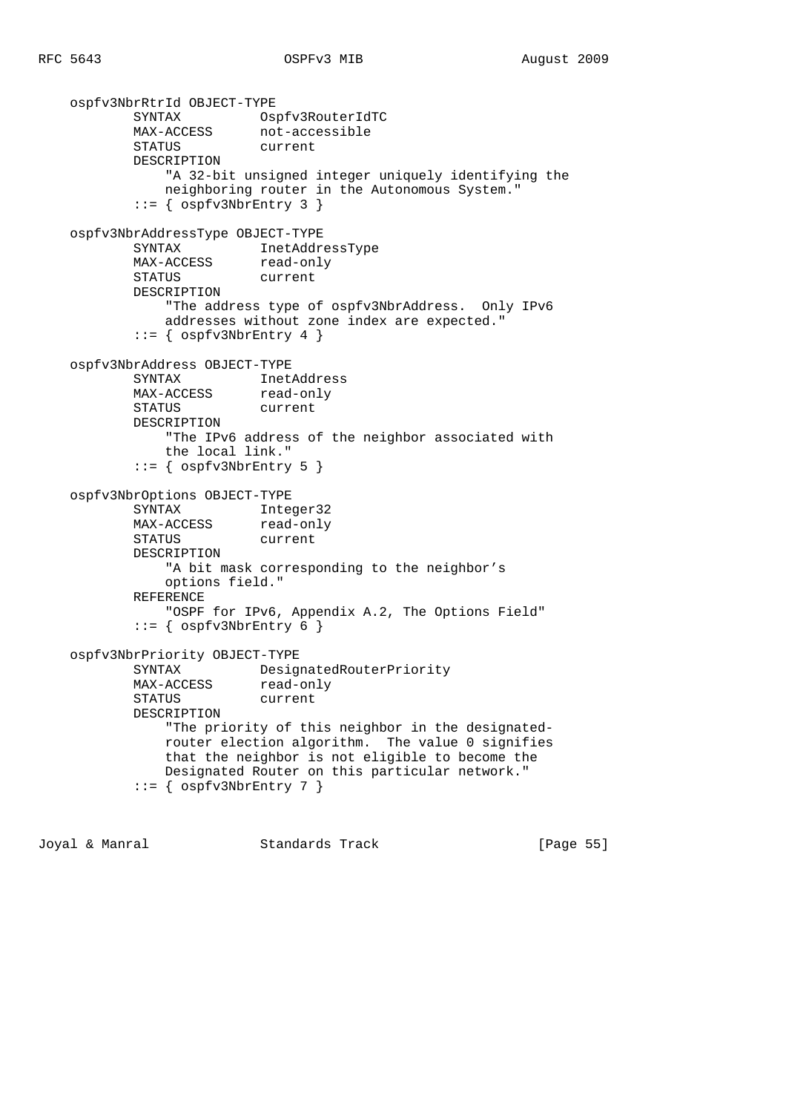```
 ospfv3NbrRtrId OBJECT-TYPE
 SYNTAX Ospfv3RouterIdTC
MAX-ACCESS not-accessible
 STATUS current
           DESCRIPTION
               "A 32-bit unsigned integer uniquely identifying the
              neighboring router in the Autonomous System."
          ::= { ospfv3NbrEntry 3 }
    ospfv3NbrAddressType OBJECT-TYPE
 SYNTAX InetAddressType
MAX-ACCESS read-only
           STATUS current
           DESCRIPTION
               "The address type of ospfv3NbrAddress. Only IPv6
              addresses without zone index are expected."
          ::= { ospfv3NbrEntry 4 }
    ospfv3NbrAddress OBJECT-TYPE
           SYNTAX InetAddress
          MAX-ACCESS read-only
           STATUS current
           DESCRIPTION
               "The IPv6 address of the neighbor associated with
               the local link."
          ::= { ospfv3NbrEntry 5 }
    ospfv3NbrOptions OBJECT-TYPE
 SYNTAX Integer32
MAX-ACCESS read-only
 STATUS current
           DESCRIPTION
               "A bit mask corresponding to the neighbor's
              options field."
           REFERENCE
               "OSPF for IPv6, Appendix A.2, The Options Field"
          ::= { ospfv3NbrEntry 6 }
    ospfv3NbrPriority OBJECT-TYPE
           SYNTAX DesignatedRouterPriority
           MAX-ACCESS read-only
           STATUS current
           DESCRIPTION
               "The priority of this neighbor in the designated-
              router election algorithm. The value 0 signifies
               that the neighbor is not eligible to become the
              Designated Router on this particular network."
          ::= { ospfv3NbrEntry 7 }
```
Joyal & Manral Standards Track [Page 55]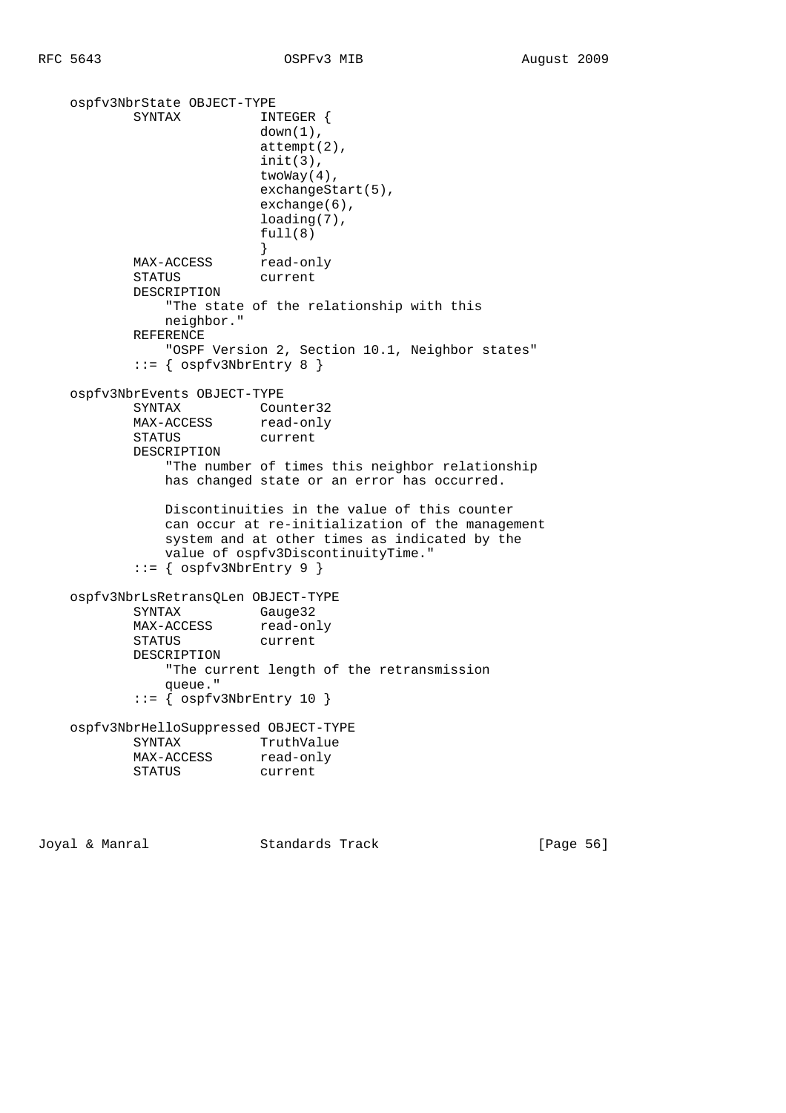```
 ospfv3NbrState OBJECT-TYPE
          SYNTAX INTEGER {
                        down(1),
                         attempt(2),
                         init(3),
                         twoWay(4),
                         exchangeStart(5),
                         exchange(6),
                         loading(7),
                        full(8) }
          MAX-ACCESS read-only
           STATUS current
           DESCRIPTION
               "The state of the relationship with this
              neighbor."
           REFERENCE
               "OSPF Version 2, Section 10.1, Neighbor states"
          ::= { ospfv3NbrEntry 8 }
    ospfv3NbrEvents OBJECT-TYPE
SYNTAX Counter32
MAX-ACCESS read-only
           STATUS current
           DESCRIPTION
               "The number of times this neighbor relationship
              has changed state or an error has occurred.
              Discontinuities in the value of this counter
               can occur at re-initialization of the management
               system and at other times as indicated by the
               value of ospfv3DiscontinuityTime."
           ::= { ospfv3NbrEntry 9 }
    ospfv3NbrLsRetransQLen OBJECT-TYPE
           SYNTAX Gauge32
          MAX-ACCESS read-only
           STATUS current
           DESCRIPTION
               "The current length of the retransmission
              queue."
          ::= { ospfv3NbrEntry 10 }
    ospfv3NbrHelloSuppressed OBJECT-TYPE
           SYNTAX TruthValue
MAX-ACCESS read-only
 STATUS current
```
Joyal & Manral Standards Track [Page 56]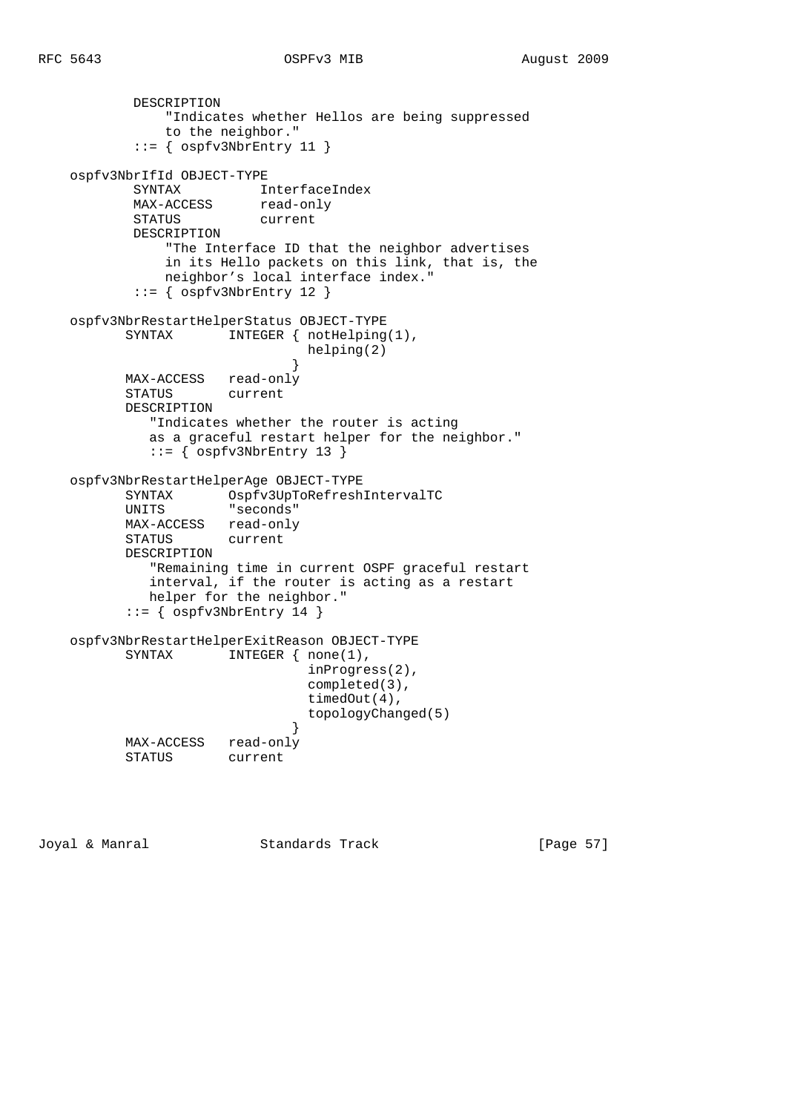```
 DESCRIPTION
               "Indicates whether Hellos are being suppressed
               to the neighbor."
          ::= { ospfv3NbrEntry 11 }
    ospfv3NbrIfId OBJECT-TYPE
 SYNTAX InterfaceIndex
MAX-ACCESS read-only
 STATUS current
           DESCRIPTION
               "The Interface ID that the neighbor advertises
               in its Hello packets on this link, that is, the
              neighbor's local interface index."
          ::= { ospfv3NbrEntry 12 }
    ospfv3NbrRestartHelperStatus OBJECT-TYPE
         SYNTAX INTEGER { notHelping(1),
                              helping(2)
 }
          MAX-ACCESS read-only
          STATUS current
          DESCRIPTION
             "Indicates whether the router is acting
             as a graceful restart helper for the neighbor."
            ::= { ospfv3NbrEntry 13 }
    ospfv3NbrRestartHelperAge OBJECT-TYPE
 SYNTAX Ospfv3UpToRefreshIntervalTC
 UNITS "seconds"
          MAX-ACCESS read-only
          STATUS current
          DESCRIPTION
             "Remaining time in current OSPF graceful restart
             interval, if the router is acting as a restart
            helper for the neighbor."
         ::= { ospfv3NbrEntry 14 }
    ospfv3NbrRestartHelperExitReason OBJECT-TYPE
         SYNTAX INTEGER { none(1),
                              inProgress(2),
                              completed(3),
                              timedOut(4),
                              topologyChanged(5)
 }
          MAX-ACCESS read-only
          STATUS current
```
Joyal & Manral Standards Track [Page 57]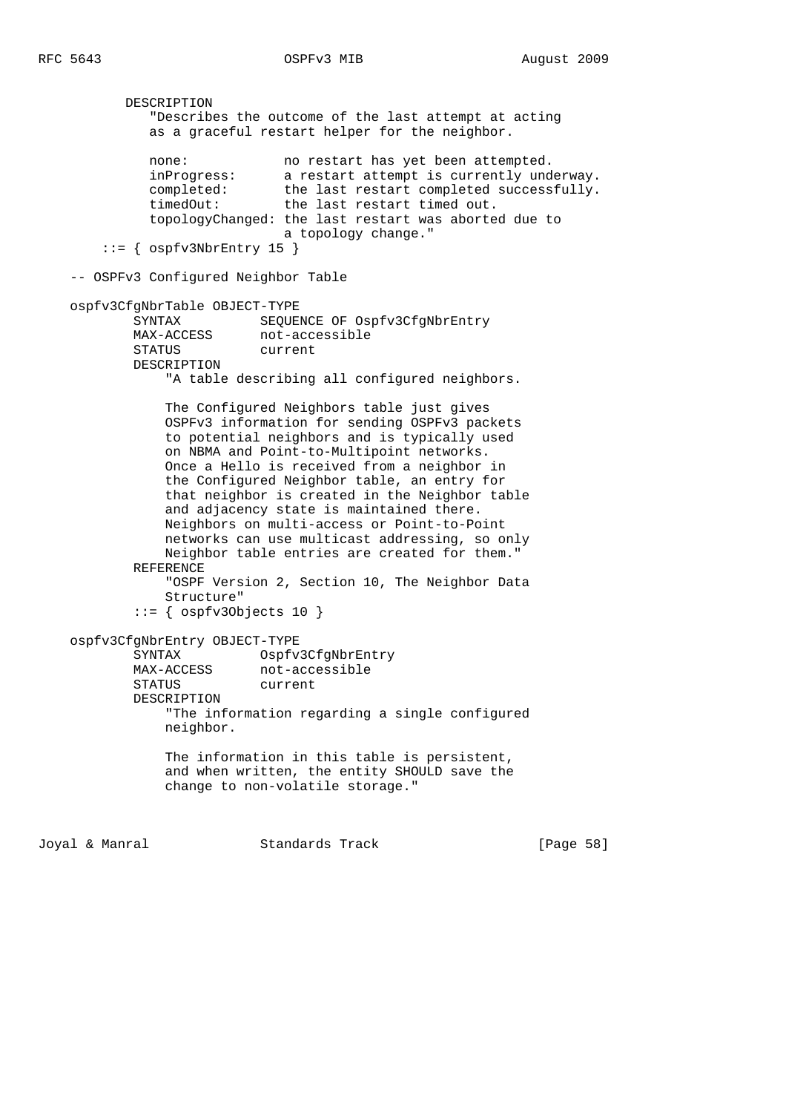DESCRIPTION "Describes the outcome of the last attempt at acting as a graceful restart helper for the neighbor. none: no restart has yet been attempted. inProgress: a restart attempt is currently underway. completed: the last restart completed successfully. timedOut: the last restart timed out. topologyChanged: the last restart was aborted due to a topology change."  $::=$  {  $ospfv3NbrEntry 15$  } -- OSPFv3 Configured Neighbor Table ospfv3CfgNbrTable OBJECT-TYPE SYNTAX SEQUENCE OF Ospfv3CfgNbrEntry MAX-ACCESS not-accessible<br>STATUS current STATUS DESCRIPTION "A table describing all configured neighbors. The Configured Neighbors table just gives OSPFv3 information for sending OSPFv3 packets to potential neighbors and is typically used on NBMA and Point-to-Multipoint networks. Once a Hello is received from a neighbor in the Configured Neighbor table, an entry for that neighbor is created in the Neighbor table and adjacency state is maintained there. Neighbors on multi-access or Point-to-Point networks can use multicast addressing, so only Neighbor table entries are created for them." REFERENCE "OSPF Version 2, Section 10, The Neighbor Data Structure" ::= { ospfv3Objects 10 } ospfv3CfgNbrEntry OBJECT-TYPE SYNTAX Ospfv3CfgNbrEntry not-accessible STATUS current DESCRIPTION "The information regarding a single configured neighbor. The information in this table is persistent, and when written, the entity SHOULD save the change to non-volatile storage."

Joyal & Manral Standards Track [Page 58]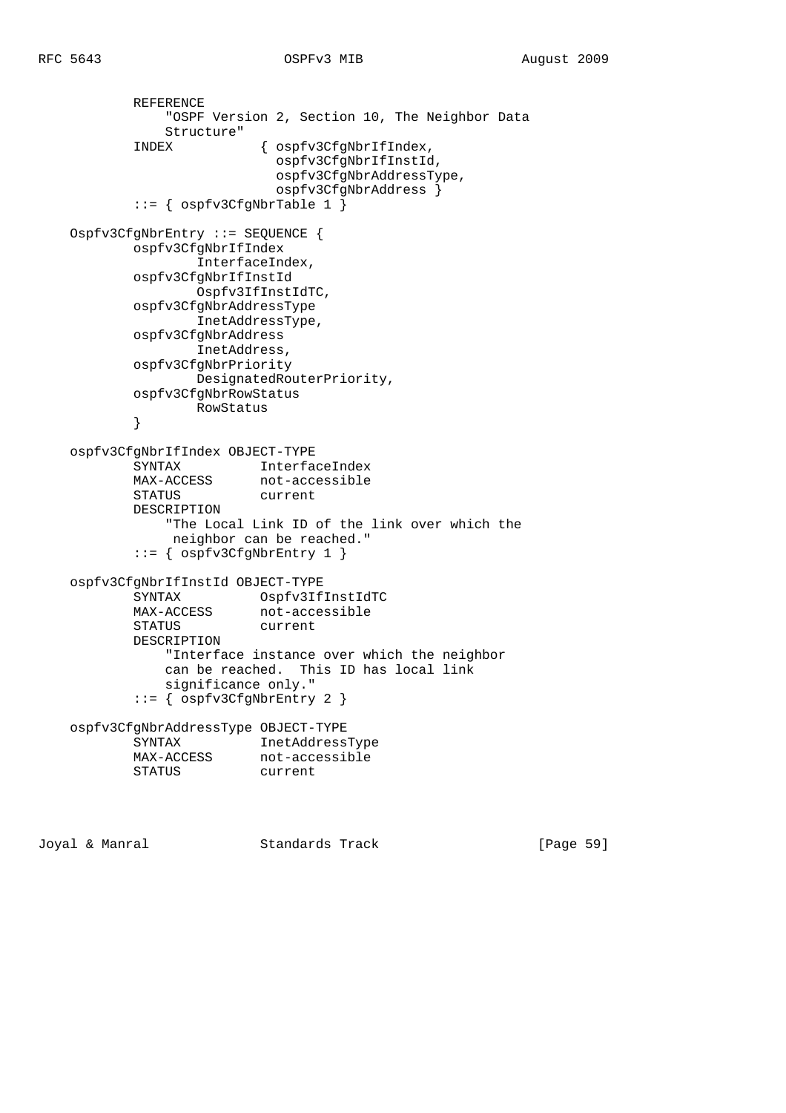```
 REFERENCE
               "OSPF Version 2, Section 10, The Neighbor Data
               Structure"
           INDEX { ospfv3CfgNbrIfIndex,
                           ospfv3CfgNbrIfInstId,
                           ospfv3CfgNbrAddressType,
                           ospfv3CfgNbrAddress }
           ::= { ospfv3CfgNbrTable 1 }
    Ospfv3CfgNbrEntry ::= SEQUENCE {
           ospfv3CfgNbrIfIndex
                  InterfaceIndex,
           ospfv3CfgNbrIfInstId
                  Ospfv3IfInstIdTC,
           ospfv3CfgNbrAddressType
                  InetAddressType,
           ospfv3CfgNbrAddress
                  InetAddress,
           ospfv3CfgNbrPriority
                  DesignatedRouterPriority,
           ospfv3CfgNbrRowStatus
                  RowStatus
 }
    ospfv3CfgNbrIfIndex OBJECT-TYPE
 SYNTAX InterfaceIndex
MAX-ACCESS not-accessible
           STATUS current
           DESCRIPTION
               "The Local Link ID of the link over which the
               neighbor can be reached."
           ::= { ospfv3CfgNbrEntry 1 }
    ospfv3CfgNbrIfInstId OBJECT-TYPE
 SYNTAX Ospfv3IfInstIdTC
MAX-ACCESS not-accessible
 STATUS current
           DESCRIPTION
               "Interface instance over which the neighbor
               can be reached. This ID has local link
               significance only."
           ::= { ospfv3CfgNbrEntry 2 }
    ospfv3CfgNbrAddressType OBJECT-TYPE
           SYNTAX InetAddressType
MAX-ACCESS not-accessible
 STATUS current
```
Joyal & Manral Standards Track [Page 59]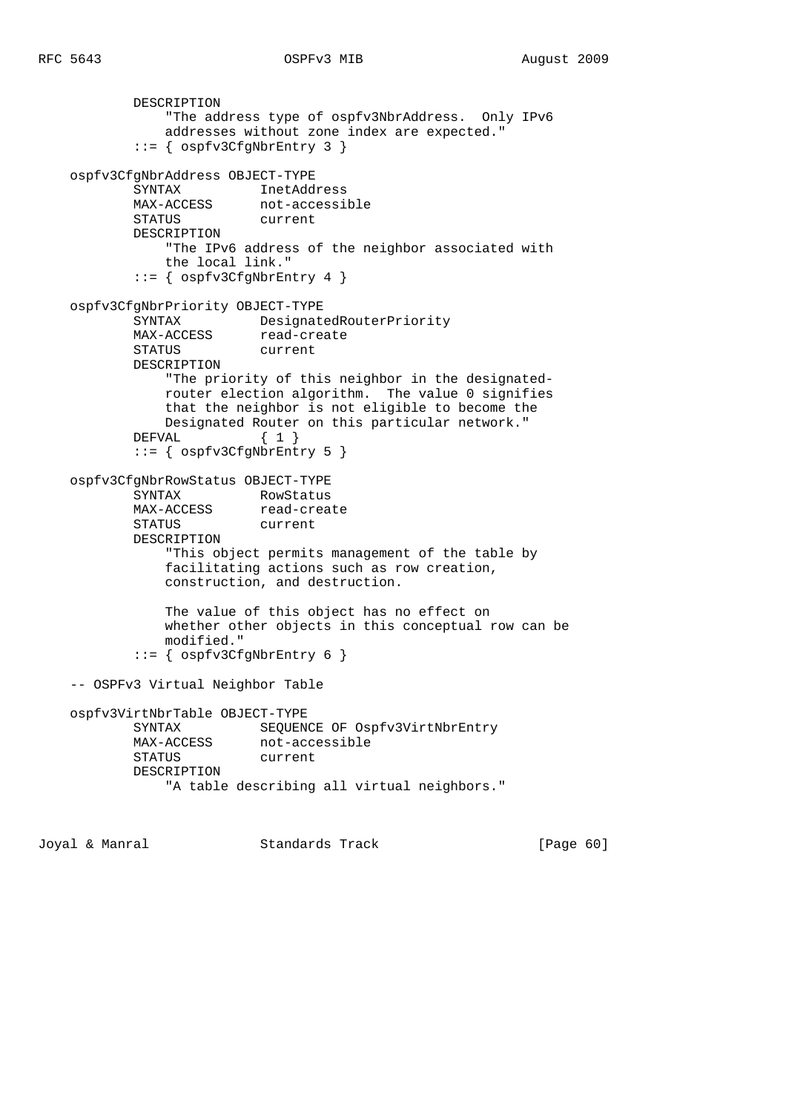```
 DESCRIPTION
                "The address type of ospfv3NbrAddress. Only IPv6
                addresses without zone index are expected."
            ::= { ospfv3CfgNbrEntry 3 }
    ospfv3CfgNbrAddress OBJECT-TYPE
            SYNTAX InetAddress
MAX-ACCESS not-accessible
 STATUS current
            DESCRIPTION
                "The IPv6 address of the neighbor associated with
                the local link."
           ::= { ospfv3CfgNbrEntry 4 }
    ospfv3CfgNbrPriority OBJECT-TYPE
           SYNTAX DesignatedRouterPriority
           MAX-ACCESS read-create
            STATUS current
            DESCRIPTION
                "The priority of this neighbor in the designated-
                router election algorithm. The value 0 signifies
               that the neighbor is not eligible to become the
               Designated Router on this particular network."
           DEFVAL \{ 1 \} ::= { ospfv3CfgNbrEntry 5 }
    ospfv3CfgNbrRowStatus OBJECT-TYPE
SYNTAX RowStatus
MAX-ACCESS read-create
            STATUS current
            DESCRIPTION
                "This object permits management of the table by
                facilitating actions such as row creation,
               construction, and destruction.
               The value of this object has no effect on
               whether other objects in this conceptual row can be
               modified."
            ::= { ospfv3CfgNbrEntry 6 }
    -- OSPFv3 Virtual Neighbor Table
    ospfv3VirtNbrTable OBJECT-TYPE
           SYNTAX SEQUENCE OF Ospfv3VirtNbrEntry<br>
MAX-ACCESS not-accessible
                        not-accessible
            STATUS current
            DESCRIPTION
               "A table describing all virtual neighbors."
```
Joyal & Manral Standards Track [Page 60]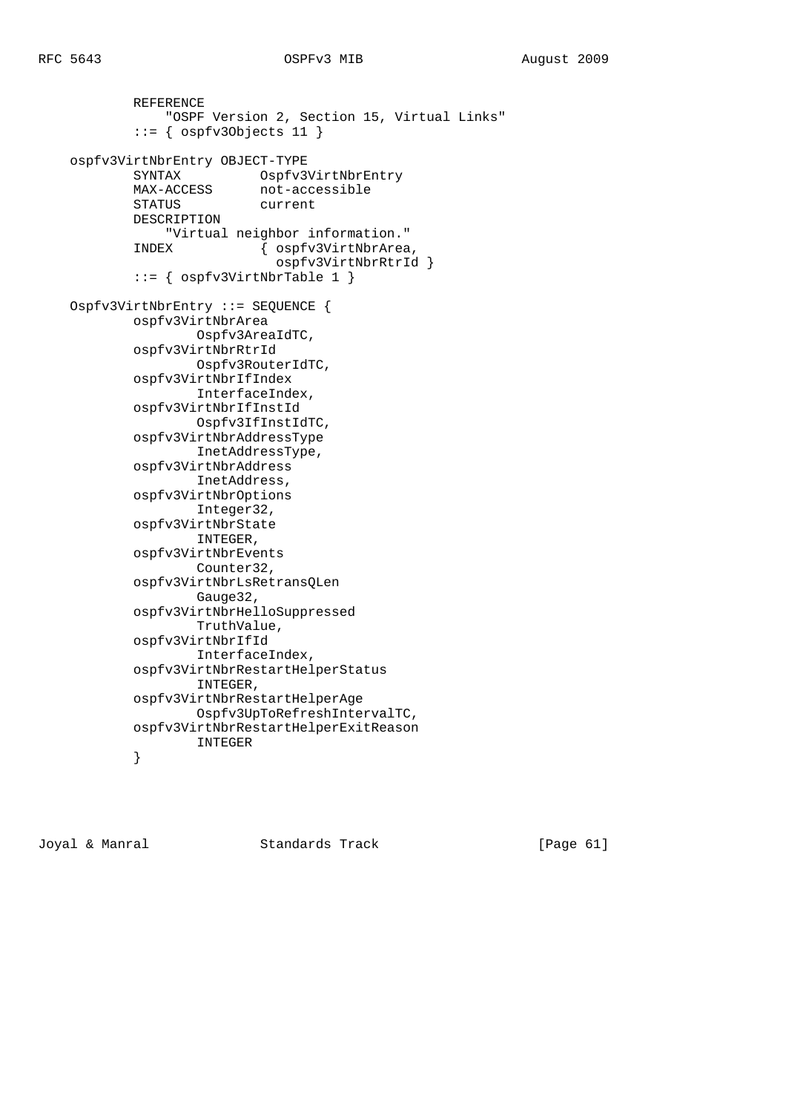```
 REFERENCE
                 "OSPF Version 2, Section 15, Virtual Links"
             ::= { ospfv3Objects 11 }
   ospfv3VirtNbrEntry OBJECT-TYPE<br>SYNTAX Ospfv3VirtNbrEntry<br>MAX-ACCESS not-accessible
 SYNTAX Ospfv3VirtNbrEntry
MAX-ACCESS not-accessible
 STATUS current
             DESCRIPTION
             "Virtual neighbor information."
                            { ospfv3VirtNbrArea,
                               ospfv3VirtNbrRtrId }
             ::= { ospfv3VirtNbrTable 1 }
    Ospfv3VirtNbrEntry ::= SEQUENCE {
             ospfv3VirtNbrArea
                     Ospfv3AreaIdTC,
             ospfv3VirtNbrRtrId
                    Ospfv3RouterIdTC,
             ospfv3VirtNbrIfIndex
                     InterfaceIndex,
             ospfv3VirtNbrIfInstId
                     Ospfv3IfInstIdTC,
             ospfv3VirtNbrAddressType
                     InetAddressType,
             ospfv3VirtNbrAddress
                     InetAddress,
             ospfv3VirtNbrOptions
                     Integer32,
             ospfv3VirtNbrState
                    INTEGER,
             ospfv3VirtNbrEvents
                    Counter32,
             ospfv3VirtNbrLsRetransQLen
                    Gauge32,
             ospfv3VirtNbrHelloSuppressed
                     TruthValue,
             ospfv3VirtNbrIfId
                     InterfaceIndex,
             ospfv3VirtNbrRestartHelperStatus
                     INTEGER,
             ospfv3VirtNbrRestartHelperAge
                    Ospfv3UpToRefreshIntervalTC,
             ospfv3VirtNbrRestartHelperExitReason
                    INTEGER
 }
```
Joyal & Manral Standards Track [Page 61]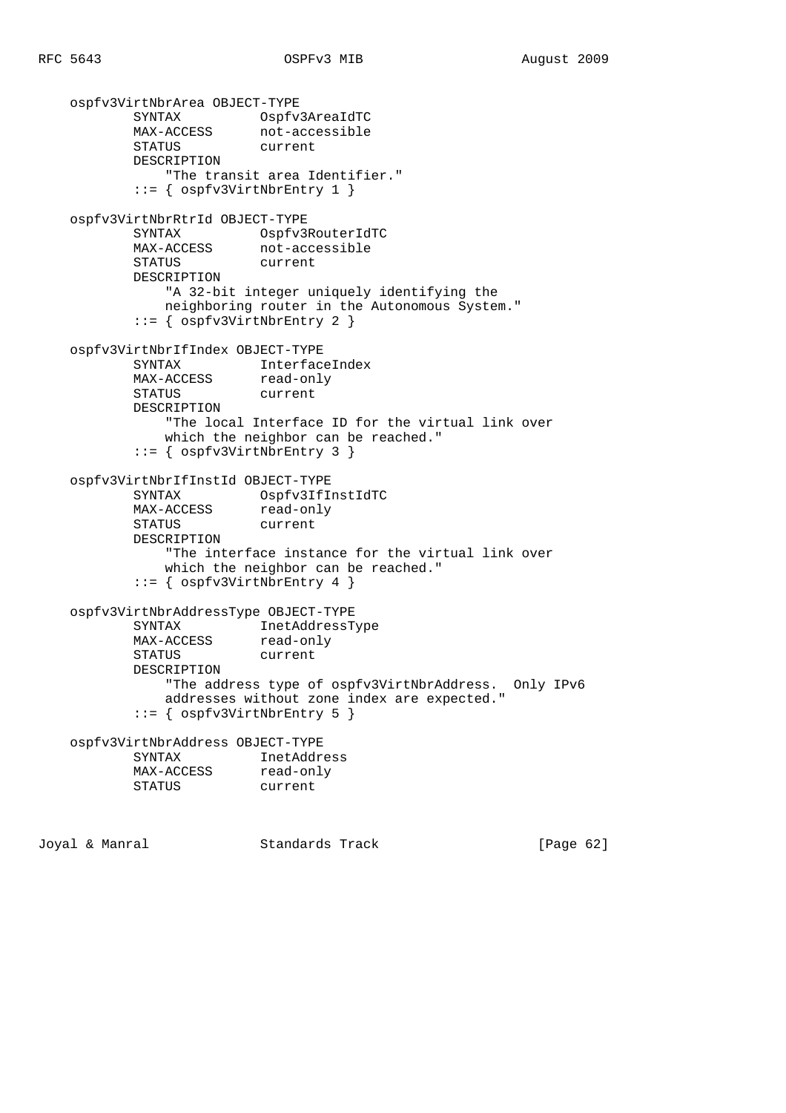```
 ospfv3VirtNbrArea OBJECT-TYPE
 SYNTAX Ospfv3AreaIdTC
MAX-ACCESS not-accessible
 STATUS current
          DESCRIPTION
              "The transit area Identifier."
           ::= { ospfv3VirtNbrEntry 1 }
    ospfv3VirtNbrRtrId OBJECT-TYPE
         SYNTAX Ospfv3RouterIdTC
MAX-ACCESS not-accessible
 STATUS current
          DESCRIPTION
              "A 32-bit integer uniquely identifying the
              neighboring router in the Autonomous System."
           ::= { ospfv3VirtNbrEntry 2 }
    ospfv3VirtNbrIfIndex OBJECT-TYPE
 SYNTAX InterfaceIndex
MAX-ACCESS read-only
          STATUS current
          DESCRIPTION
              "The local Interface ID for the virtual link over
              which the neighbor can be reached."
           ::= { ospfv3VirtNbrEntry 3 }
    ospfv3VirtNbrIfInstId OBJECT-TYPE
 SYNTAX Ospfv3IfInstIdTC
MAX-ACCESS read-only
          STATUS current
          DESCRIPTION
              "The interface instance for the virtual link over
              which the neighbor can be reached."
          ::= { ospfv3VirtNbrEntry 4 }
    ospfv3VirtNbrAddressType OBJECT-TYPE
          SYNTAX InetAddressType
MAX-ACCESS read-only
 STATUS current
          DESCRIPTION
              "The address type of ospfv3VirtNbrAddress. Only IPv6
              addresses without zone index are expected."
           ::= { ospfv3VirtNbrEntry 5 }
    ospfv3VirtNbrAddress OBJECT-TYPE
          SYNTAX InetAddress
MAX-ACCESS read-only
 STATUS current
Joyal & Manral Standards Track [Page 62]
```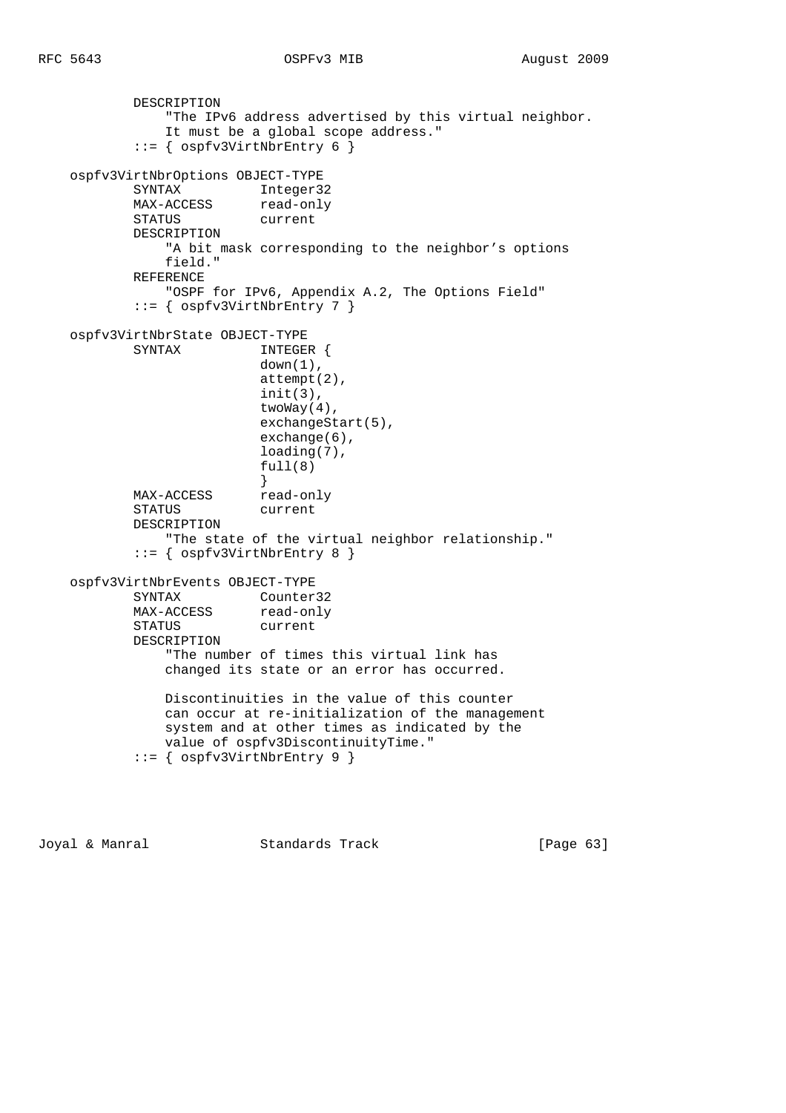```
 DESCRIPTION
                "The IPv6 address advertised by this virtual neighbor.
                It must be a global scope address."
            ::= { ospfv3VirtNbrEntry 6 }
    ospfv3VirtNbrOptions OBJECT-TYPE
SYNTAX Integer32
MAX-ACCESS read-only
           SYNTAA<br>MAX-ACCESS read-on<br>STATUS current
            DESCRIPTION
                "A bit mask corresponding to the neighbor's options
                field."
            REFERENCE
                "OSPF for IPv6, Appendix A.2, The Options Field"
            ::= { ospfv3VirtNbrEntry 7 }
    ospfv3VirtNbrState OBJECT-TYPE
                           INTEGER {
                           down(1),
                            attempt(2),
                            init(3),
                            twoWay(4),
                           exchangeStart(5),
                            exchange(6),
                            loading(7),
                           full(8)
 }
           MAX-ACCESS read-only
            STATUS current
            DESCRIPTION
                "The state of the virtual neighbor relationship."
            ::= { ospfv3VirtNbrEntry 8 }
    ospfv3VirtNbrEvents OBJECT-TYPE
            SYNTAX Counter32
           MAX-ACCESS read-only
            STATUS current
            DESCRIPTION
                "The number of times this virtual link has
                changed its state or an error has occurred.
                Discontinuities in the value of this counter
                can occur at re-initialization of the management
                system and at other times as indicated by the
                value of ospfv3DiscontinuityTime."
            ::= { ospfv3VirtNbrEntry 9 }
```
Joyal & Manral Standards Track [Page 63]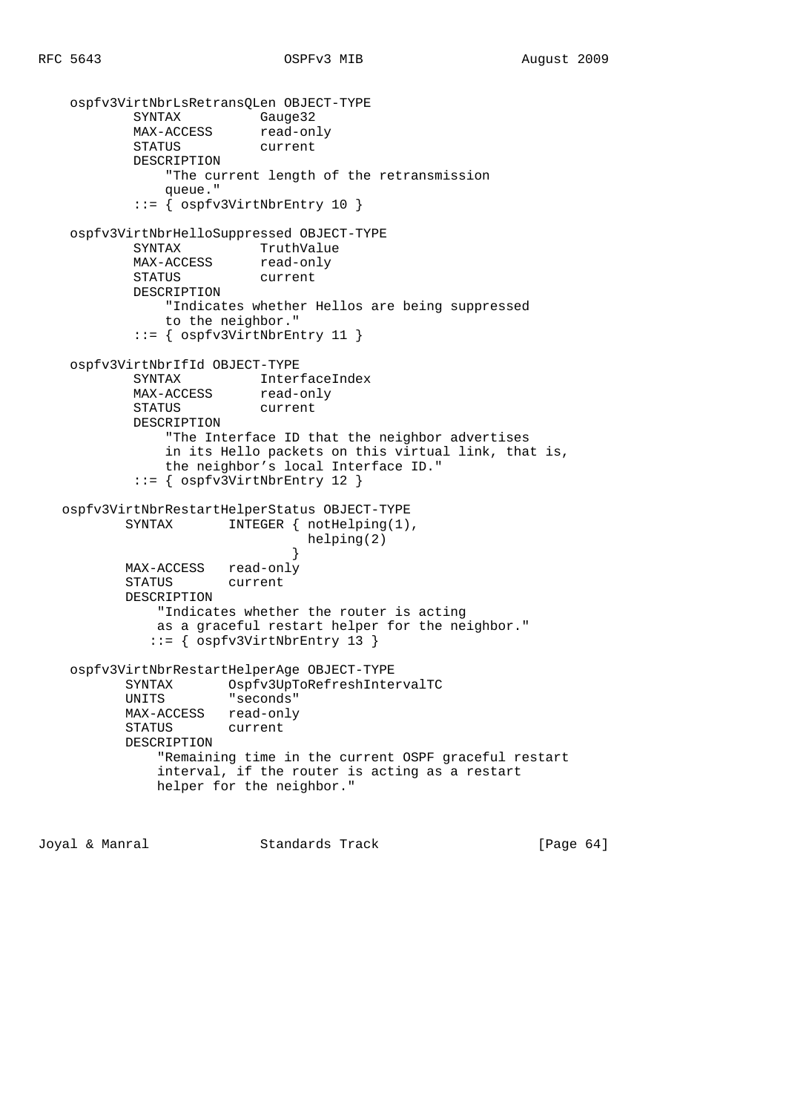```
 ospfv3VirtNbrLsRetransQLen OBJECT-TYPE
SYNTAX Gauge32
MAX-ACCESS read-only
          MAX-ACCESS read-on<br>STATUS current
            DESCRIPTION
                "The current length of the retransmission
                queue."
            ::= { ospfv3VirtNbrEntry 10 }
    ospfv3VirtNbrHelloSuppressed OBJECT-TYPE
SYNTAX TruthValue
MAX-ACCESS read-only
          SINIAA<br>MAX-ACCESS read-on<br>STATUS current
            DESCRIPTION
                "Indicates whether Hellos are being suppressed
               to the neighbor."
            ::= { ospfv3VirtNbrEntry 11 }
    ospfv3VirtNbrIfId OBJECT-TYPE
            SYNTAX InterfaceIndex
           MAX-ACCESS read-only
            STATUS current
            DESCRIPTION
                "The Interface ID that the neighbor advertises
                in its Hello packets on this virtual link, that is,
                the neighbor's local Interface ID."
            ::= { ospfv3VirtNbrEntry 12 }
   ospfv3VirtNbrRestartHelperStatus OBJECT-TYPE
          SYNTAX INTEGER { notHelping(1),
                                helping(2)
 }
           MAX-ACCESS read-only
           STATUS current
           DESCRIPTION
               "Indicates whether the router is acting
              as a graceful restart helper for the neighbor."
              ::= { ospfv3VirtNbrEntry 13 }
    ospfv3VirtNbrRestartHelperAge OBJECT-TYPE
           SYNTAX Ospfv3UpToRefreshIntervalTC
                      "seconds"
           MAX-ACCESS read-only
           STATUS current
           DESCRIPTION
               "Remaining time in the current OSPF graceful restart
               interval, if the router is acting as a restart
              helper for the neighbor."
```
Joyal & Manral Standards Track [Page 64]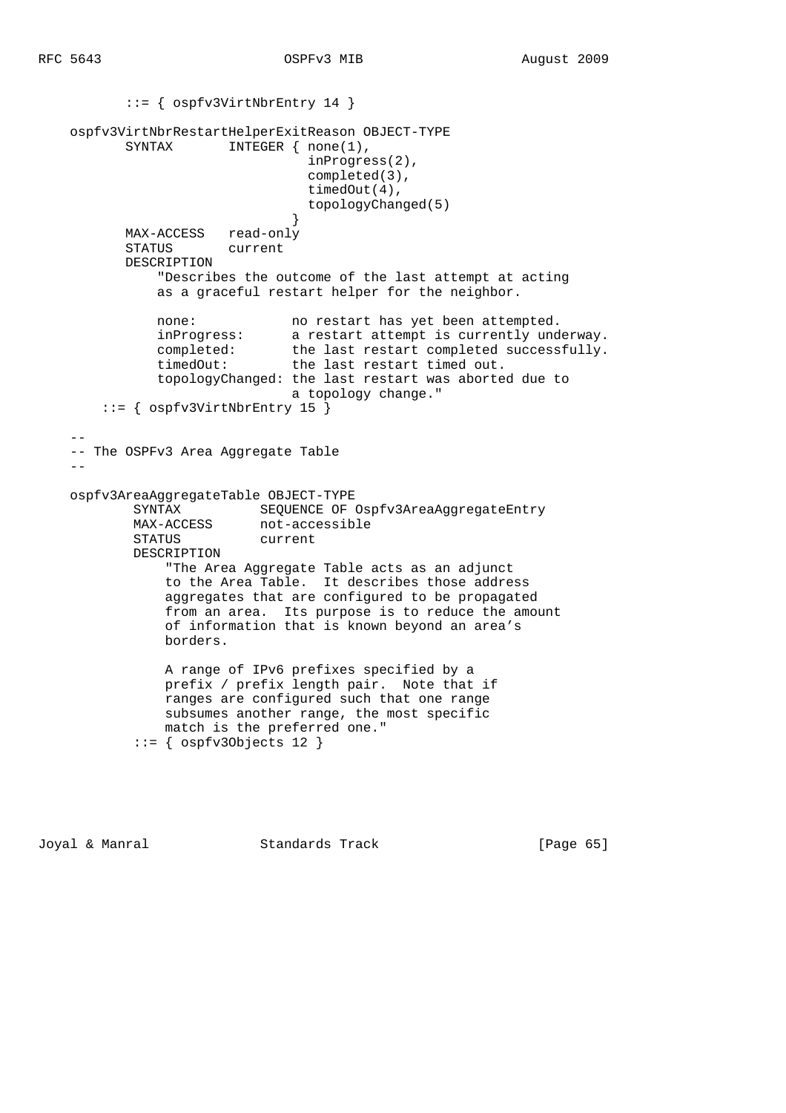```
 ::= { ospfv3VirtNbrEntry 14 }
     ospfv3VirtNbrRestartHelperExitReason OBJECT-TYPE
           SYNTAX INTEGER { none(1),
                                      inProgress(2),
                                     completed(3),
                                      timedOut(4),
                                      topologyChanged(5)
 }
            MAX-ACCESS read-only
            STATUS current
            DESCRIPTION
                 "Describes the outcome of the last attempt at acting
                 as a graceful restart helper for the neighbor.
                none: no restart has yet been attempted.<br>inProgress: a restart attempt is currently und
                inProgress: a restart attempt is currently underway.<br>completed: the last restart completed successfully.<br>timedOut: the last restart timed out.
                                 the last restart completed successfully.
                                 the last restart timed out.
                 topologyChanged: the last restart was aborted due to
                                   a topology change."
         ::= { ospfv3VirtNbrEntry 15 }
 --
     -- The OSPFv3 Area Aggregate Table
 --
     ospfv3AreaAggregateTable OBJECT-TYPE
            SYNTAX SEQUENCE OF Ospfv3AreaAggregateEntry<br>MAX-ACCESS not-accessible
                            not-accessible
             STATUS current
             DESCRIPTION
                  "The Area Aggregate Table acts as an adjunct
                  to the Area Table. It describes those address
                  aggregates that are configured to be propagated
                  from an area. Its purpose is to reduce the amount
                  of information that is known beyond an area's
                  borders.
                  A range of IPv6 prefixes specified by a
                  prefix / prefix length pair. Note that if
                  ranges are configured such that one range
                  subsumes another range, the most specific
                  match is the preferred one."
              ::= { ospfv3Objects 12 }
```
Joyal & Manral Standards Track [Page 65]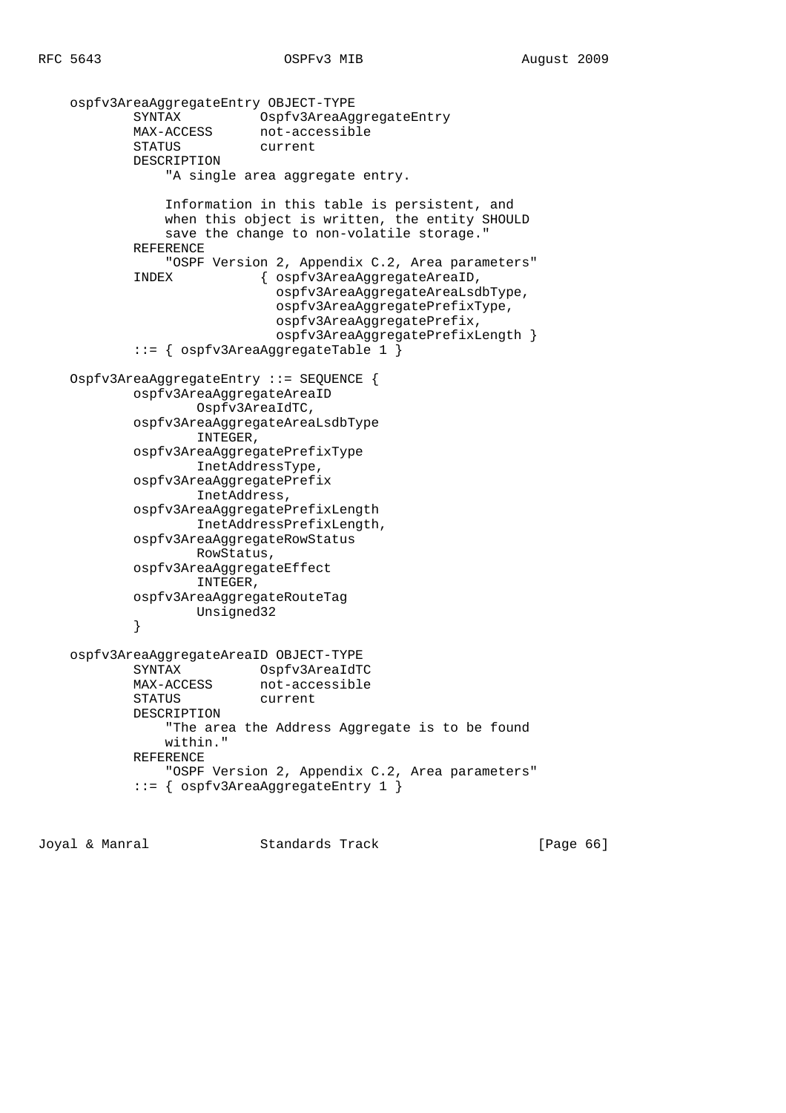```
 ospfv3AreaAggregateEntry OBJECT-TYPE
            SYNTAX Ospfv3AreaAggregateEntry
           MAX-ACCESS not-accessible
            STATUS current
            DESCRIPTION
                "A single area aggregate entry.
                Information in this table is persistent, and
                when this object is written, the entity SHOULD
                save the change to non-volatile storage."
            REFERENCE
                "OSPF Version 2, Appendix C.2, Area parameters"
            INDEX { ospfv3AreaAggregateAreaID,
                              ospfv3AreaAggregateAreaLsdbType,
                              ospfv3AreaAggregatePrefixType,
                              ospfv3AreaAggregatePrefix,
                              ospfv3AreaAggregatePrefixLength }
            ::= { ospfv3AreaAggregateTable 1 }
    Ospfv3AreaAggregateEntry ::= SEQUENCE {
            ospfv3AreaAggregateAreaID
                    Ospfv3AreaIdTC,
            ospfv3AreaAggregateAreaLsdbType
                    INTEGER,
            ospfv3AreaAggregatePrefixType
                    InetAddressType,
            ospfv3AreaAggregatePrefix
                    InetAddress,
            ospfv3AreaAggregatePrefixLength
                    InetAddressPrefixLength,
            ospfv3AreaAggregateRowStatus
                    RowStatus,
            ospfv3AreaAggregateEffect
                    INTEGER,
            ospfv3AreaAggregateRouteTag
                    Unsigned32
 }
    ospfv3AreaAggregateAreaID OBJECT-TYPE
            SYNTAX Ospfv3AreaIdTC
            MAX-ACCESS not-accessible
            STATUS current
            DESCRIPTION
                "The area the Address Aggregate is to be found
                within."
            REFERENCE
                "OSPF Version 2, Appendix C.2, Area parameters"
            ::= { ospfv3AreaAggregateEntry 1 }
```
Joyal & Manral Standards Track [Page 66]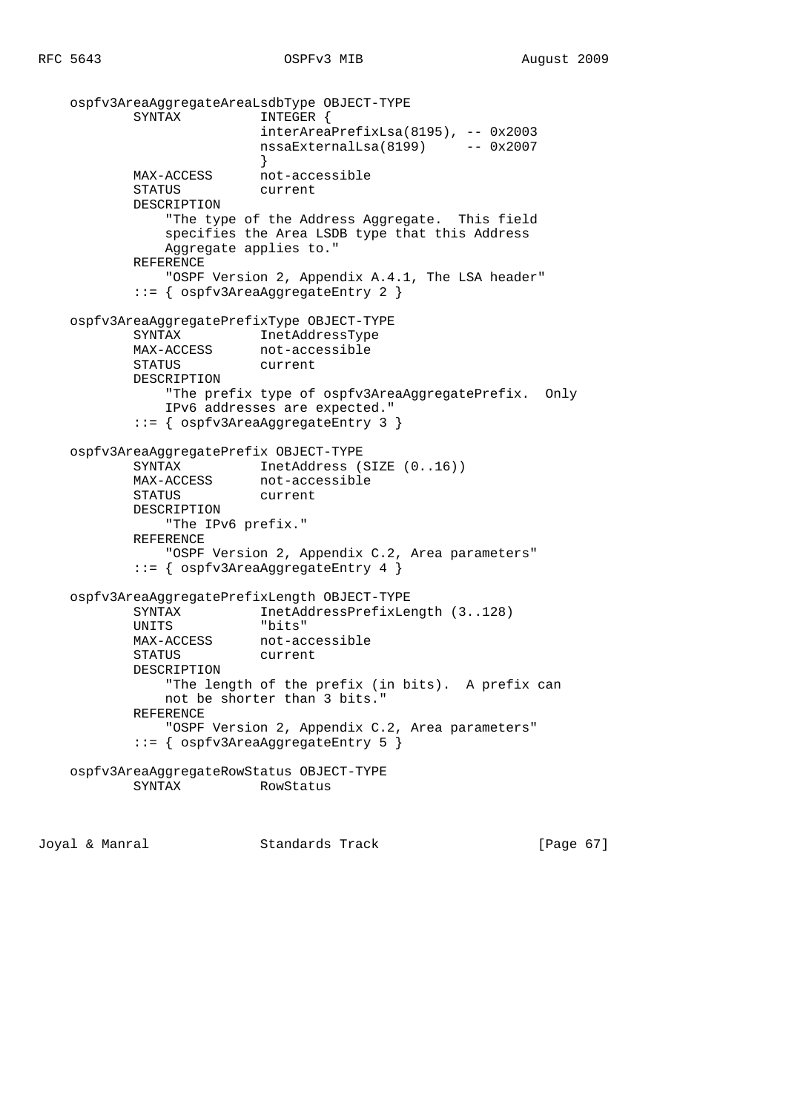```
 ospfv3AreaAggregateAreaLsdbType OBJECT-TYPE
          SYNTAX INTEGER {
                          interAreaPrefixLsa(8195), -- 0x2003
                          nssaExternalLsa(8199) -- 0x2007
 }
           MAX-ACCESS not-accessible
           STATUS current
           DESCRIPTION
               "The type of the Address Aggregate. This field
               specifies the Area LSDB type that this Address
               Aggregate applies to."
           REFERENCE
               "OSPF Version 2, Appendix A.4.1, The LSA header"
            ::= { ospfv3AreaAggregateEntry 2 }
    ospfv3AreaAggregatePrefixType OBJECT-TYPE
           SYNTAX InetAddressType
           MAX-ACCESS not-accessible
           STATUS current
           DESCRIPTION
               "The prefix type of ospfv3AreaAggregatePrefix. Only
               IPv6 addresses are expected."
            ::= { ospfv3AreaAggregateEntry 3 }
    ospfv3AreaAggregatePrefix OBJECT-TYPE
SYNTAX InetAddress (SIZE (0..16))
MAX-ACCESS not-accessible
           STATUS current
           DESCRIPTION
               "The IPv6 prefix."
           REFERENCE
               "OSPF Version 2, Appendix C.2, Area parameters"
            ::= { ospfv3AreaAggregateEntry 4 }
    ospfv3AreaAggregatePrefixLength OBJECT-TYPE
           SYNTAX InetAddressPrefixLength (3..128)
           UNITS "bits"
           MAX-ACCESS not-accessible
           STATUS current
           DESCRIPTION
               "The length of the prefix (in bits). A prefix can
               not be shorter than 3 bits."
           REFERENCE
               "OSPF Version 2, Appendix C.2, Area parameters"
            ::= { ospfv3AreaAggregateEntry 5 }
    ospfv3AreaAggregateRowStatus OBJECT-TYPE
                         RowStatus
```
Joyal & Manral Standards Track [Page 67]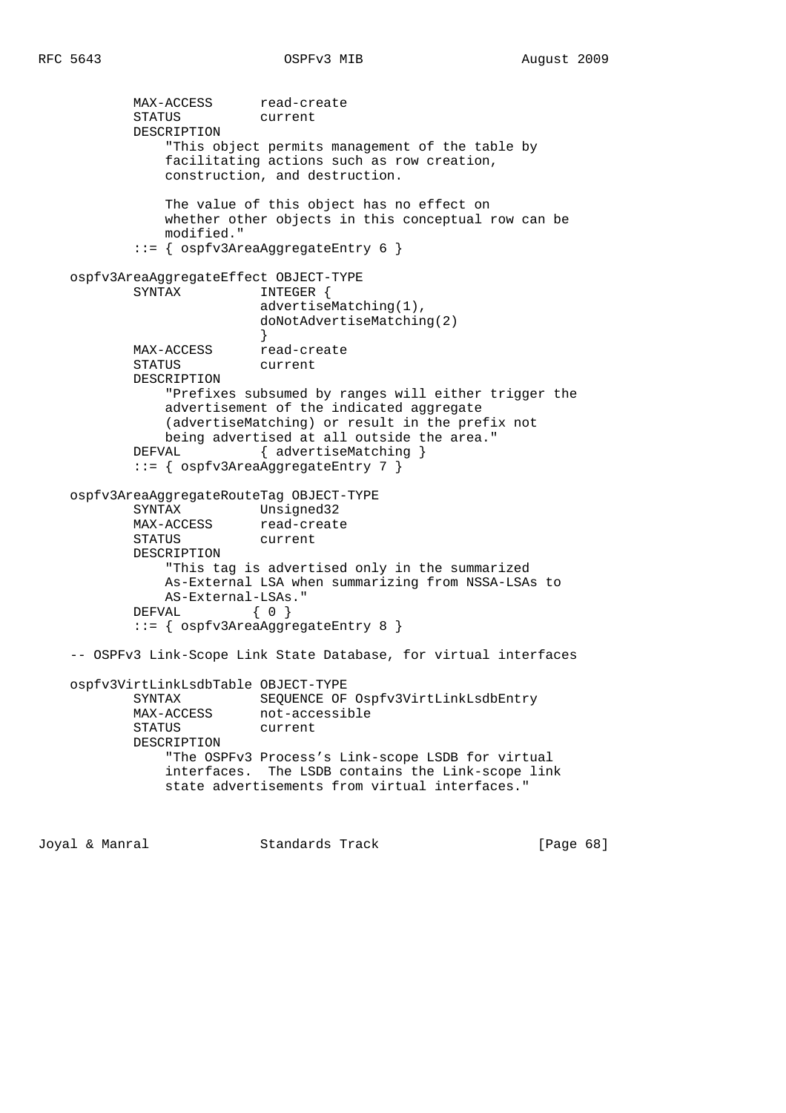MAX-ACCESS read-create STATUS current DESCRIPTION "This object permits management of the table by facilitating actions such as row creation, construction, and destruction. The value of this object has no effect on whether other objects in this conceptual row can be modified." ::= { ospfv3AreaAggregateEntry 6 } ospfv3AreaAggregateEffect OBJECT-TYPE SYNTAX INTEGER { advertiseMatching(1), doNotAdvertiseMatching(2) } MAX-ACCESS read-create STATUS current DESCRIPTION "Prefixes subsumed by ranges will either trigger the advertisement of the indicated aggregate (advertiseMatching) or result in the prefix not being advertised at all outside the area." DEFVAL { advertiseMatching } ::= { ospfv3AreaAggregateEntry 7 } ospfv3AreaAggregateRouteTag OBJECT-TYPE SYNTAX Unsigned32 MAX-ACCESS read-create STATUS current DESCRIPTION "This tag is advertised only in the summarized As-External LSA when summarizing from NSSA-LSAs to AS-External-LSAs." DEFVAL { 0 } ::= { ospfv3AreaAggregateEntry 8 } -- OSPFv3 Link-Scope Link State Database, for virtual interfaces ospfv3VirtLinkLsdbTable OBJECT-TYPE SYNTAX SEQUENCE OF Ospfv3VirtLinkLsdbEntry<br>MAX-ACCESS not-accessible not-accessible STATUS current DESCRIPTION "The OSPFv3 Process's Link-scope LSDB for virtual interfaces. The LSDB contains the Link-scope link state advertisements from virtual interfaces."

Joyal & Manral Standards Track [Page 68]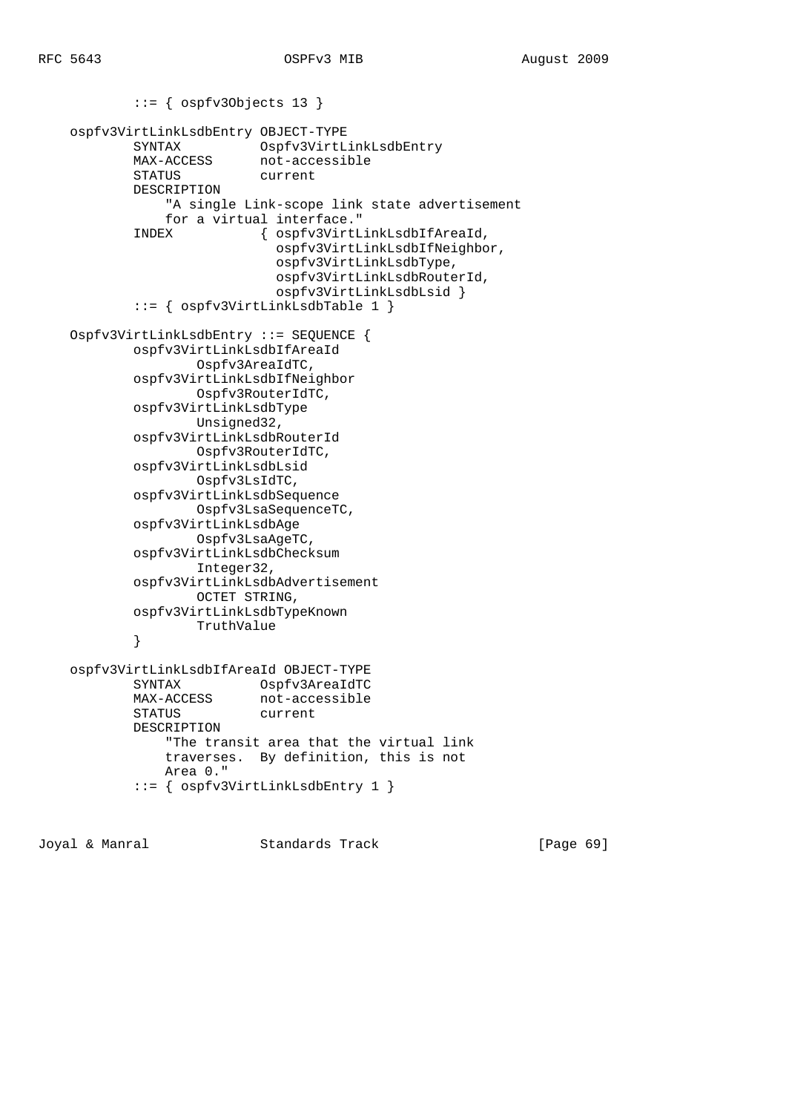```
 ::= { ospfv3Objects 13 }
    ospfv3VirtLinkLsdbEntry OBJECT-TYPE
 SYNTAX Ospfv3VirtLinkLsdbEntry
MAX-ACCESS not-accessible
            STATUS current
            DESCRIPTION
                "A single Link-scope link state advertisement
                for a virtual interface."
            INDEX { ospfv3VirtLinkLsdbIfAreaId,
                              ospfv3VirtLinkLsdbIfNeighbor,
                              ospfv3VirtLinkLsdbType,
                             ospfv3VirtLinkLsdbRouterId,
                              ospfv3VirtLinkLsdbLsid }
            ::= { ospfv3VirtLinkLsdbTable 1 }
    Ospfv3VirtLinkLsdbEntry ::= SEQUENCE {
            ospfv3VirtLinkLsdbIfAreaId
                    Ospfv3AreaIdTC,
            ospfv3VirtLinkLsdbIfNeighbor
                    Ospfv3RouterIdTC,
            ospfv3VirtLinkLsdbType
                    Unsigned32,
            ospfv3VirtLinkLsdbRouterId
                    Ospfv3RouterIdTC,
            ospfv3VirtLinkLsdbLsid
                    Ospfv3LsIdTC,
            ospfv3VirtLinkLsdbSequence
                    Ospfv3LsaSequenceTC,
            ospfv3VirtLinkLsdbAge
                    Ospfv3LsaAgeTC,
            ospfv3VirtLinkLsdbChecksum
                    Integer32,
            ospfv3VirtLinkLsdbAdvertisement
                    OCTET STRING,
            ospfv3VirtLinkLsdbTypeKnown
                    TruthValue
 }
    ospfv3VirtLinkLsdbIfAreaId OBJECT-TYPE
            SYNTAX Ospfv3AreaIdTC
           MAX-ACCESS not-accessible
            STATUS current
            DESCRIPTION
                "The transit area that the virtual link
                traverses. By definition, this is not
                Area 0."
            ::= { ospfv3VirtLinkLsdbEntry 1 }
```
Joyal & Manral Standards Track [Page 69]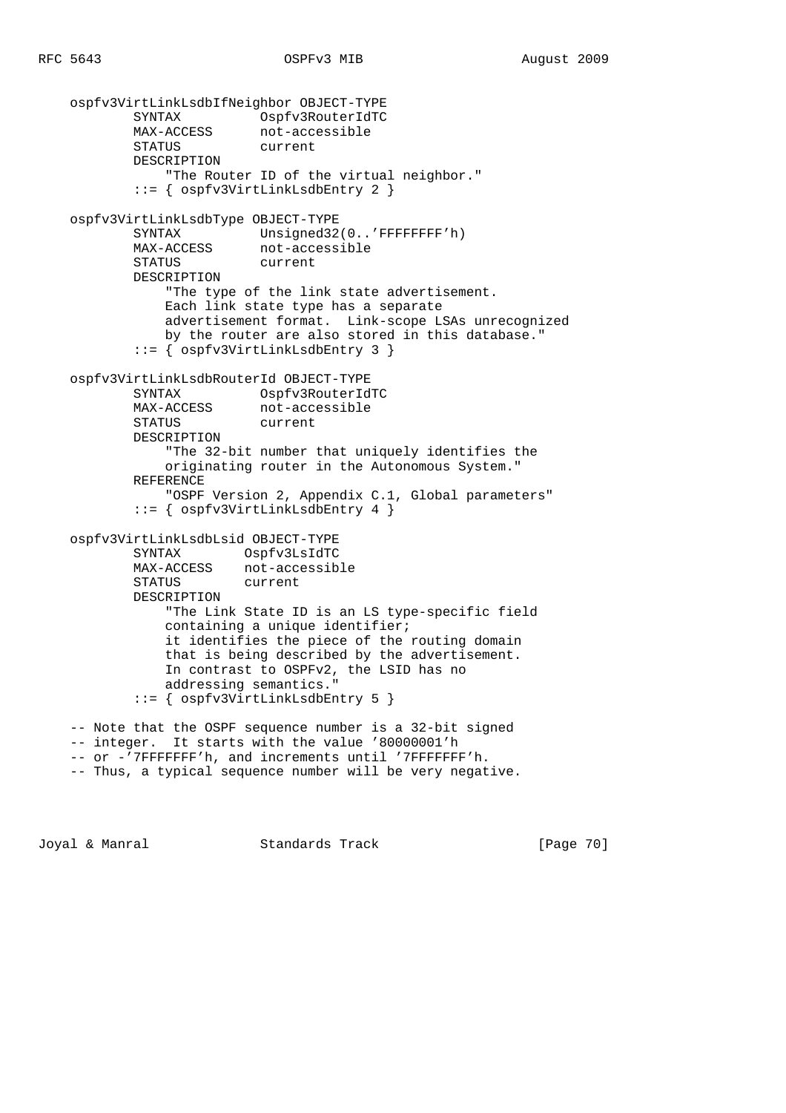```
 ospfv3VirtLinkLsdbIfNeighbor OBJECT-TYPE
 SYNTAX Ospfv3RouterIdTC
MAX-ACCESS not-accessible
 STATUS current
            DESCRIPTION
                "The Router ID of the virtual neighbor."
            ::= { ospfv3VirtLinkLsdbEntry 2 }
    ospfv3VirtLinkLsdbType OBJECT-TYPE
           SYNTAX Unsigned32(0..'FFFFFFFF'h)
MAX-ACCESS not-accessible
 STATUS current
            DESCRIPTION
                "The type of the link state advertisement.
               Each link state type has a separate
               advertisement format. Link-scope LSAs unrecognized
               by the router are also stored in this database."
            ::= { ospfv3VirtLinkLsdbEntry 3 }
    ospfv3VirtLinkLsdbRouterId OBJECT-TYPE
            SYNTAX Ospfv3RouterIdTC
            MAX-ACCESS not-accessible
            STATUS current
            DESCRIPTION
                "The 32-bit number that uniquely identifies the
               originating router in the Autonomous System."
            REFERENCE
               "OSPF Version 2, Appendix C.1, Global parameters"
            ::= { ospfv3VirtLinkLsdbEntry 4 }
    ospfv3VirtLinkLsdbLsid OBJECT-TYPE
            SYNTAX Ospfv3LsIdTC
           MAX-ACCESS not-accessible
            STATUS current
            DESCRIPTION
                "The Link State ID is an LS type-specific field
               containing a unique identifier;
               it identifies the piece of the routing domain
               that is being described by the advertisement.
               In contrast to OSPFv2, the LSID has no
               addressing semantics."
            ::= { ospfv3VirtLinkLsdbEntry 5 }
    -- Note that the OSPF sequence number is a 32-bit signed
    -- integer. It starts with the value '80000001'h
    -- or -'7FFFFFFF'h, and increments until '7FFFFFFF'h.
    -- Thus, a typical sequence number will be very negative.
```
Joyal & Manral Standards Track [Page 70]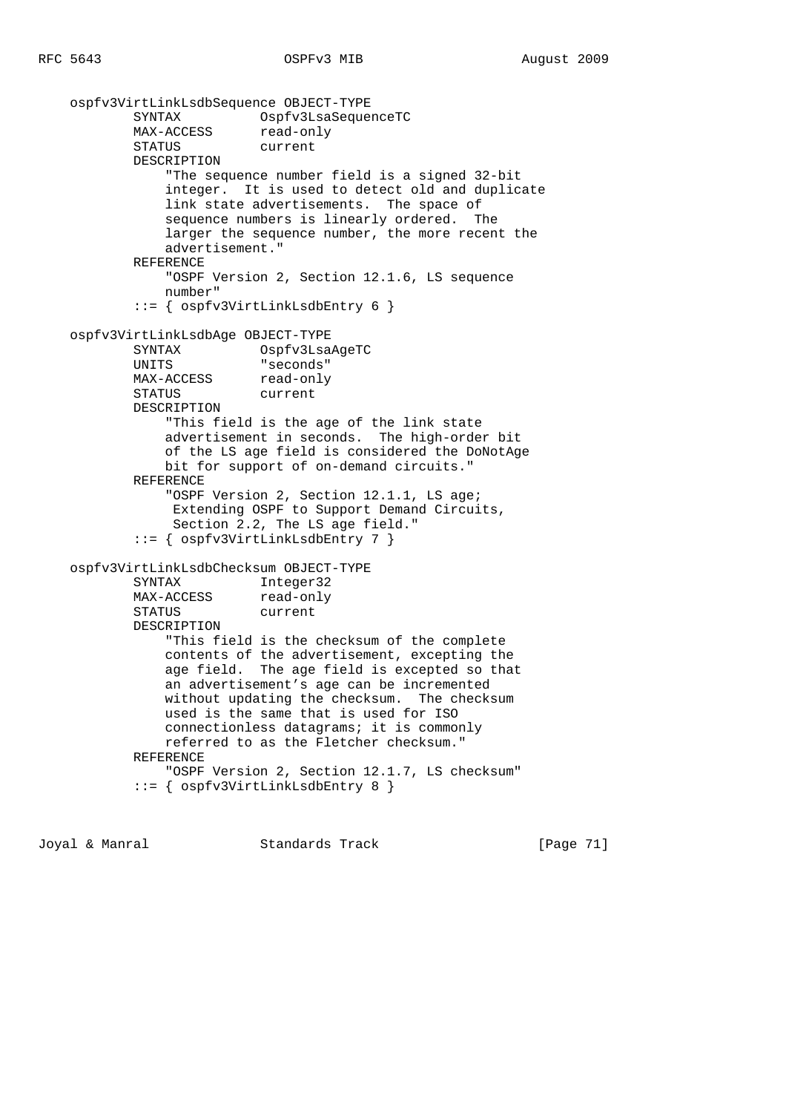```
 ospfv3VirtLinkLsdbSequence OBJECT-TYPE
        SYNTAX Ospfv3LsaSequenceTC
       MAX-ACCESS read-only
        STATUS current
        DESCRIPTION
            "The sequence number field is a signed 32-bit
            integer. It is used to detect old and duplicate
            link state advertisements. The space of
           sequence numbers is linearly ordered. The
            larger the sequence number, the more recent the
            advertisement."
        REFERENCE
            "OSPF Version 2, Section 12.1.6, LS sequence
            number"
         ::= { ospfv3VirtLinkLsdbEntry 6 }
 ospfv3VirtLinkLsdbAge OBJECT-TYPE
        SYNTAX Ospfv3LsaAgeTC
        UNITS "seconds"
       MAX-ACCESS read-only
        STATUS current
        DESCRIPTION
            "This field is the age of the link state
            advertisement in seconds. The high-order bit
            of the LS age field is considered the DoNotAge
            bit for support of on-demand circuits."
        REFERENCE
            "OSPF Version 2, Section 12.1.1, LS age;
             Extending OSPF to Support Demand Circuits,
             Section 2.2, The LS age field."
         ::= { ospfv3VirtLinkLsdbEntry 7 }
 ospfv3VirtLinkLsdbChecksum OBJECT-TYPE
        SYNTAX Integer32
       MAX-ACCESS read-only
        STATUS current
        DESCRIPTION
            "This field is the checksum of the complete
            contents of the advertisement, excepting the
            age field. The age field is excepted so that
            an advertisement's age can be incremented
            without updating the checksum. The checksum
            used is the same that is used for ISO
            connectionless datagrams; it is commonly
            referred to as the Fletcher checksum."
        REFERENCE
            "OSPF Version 2, Section 12.1.7, LS checksum"
         ::= { ospfv3VirtLinkLsdbEntry 8 }
```
Joyal & Manral Standards Track [Page 71]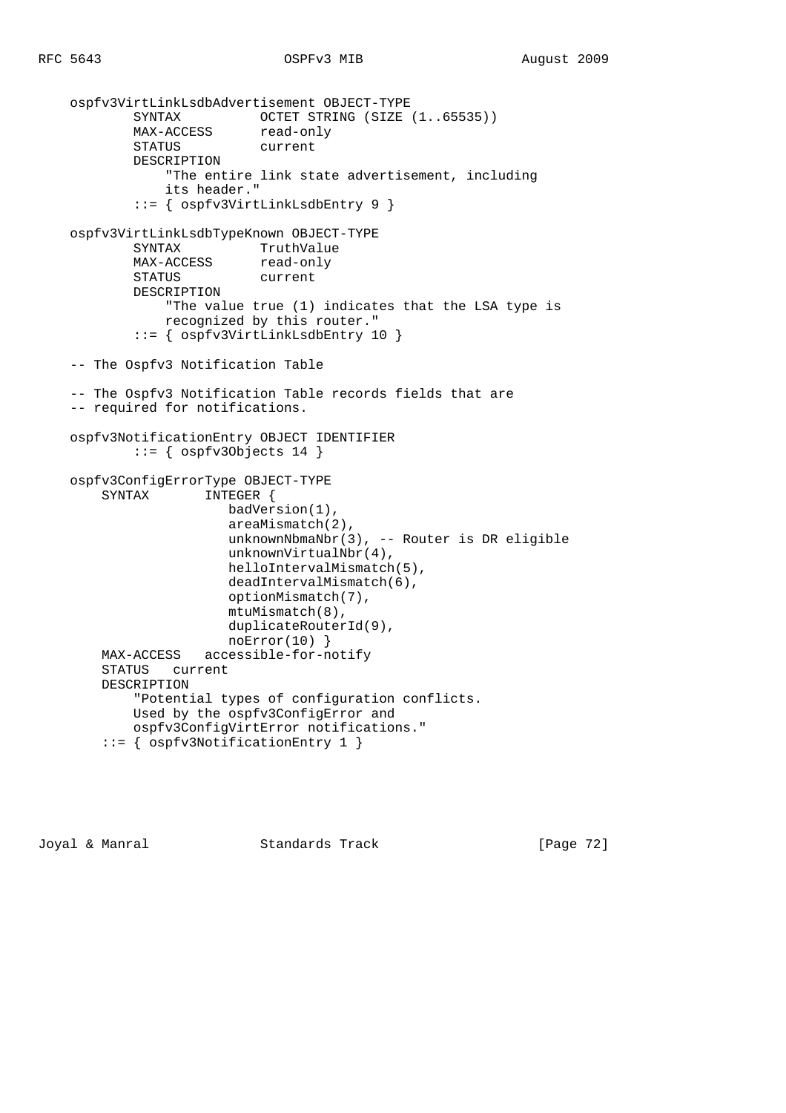```
 ospfv3VirtLinkLsdbAdvertisement OBJECT-TYPE
           SYNTAX OCTET STRING (SIZE (1..65535))<br>
MAX-ACCESS read-only
MAX-ACCESS read-only
 STATUS current
            DESCRIPTION
                "The entire link state advertisement, including
                its header."
            ::= { ospfv3VirtLinkLsdbEntry 9 }
    ospfv3VirtLinkLsdbTypeKnown OBJECT-TYPE
            SYNTAX TruthValue
           MAX-ACCESS read-only
            STATUS current
            DESCRIPTION
                "The value true (1) indicates that the LSA type is
                recognized by this router."
            ::= { ospfv3VirtLinkLsdbEntry 10 }
    -- The Ospfv3 Notification Table
    -- The Ospfv3 Notification Table records fields that are
    -- required for notifications.
    ospfv3NotificationEntry OBJECT IDENTIFIER
           ::= { ospfv30bjects 14 }
    ospfv3ConfigErrorType OBJECT-TYPE
        SYNTAX INTEGER {
                        badVersion(1),
                        areaMismatch(2),
                        unknownNbmaNbr(3), -- Router is DR eligible
                        unknownVirtualNbr(4),
                        helloIntervalMismatch(5),
                        deadIntervalMismatch(6),
                        optionMismatch(7),
                        mtuMismatch(8),
                        duplicateRouterId(9),
                        noError(10) }
        MAX-ACCESS accessible-for-notify
        STATUS current
        DESCRIPTION
            "Potential types of configuration conflicts.
            Used by the ospfv3ConfigError and
            ospfv3ConfigVirtError notifications."
        ::= { ospfv3NotificationEntry 1 }
```
Joyal & Manral **Standards Track** [Page 72]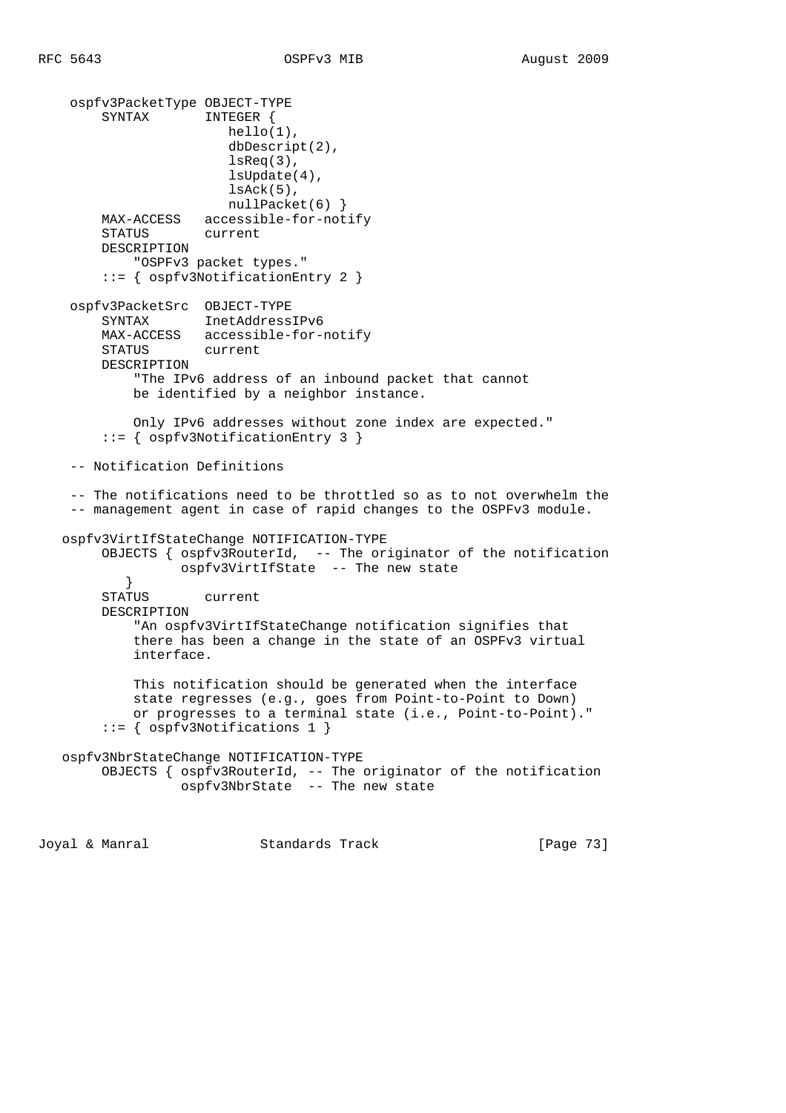ospfv3PacketType OBJECT-TYPE SYNTAX INTEGER { hello(1), dbDescript(2), lsReq(3), lsUpdate(4), lsAck(5), nullPacket(6) } MAX-ACCESS accessible-for-notify STATUS current DESCRIPTION "OSPFv3 packet types." ::= { ospfv3NotificationEntry 2 } ospfv3PacketSrc OBJECT-TYPE SYNTAX InetAddressIPv6 MAX-ACCESS accessible-for-notify STATUS current DESCRIPTION "The IPv6 address of an inbound packet that cannot be identified by a neighbor instance. Only IPv6 addresses without zone index are expected." ::= { ospfv3NotificationEntry 3 } -- Notification Definitions -- The notifications need to be throttled so as to not overwhelm the -- management agent in case of rapid changes to the OSPFv3 module. ospfv3VirtIfStateChange NOTIFICATION-TYPE OBJECTS { ospfv3RouterId, -- The originator of the notification ospfv3VirtIfState -- The new state } STATUS current DESCRIPTION "An ospfv3VirtIfStateChange notification signifies that there has been a change in the state of an OSPFv3 virtual interface. This notification should be generated when the interface state regresses (e.g., goes from Point-to-Point to Down) or progresses to a terminal state (i.e., Point-to-Point)." ::= { ospfv3Notifications 1 } ospfv3NbrStateChange NOTIFICATION-TYPE OBJECTS { ospfv3RouterId, -- The originator of the notification ospfv3NbrState -- The new state

Joyal & Manral Standards Track [Page 73]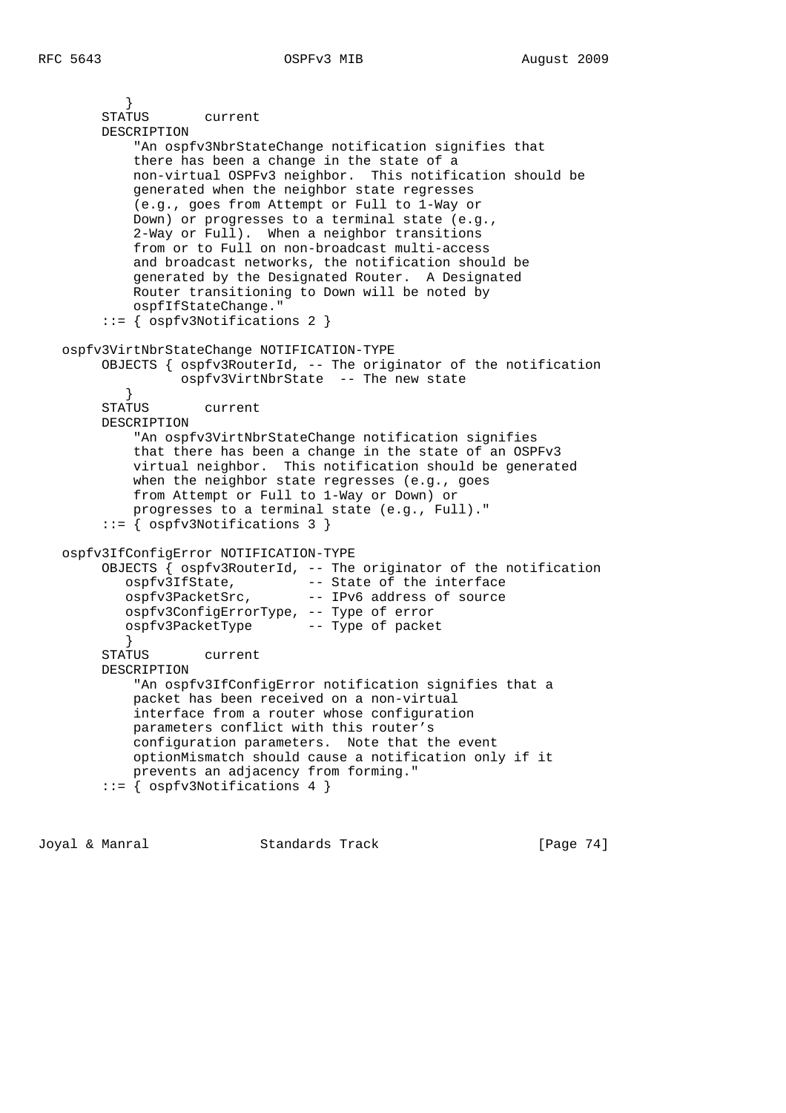```
 }
        STATUS current
        DESCRIPTION
            "An ospfv3NbrStateChange notification signifies that
            there has been a change in the state of a
            non-virtual OSPFv3 neighbor. This notification should be
            generated when the neighbor state regresses
            (e.g., goes from Attempt or Full to 1-Way or
            Down) or progresses to a terminal state (e.g.,
            2-Way or Full). When a neighbor transitions
            from or to Full on non-broadcast multi-access
            and broadcast networks, the notification should be
            generated by the Designated Router. A Designated
            Router transitioning to Down will be noted by
            ospfIfStateChange."
        ::= { ospfv3Notifications 2 }
   ospfv3VirtNbrStateChange NOTIFICATION-TYPE
        OBJECTS { ospfv3RouterId, -- The originator of the notification
                  ospfv3VirtNbrState -- The new state
 }
        STATUS current
        DESCRIPTION
            "An ospfv3VirtNbrStateChange notification signifies
            that there has been a change in the state of an OSPFv3
            virtual neighbor. This notification should be generated
           when the neighbor state regresses (e.g., goes
            from Attempt or Full to 1-Way or Down) or
            progresses to a terminal state (e.g., Full)."
        ::= { ospfv3Notifications 3 }
   ospfv3IfConfigError NOTIFICATION-TYPE
        OBJECTS { ospfv3RouterId, -- The originator of the notification
 ospfv3IfState, -- State of the interface
 ospfv3PacketSrc, -- IPv6 address of source
           ospfv3ConfigErrorType, -- Type of error
           ospfv3PacketType -- Type of packet
 }
        STATUS current
        DESCRIPTION
            "An ospfv3IfConfigError notification signifies that a
            packet has been received on a non-virtual
            interface from a router whose configuration
            parameters conflict with this router's
            configuration parameters. Note that the event
            optionMismatch should cause a notification only if it
            prevents an adjacency from forming."
        ::= { ospfv3Notifications 4 }
```
Joyal & Manral Standards Track [Page 74]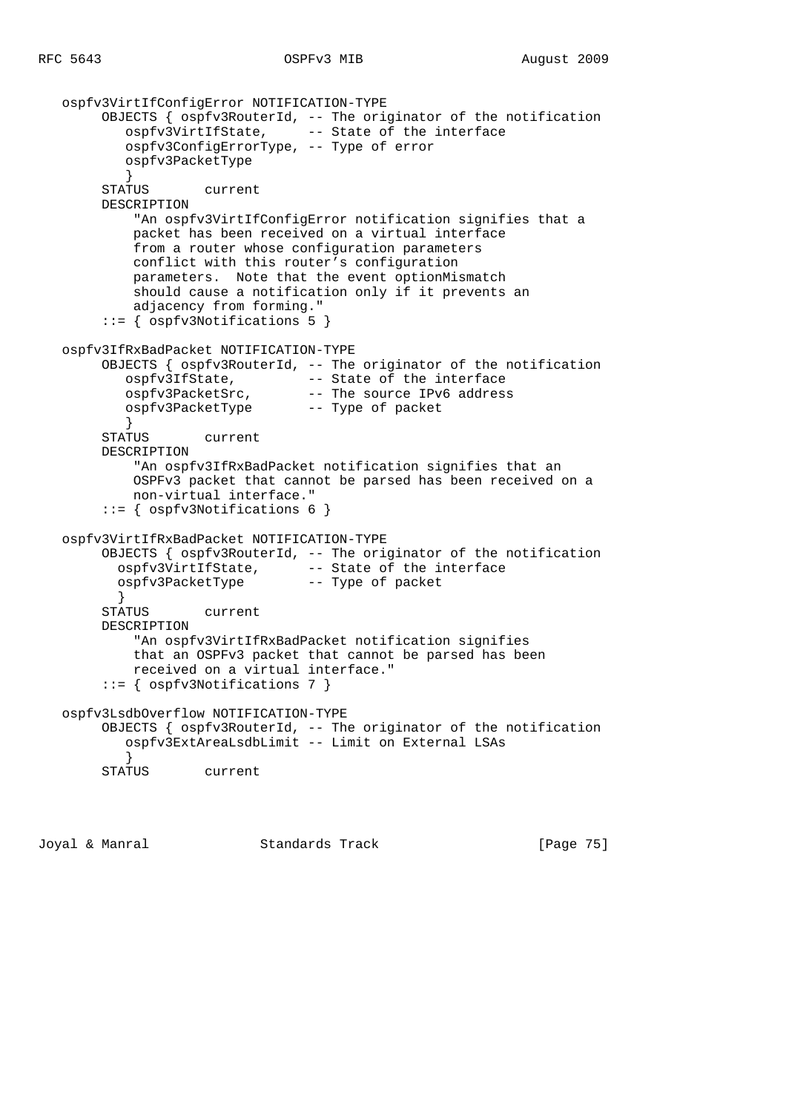```
 ospfv3VirtIfConfigError NOTIFICATION-TYPE
        OBJECTS { ospfv3RouterId, -- The originator of the notification
           ospfv3VirtIfState, -- State of the interface
           ospfv3ConfigErrorType, -- Type of error
           ospfv3PacketType
 }
        STATUS current
        DESCRIPTION
            "An ospfv3VirtIfConfigError notification signifies that a
            packet has been received on a virtual interface
            from a router whose configuration parameters
            conflict with this router's configuration
            parameters. Note that the event optionMismatch
            should cause a notification only if it prevents an
            adjacency from forming."
        ::= { ospfv3Notifications 5 }
   ospfv3IfRxBadPacket NOTIFICATION-TYPE
       OBJECTS { ospfv3RouterId, -- The originator of the notification<br>ospfv3IfState, -- State of the interface
 ospfv3IfState, -- State of the interface
 ospfv3PacketSrc, -- The source IPv6 address
           ospfv3PacketType -- Type of packet
 }
        STATUS current
        DESCRIPTION
            "An ospfv3IfRxBadPacket notification signifies that an
            OSPFv3 packet that cannot be parsed has been received on a
            non-virtual interface."
        ::= { ospfv3Notifications 6 }
   ospfv3VirtIfRxBadPacket NOTIFICATION-TYPE
        OBJECTS { ospfv3RouterId, -- The originator of the notification
          ospfv3VirtIfState, -- State of the interface
          ospfv3PacketType -- Type of packet
          }
        STATUS current
        DESCRIPTION
            "An ospfv3VirtIfRxBadPacket notification signifies
            that an OSPFv3 packet that cannot be parsed has been
            received on a virtual interface."
        ::= { ospfv3Notifications 7 }
   ospfv3LsdbOverflow NOTIFICATION-TYPE
        OBJECTS { ospfv3RouterId, -- The originator of the notification
           ospfv3ExtAreaLsdbLimit -- Limit on External LSAs
 }
        STATUS current
```
Joyal & Manral Standards Track [Page 75]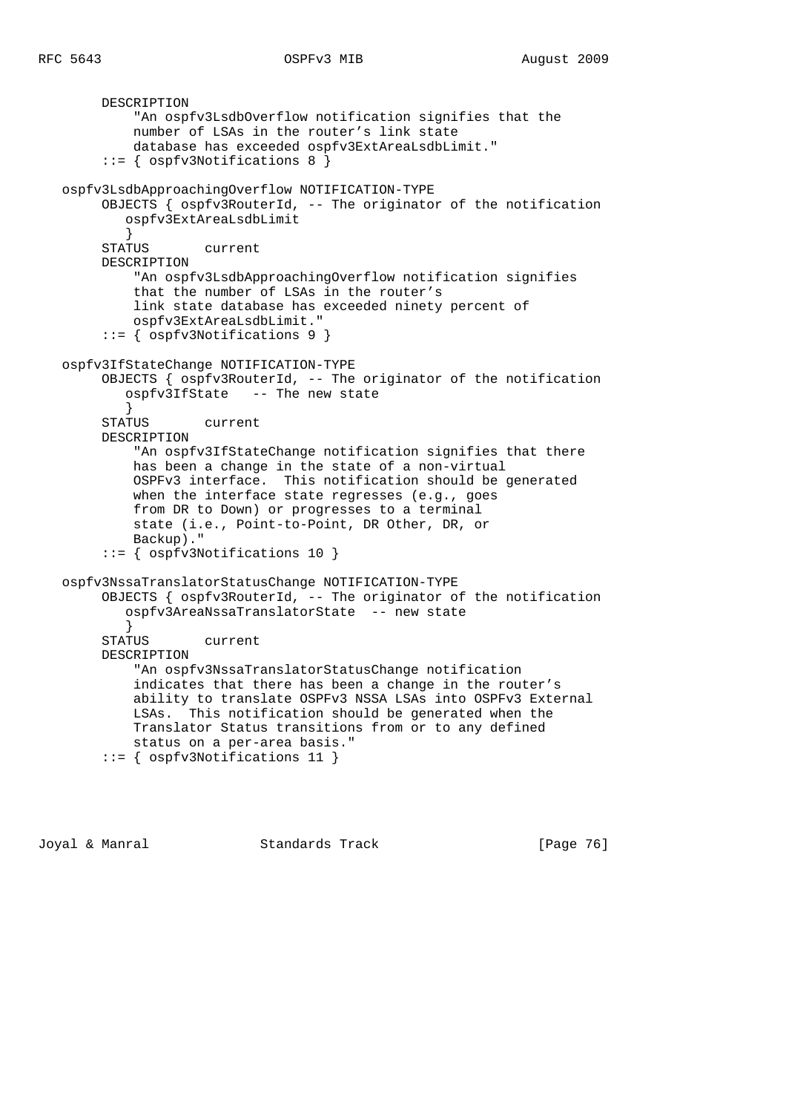```
 DESCRIPTION
            "An ospfv3LsdbOverflow notification signifies that the
            number of LSAs in the router's link state
            database has exceeded ospfv3ExtAreaLsdbLimit."
        ::= { ospfv3Notifications 8 }
   ospfv3LsdbApproachingOverflow NOTIFICATION-TYPE
        OBJECTS { ospfv3RouterId, -- The originator of the notification
           ospfv3ExtAreaLsdbLimit
 }
        STATUS current
        DESCRIPTION
            "An ospfv3LsdbApproachingOverflow notification signifies
            that the number of LSAs in the router's
            link state database has exceeded ninety percent of
            ospfv3ExtAreaLsdbLimit."
        ::= { ospfv3Notifications 9 }
   ospfv3IfStateChange NOTIFICATION-TYPE
        OBJECTS { ospfv3RouterId, -- The originator of the notification
           ospfv3IfState -- The new state
 }
        STATUS current
        DESCRIPTION
            "An ospfv3IfStateChange notification signifies that there
            has been a change in the state of a non-virtual
            OSPFv3 interface. This notification should be generated
            when the interface state regresses (e.g., goes
            from DR to Down) or progresses to a terminal
            state (i.e., Point-to-Point, DR Other, DR, or
            Backup)."
         ::= { ospfv3Notifications 10 }
   ospfv3NssaTranslatorStatusChange NOTIFICATION-TYPE
        OBJECTS { ospfv3RouterId, -- The originator of the notification
           ospfv3AreaNssaTranslatorState -- new state
 }
        STATUS current
        DESCRIPTION
            "An ospfv3NssaTranslatorStatusChange notification
            indicates that there has been a change in the router's
            ability to translate OSPFv3 NSSA LSAs into OSPFv3 External
            LSAs. This notification should be generated when the
            Translator Status transitions from or to any defined
            status on a per-area basis."
        ::= { ospfv3Notifications 11 }
```
Joyal & Manral Standards Track [Page 76]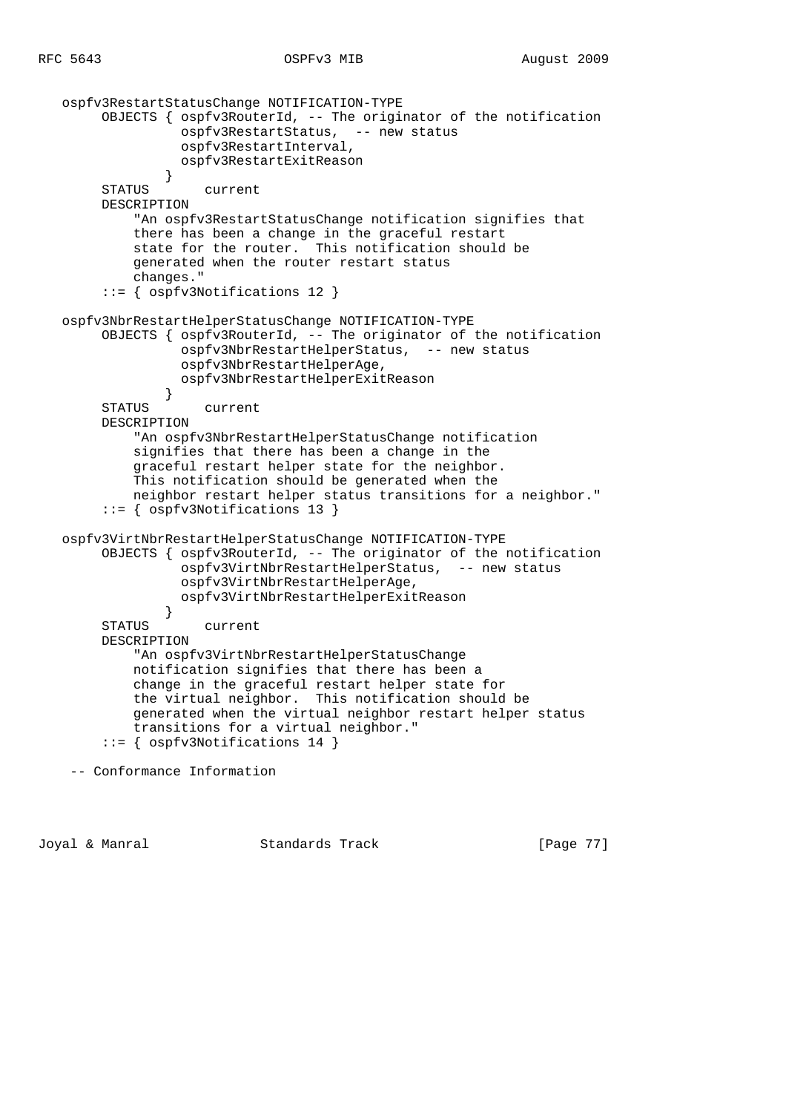```
 ospfv3RestartStatusChange NOTIFICATION-TYPE
        OBJECTS { ospfv3RouterId, -- The originator of the notification
                  ospfv3RestartStatus, -- new status
                  ospfv3RestartInterval,
                  ospfv3RestartExitReason
 }
        STATUS current
        DESCRIPTION
            "An ospfv3RestartStatusChange notification signifies that
            there has been a change in the graceful restart
            state for the router. This notification should be
            generated when the router restart status
            changes."
         ::= { ospfv3Notifications 12 }
   ospfv3NbrRestartHelperStatusChange NOTIFICATION-TYPE
        OBJECTS { ospfv3RouterId, -- The originator of the notification
                  ospfv3NbrRestartHelperStatus, -- new status
                  ospfv3NbrRestartHelperAge,
                  ospfv3NbrRestartHelperExitReason
 }
        STATUS current
        DESCRIPTION
            "An ospfv3NbrRestartHelperStatusChange notification
            signifies that there has been a change in the
            graceful restart helper state for the neighbor.
            This notification should be generated when the
            neighbor restart helper status transitions for a neighbor."
        ::= { ospfv3Notifications 13 }
   ospfv3VirtNbrRestartHelperStatusChange NOTIFICATION-TYPE
        OBJECTS { ospfv3RouterId, -- The originator of the notification
                  ospfv3VirtNbrRestartHelperStatus, -- new status
                  ospfv3VirtNbrRestartHelperAge,
                  ospfv3VirtNbrRestartHelperExitReason
 }
        STATUS current
        DESCRIPTION
            "An ospfv3VirtNbrRestartHelperStatusChange
            notification signifies that there has been a
            change in the graceful restart helper state for
            the virtual neighbor. This notification should be
            generated when the virtual neighbor restart helper status
            transitions for a virtual neighbor."
        ::= { ospfv3Notifications 14 }
    -- Conformance Information
```
Joyal & Manral Standards Track [Page 77]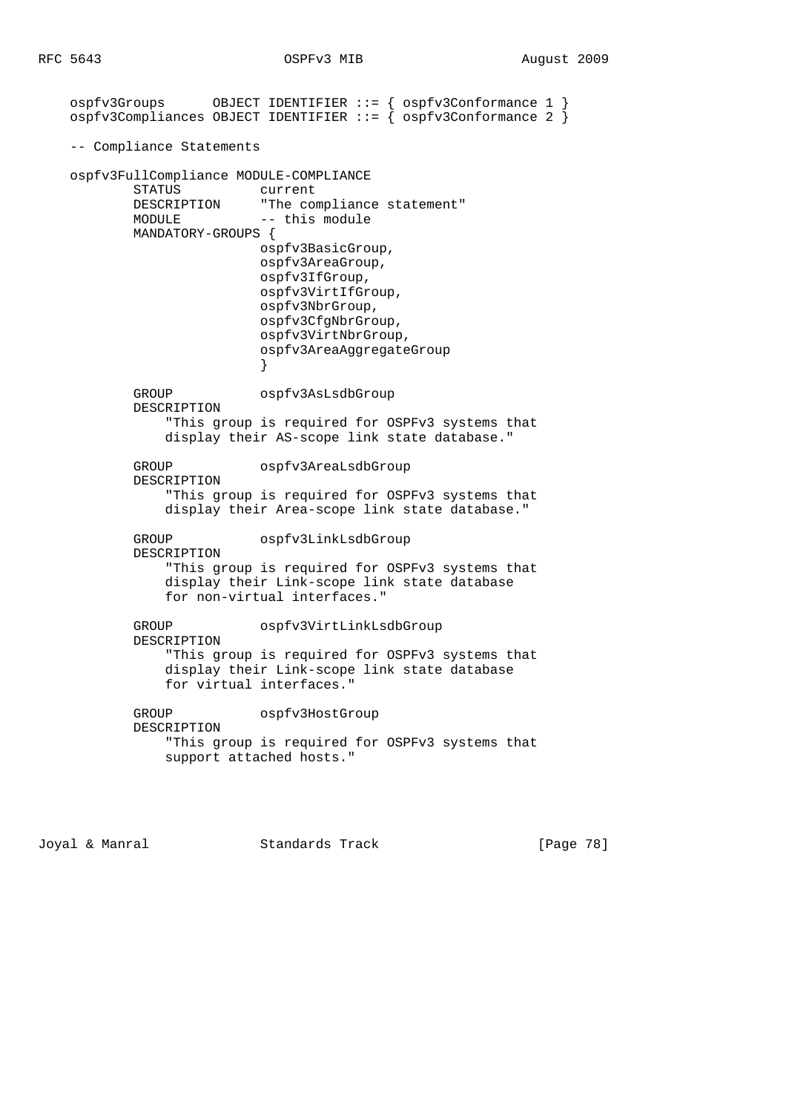ospfv3Groups OBJECT IDENTIFIER ::= { ospfv3Conformance 1 } ospfv3Compliances OBJECT IDENTIFIER ::= { ospfv3Conformance 2 } -- Compliance Statements ospfv3FullCompliance MODULE-COMPLIANCE STATUS current<br>DESCRIPTION "The com "The compliance statement" MODULE -- this module MANDATORY-GROUPS { ospfv3BasicGroup, ospfv3AreaGroup, ospfv3IfGroup, ospfv3VirtIfGroup, ospfv3NbrGroup, ospfv3CfgNbrGroup, ospfv3VirtNbrGroup, ospfv3AreaAggregateGroup } GROUP ospfv3AsLsdbGroup DESCRIPTION "This group is required for OSPFv3 systems that display their AS-scope link state database." GROUP ospfv3AreaLsdbGroup DESCRIPTION "This group is required for OSPFv3 systems that display their Area-scope link state database." GROUP ospfv3LinkLsdbGroup DESCRIPTION "This group is required for OSPFv3 systems that display their Link-scope link state database for non-virtual interfaces." GROUP ospfv3VirtLinkLsdbGroup DESCRIPTION "This group is required for OSPFv3 systems that display their Link-scope link state database for virtual interfaces." GROUP ospfv3HostGroup DESCRIPTION "This group is required for OSPFv3 systems that support attached hosts."

Joyal & Manral Standards Track [Page 78]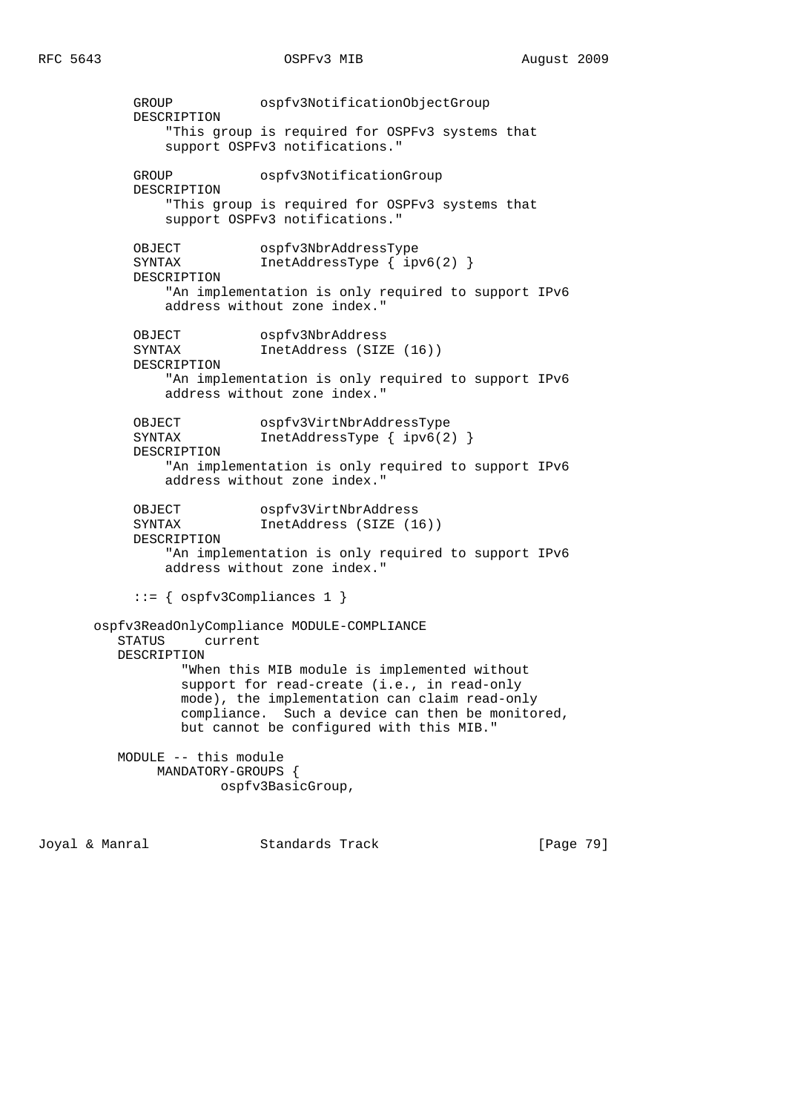GROUP ospfv3NotificationObjectGroup DESCRIPTION "This group is required for OSPFv3 systems that support OSPFv3 notifications." GROUP ospfv3NotificationGroup DESCRIPTION "This group is required for OSPFv3 systems that support OSPFv3 notifications." OBJECT ospfv3NbrAddressType SYNTAX InetAddressType { ipv6(2) } DESCRIPTION "An implementation is only required to support IPv6 address without zone index." OBJECT ospfv3NbrAddress SYNTAX InetAddress (SIZE (16)) DESCRIPTION "An implementation is only required to support IPv6 address without zone index." OBJECT ospfv3VirtNbrAddressType SYNTAX InetAddressType { ipv6(2) } DESCRIPTION "An implementation is only required to support IPv6 address without zone index." OBJECT ospfv3VirtNbrAddress SYNTAX InetAddress (SIZE (16)) DESCRIPTION "An implementation is only required to support IPv6 address without zone index." ::= { ospfv3Compliances 1 } ospfv3ReadOnlyCompliance MODULE-COMPLIANCE STATUS current DESCRIPTION "When this MIB module is implemented without support for read-create (i.e., in read-only mode), the implementation can claim read-only compliance. Such a device can then be monitored, but cannot be configured with this MIB." MODULE -- this module MANDATORY-GROUPS { ospfv3BasicGroup,

Joyal & Manral Standards Track [Page 79]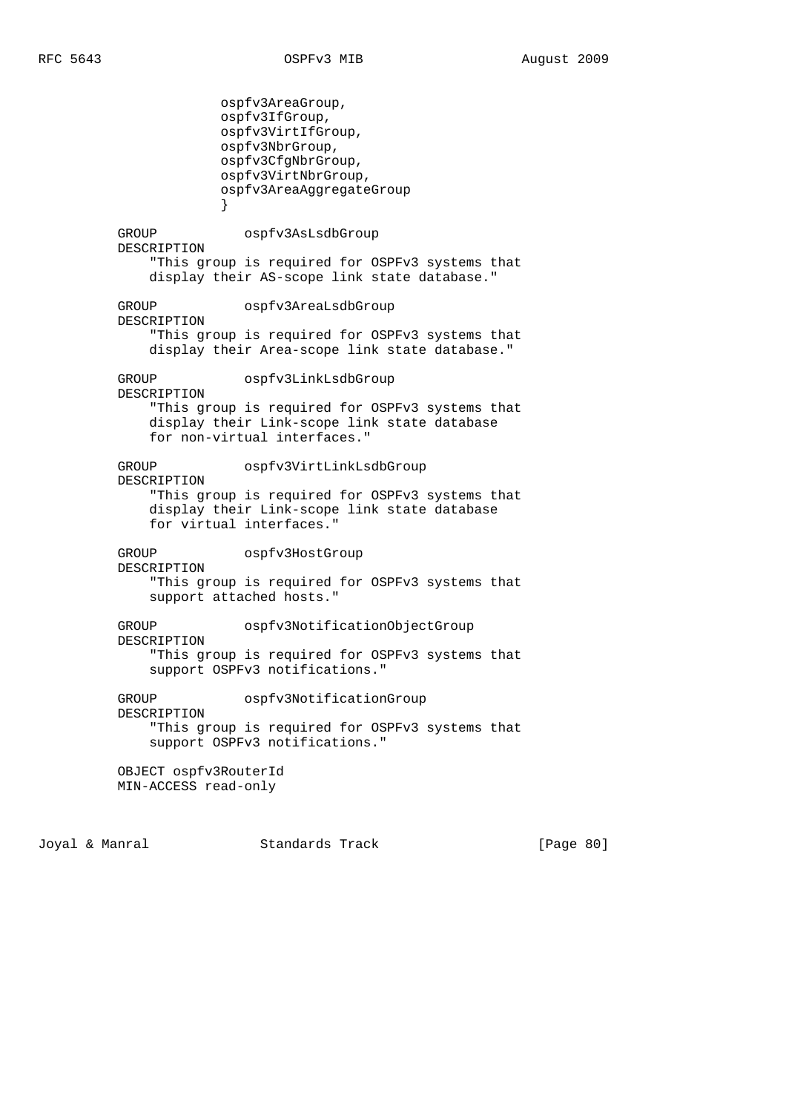ospfv3AreaGroup, ospfv3IfGroup, ospfv3VirtIfGroup, ospfv3NbrGroup, ospfv3CfgNbrGroup, ospfv3VirtNbrGroup, ospfv3AreaAggregateGroup } GROUP ospfv3AsLsdbGroup DESCRIPTION "This group is required for OSPFv3 systems that display their AS-scope link state database." GROUP ospfv3AreaLsdbGroup DESCRIPTION "This group is required for OSPFv3 systems that display their Area-scope link state database." GROUP ospfv3LinkLsdbGroup DESCRIPTION "This group is required for OSPFv3 systems that display their Link-scope link state database for non-virtual interfaces." GROUP ospfv3VirtLinkLsdbGroup DESCRIPTION "This group is required for OSPFv3 systems that display their Link-scope link state database for virtual interfaces." GROUP ospfv3HostGroup DESCRIPTION "This group is required for OSPFv3 systems that support attached hosts." GROUP ospfv3NotificationObjectGroup DESCRIPTION "This group is required for OSPFv3 systems that support OSPFv3 notifications." GROUP ospfv3NotificationGroup DESCRIPTION "This group is required for OSPFv3 systems that support OSPFv3 notifications." OBJECT ospfv3RouterId MIN-ACCESS read-only

Joyal & Manral Standards Track [Page 80]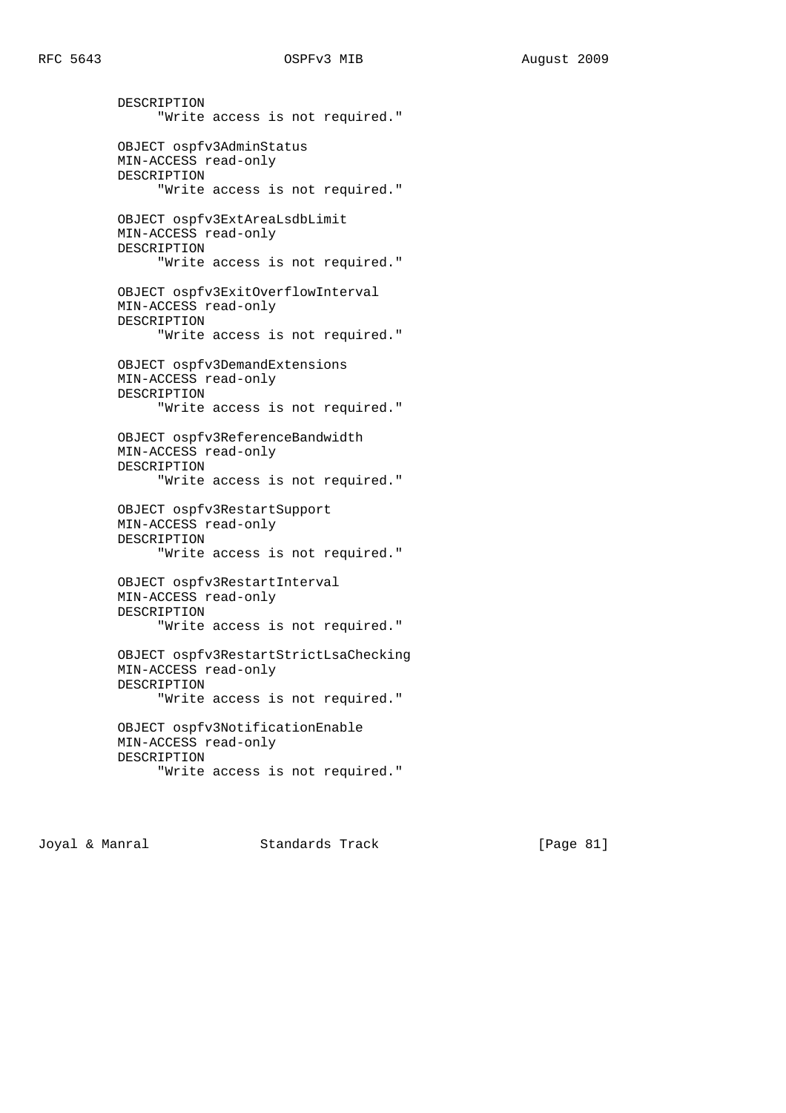DESCRIPTION "Write access is not required." OBJECT ospfv3AdminStatus MIN-ACCESS read-only DESCRIPTION "Write access is not required." OBJECT ospfv3ExtAreaLsdbLimit MIN-ACCESS read-only DESCRIPTION "Write access is not required." OBJECT ospfv3ExitOverflowInterval MIN-ACCESS read-only DESCRIPTION "Write access is not required." OBJECT ospfv3DemandExtensions MIN-ACCESS read-only DESCRIPTION "Write access is not required." OBJECT ospfv3ReferenceBandwidth MIN-ACCESS read-only DESCRIPTION "Write access is not required." OBJECT ospfv3RestartSupport MIN-ACCESS read-only DESCRIPTION "Write access is not required." OBJECT ospfv3RestartInterval MIN-ACCESS read-only DESCRIPTION "Write access is not required." OBJECT ospfv3RestartStrictLsaChecking MIN-ACCESS read-only DESCRIPTION "Write access is not required." OBJECT ospfv3NotificationEnable MIN-ACCESS read-only DESCRIPTION "Write access is not required."

Joyal & Manral Standards Track [Page 81]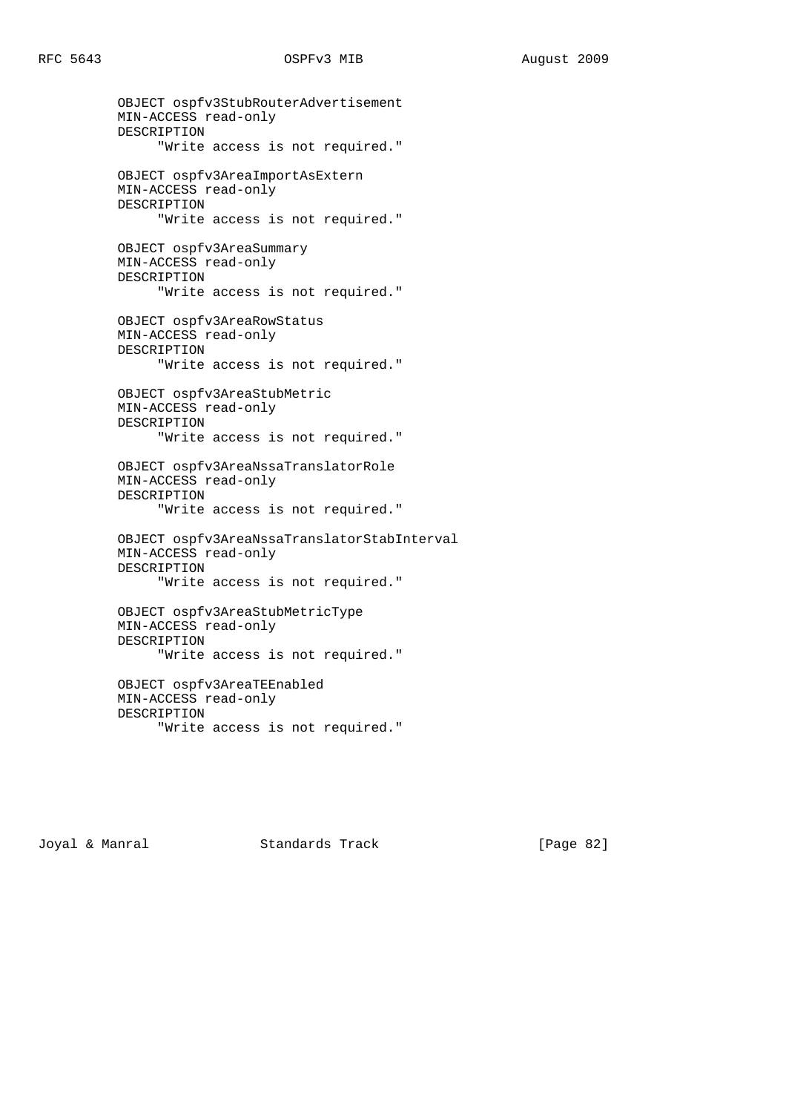OBJECT ospfv3StubRouterAdvertisement MIN-ACCESS read-only DESCRIPTION "Write access is not required." OBJECT ospfv3AreaImportAsExtern MIN-ACCESS read-only DESCRIPTION "Write access is not required." OBJECT ospfv3AreaSummary MIN-ACCESS read-only DESCRIPTION "Write access is not required." OBJECT ospfv3AreaRowStatus MIN-ACCESS read-only DESCRIPTION "Write access is not required." OBJECT ospfv3AreaStubMetric MIN-ACCESS read-only DESCRIPTION "Write access is not required." OBJECT ospfv3AreaNssaTranslatorRole MIN-ACCESS read-only DESCRIPTION "Write access is not required." OBJECT ospfv3AreaNssaTranslatorStabInterval MIN-ACCESS read-only DESCRIPTION "Write access is not required." OBJECT ospfv3AreaStubMetricType MIN-ACCESS read-only DESCRIPTION "Write access is not required." OBJECT ospfv3AreaTEEnabled MIN-ACCESS read-only DESCRIPTION

Joyal & Manral Standards Track [Page 82]

"Write access is not required."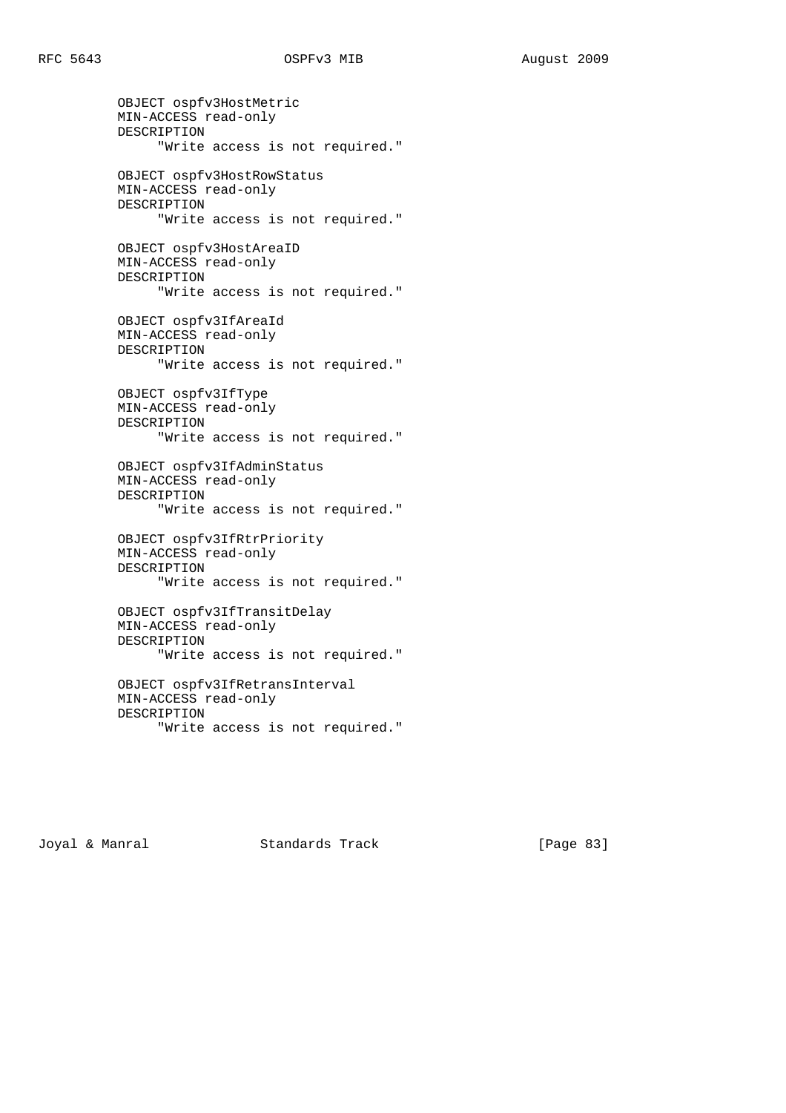OBJECT ospfv3HostMetric MIN-ACCESS read-only DESCRIPTION "Write access is not required." OBJECT ospfv3HostRowStatus MIN-ACCESS read-only DESCRIPTION "Write access is not required." OBJECT ospfv3HostAreaID MIN-ACCESS read-only DESCRIPTION "Write access is not required." OBJECT ospfv3IfAreaId MIN-ACCESS read-only DESCRIPTION "Write access is not required." OBJECT ospfv3IfType MIN-ACCESS read-only DESCRIPTION "Write access is not required." OBJECT ospfv3IfAdminStatus MIN-ACCESS read-only DESCRIPTION "Write access is not required." OBJECT ospfv3IfRtrPriority MIN-ACCESS read-only DESCRIPTION "Write access is not required." OBJECT ospfv3IfTransitDelay MIN-ACCESS read-only DESCRIPTION "Write access is not required." OBJECT ospfv3IfRetransInterval MIN-ACCESS read-only DESCRIPTION

```
 "Write access is not required."
```
Joyal & Manral Standards Track [Page 83]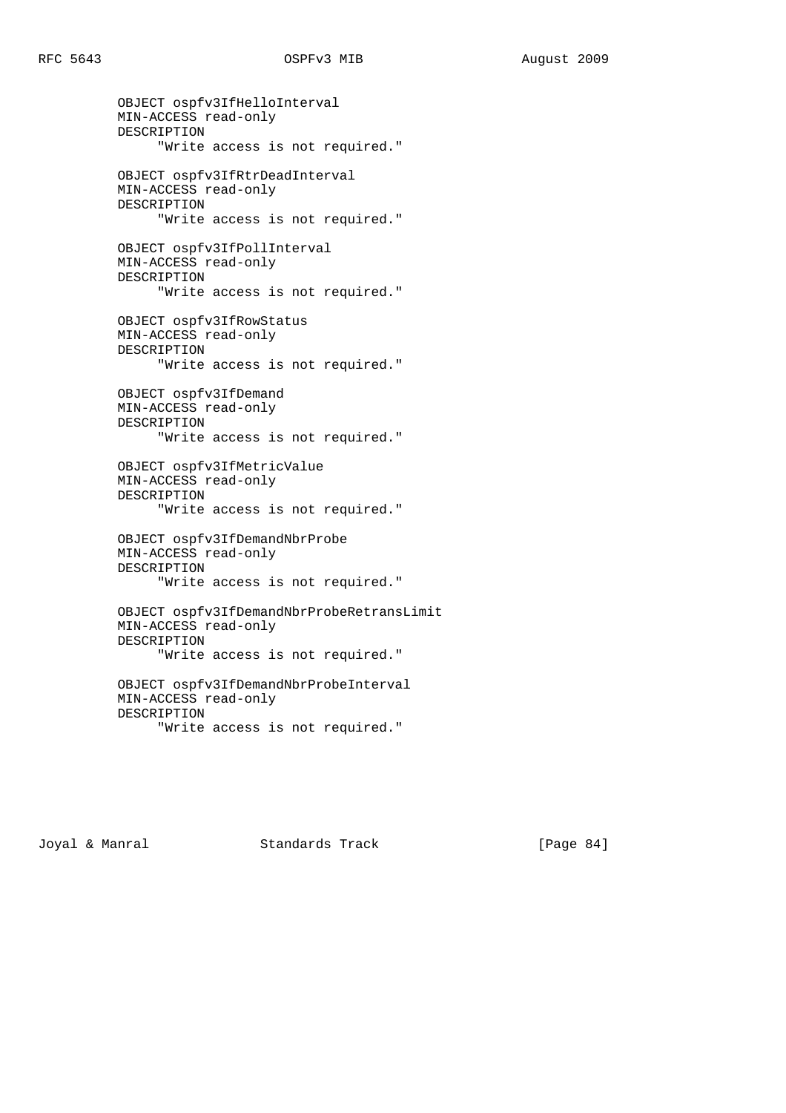OBJECT ospfv3IfHelloInterval MIN-ACCESS read-only DESCRIPTION "Write access is not required." OBJECT ospfv3IfRtrDeadInterval MIN-ACCESS read-only DESCRIPTION "Write access is not required." OBJECT ospfv3IfPollInterval MIN-ACCESS read-only DESCRIPTION "Write access is not required." OBJECT ospfv3IfRowStatus MIN-ACCESS read-only DESCRIPTION "Write access is not required." OBJECT ospfv3IfDemand MIN-ACCESS read-only DESCRIPTION "Write access is not required." OBJECT ospfv3IfMetricValue MIN-ACCESS read-only DESCRIPTION "Write access is not required." OBJECT ospfv3IfDemandNbrProbe MIN-ACCESS read-only DESCRIPTION "Write access is not required." OBJECT ospfv3IfDemandNbrProbeRetransLimit MIN-ACCESS read-only DESCRIPTION "Write access is not required." OBJECT ospfv3IfDemandNbrProbeInterval MIN-ACCESS read-only DESCRIPTION "Write access is not required."

Joyal & Manral Standards Track [Page 84]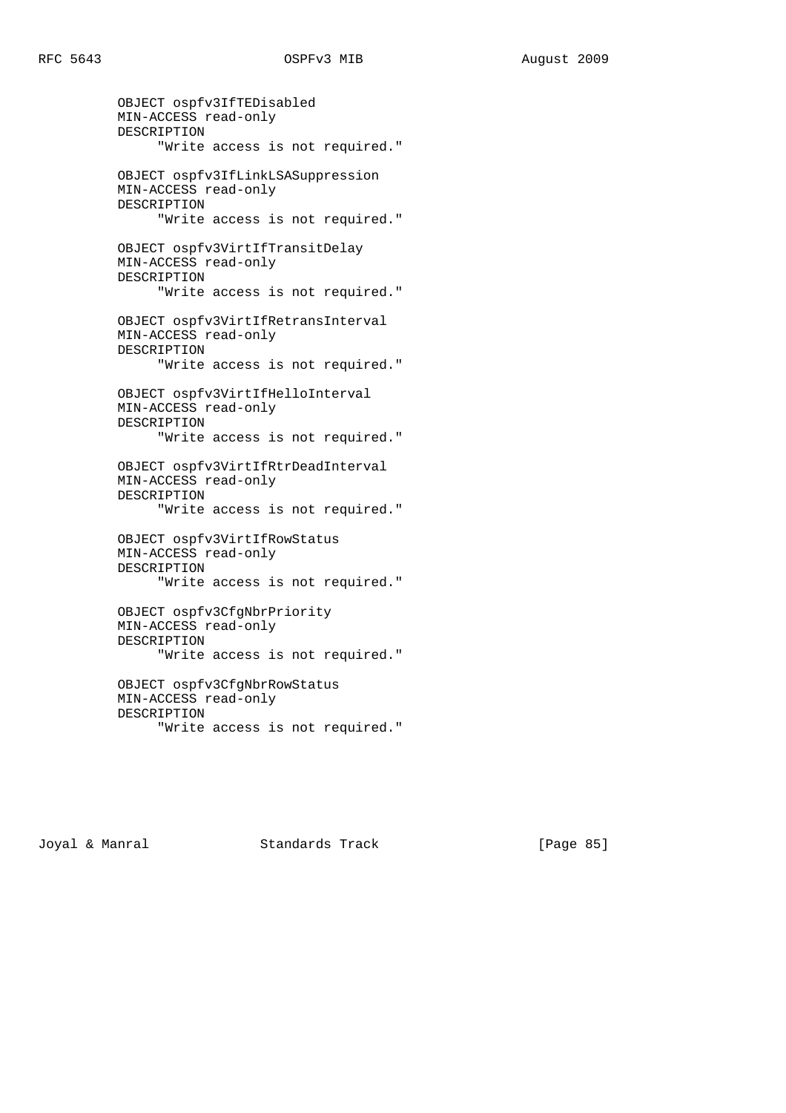OBJECT ospfv3IfTEDisabled MIN-ACCESS read-only DESCRIPTION "Write access is not required." OBJECT ospfv3IfLinkLSASuppression MIN-ACCESS read-only DESCRIPTION "Write access is not required." OBJECT ospfv3VirtIfTransitDelay MIN-ACCESS read-only DESCRIPTION "Write access is not required." OBJECT ospfv3VirtIfRetransInterval MIN-ACCESS read-only DESCRIPTION "Write access is not required." OBJECT ospfv3VirtIfHelloInterval MIN-ACCESS read-only DESCRIPTION "Write access is not required." OBJECT ospfv3VirtIfRtrDeadInterval MIN-ACCESS read-only DESCRIPTION "Write access is not required." OBJECT ospfv3VirtIfRowStatus MIN-ACCESS read-only DESCRIPTION "Write access is not required." OBJECT ospfv3CfgNbrPriority MIN-ACCESS read-only DESCRIPTION "Write access is not required." OBJECT ospfv3CfgNbrRowStatus MIN-ACCESS read-only DESCRIPTION "Write access is not required."

Joyal & Manral Standards Track [Page 85]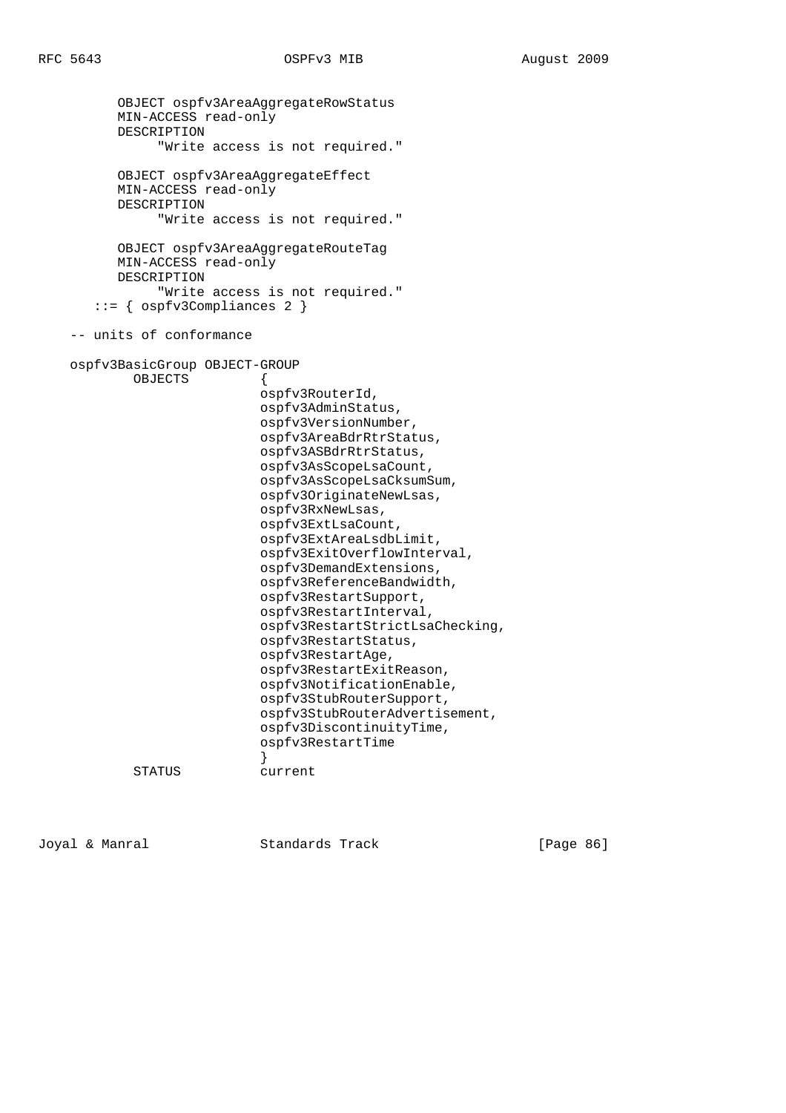```
 OBJECT ospfv3AreaAggregateRowStatus
          MIN-ACCESS read-only
          DESCRIPTION
                "Write access is not required."
          OBJECT ospfv3AreaAggregateEffect
          MIN-ACCESS read-only
          DESCRIPTION
                "Write access is not required."
          OBJECT ospfv3AreaAggregateRouteTag
          MIN-ACCESS read-only
          DESCRIPTION
                "Write access is not required."
        ::= { ospfv3Compliances 2 }
     -- units of conformance
    ospfv3BasicGroup OBJECT-GROUP
            OBJECTS {
                             ospfv3RouterId,
                             ospfv3AdminStatus,
                             ospfv3VersionNumber,
                             ospfv3AreaBdrRtrStatus,
                             ospfv3ASBdrRtrStatus,
                             ospfv3AsScopeLsaCount,
                             ospfv3AsScopeLsaCksumSum,
                             ospfv3OriginateNewLsas,
                             ospfv3RxNewLsas,
                             ospfv3ExtLsaCount,
                             ospfv3ExtAreaLsdbLimit,
                             ospfv3ExitOverflowInterval,
                             ospfv3DemandExtensions,
                             ospfv3ReferenceBandwidth,
                             ospfv3RestartSupport,
                             ospfv3RestartInterval,
                             ospfv3RestartStrictLsaChecking,
                             ospfv3RestartStatus,
                             ospfv3RestartAge,
                             ospfv3RestartExitReason,
                             ospfv3NotificationEnable,
                             ospfv3StubRouterSupport,
                             ospfv3StubRouterAdvertisement,
                             ospfv3DiscontinuityTime,
                             ospfv3RestartTime
 }
             STATUS current
```
Joyal & Manral Standards Track [Page 86]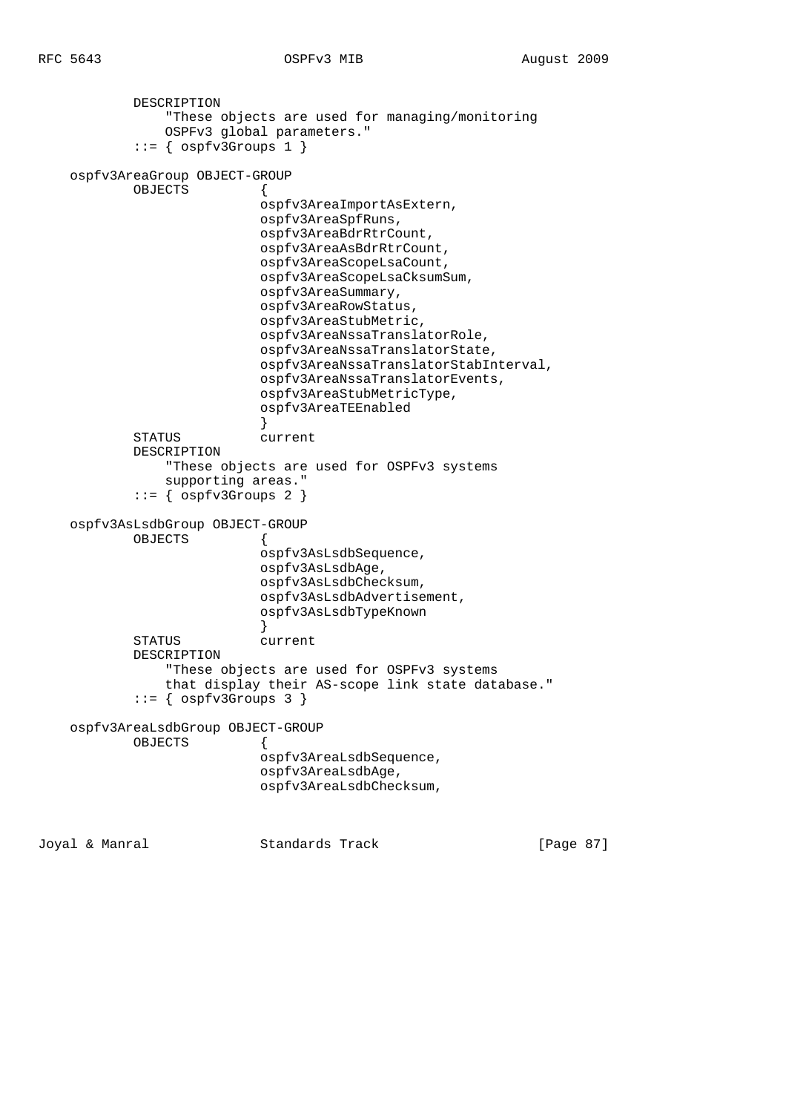```
 DESCRIPTION
                "These objects are used for managing/monitoring
                OSPFv3 global parameters."
           ::= { ospfv3Groups 1 }
    ospfv3AreaGroup OBJECT-GROUP
            OBJECTS {
                           ospfv3AreaImportAsExtern,
                           ospfv3AreaSpfRuns,
                           ospfv3AreaBdrRtrCount,
                           ospfv3AreaAsBdrRtrCount,
                           ospfv3AreaScopeLsaCount,
                           ospfv3AreaScopeLsaCksumSum,
                           ospfv3AreaSummary,
                           ospfv3AreaRowStatus,
                           ospfv3AreaStubMetric,
                           ospfv3AreaNssaTranslatorRole,
                           ospfv3AreaNssaTranslatorState,
                           ospfv3AreaNssaTranslatorStabInterval,
                           ospfv3AreaNssaTranslatorEvents,
                           ospfv3AreaStubMetricType,
                           ospfv3AreaTEEnabled
 }
            STATUS current
            DESCRIPTION
                "These objects are used for OSPFv3 systems
                supporting areas."
           ::= { ospfv3Groups 2 }
    ospfv3AsLsdbGroup OBJECT-GROUP
            OBJECTS {
                           ospfv3AsLsdbSequence,
                           ospfv3AsLsdbAge,
                           ospfv3AsLsdbChecksum,
                           ospfv3AsLsdbAdvertisement,
                           ospfv3AsLsdbTypeKnown
 }
            STATUS current
            DESCRIPTION
                "These objects are used for OSPFv3 systems
                that display their AS-scope link state database."
            ::= { ospfv3Groups 3 }
    ospfv3AreaLsdbGroup OBJECT-GROUP
            OBJECTS {
                           ospfv3AreaLsdbSequence,
                           ospfv3AreaLsdbAge,
                           ospfv3AreaLsdbChecksum,
Joyal & Manral Standards Track [Page 87]
```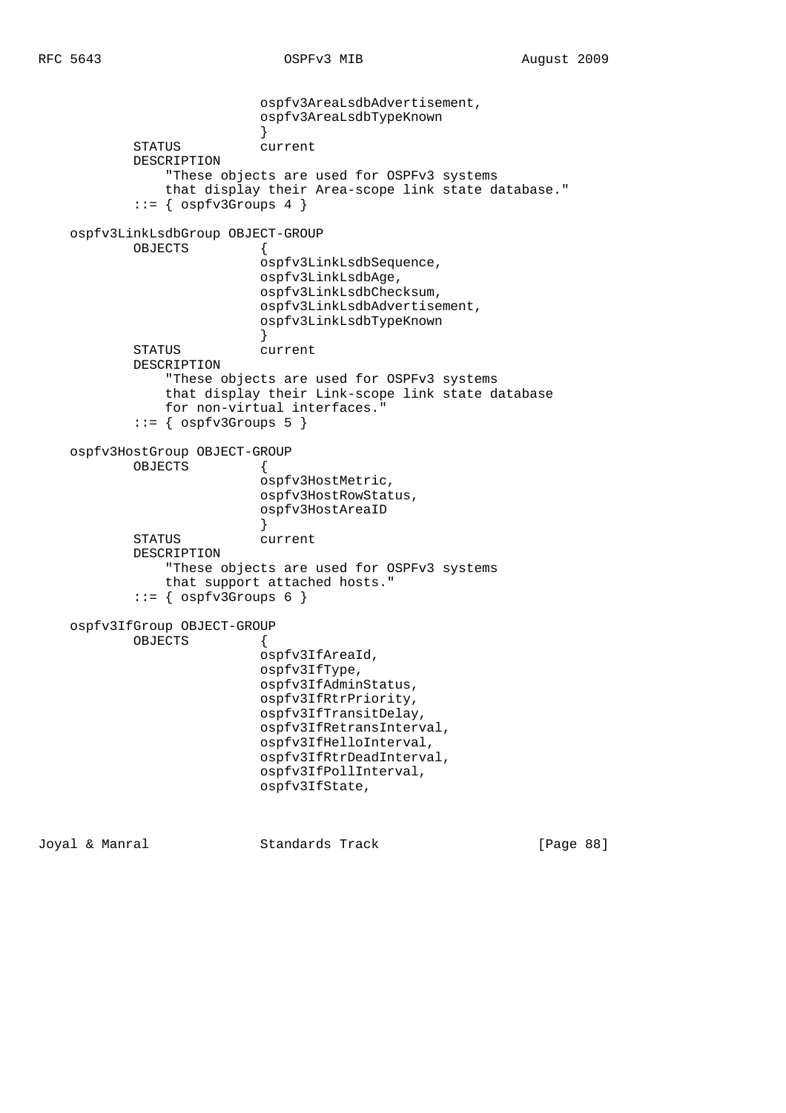```
 ospfv3AreaLsdbAdvertisement,
                           ospfv3AreaLsdbTypeKnown
 }
            STATUS current
            DESCRIPTION
                "These objects are used for OSPFv3 systems
                that display their Area-scope link state database."
           ::= { ospfv3Groups 4 }
    ospfv3LinkLsdbGroup OBJECT-GROUP
            OBJECTS {
                           ospfv3LinkLsdbSequence,
                           ospfv3LinkLsdbAge,
                           ospfv3LinkLsdbChecksum,
                           ospfv3LinkLsdbAdvertisement,
                           ospfv3LinkLsdbTypeKnown
 }
            STATUS current
            DESCRIPTION
                "These objects are used for OSPFv3 systems
                that display their Link-scope link state database
                for non-virtual interfaces."
           ::= { ospfv3Groups 5 }
    ospfv3HostGroup OBJECT-GROUP
            OBJECTS {
                           ospfv3HostMetric,
                           ospfv3HostRowStatus,
                           ospfv3HostAreaID
 }
            STATUS current
            DESCRIPTION
                "These objects are used for OSPFv3 systems
                that support attached hosts."
           ::= { ospfv3Groups 6 }
    ospfv3IfGroup OBJECT-GROUP
            OBJECTS {
                           ospfv3IfAreaId,
                           ospfv3IfType,
                           ospfv3IfAdminStatus,
                           ospfv3IfRtrPriority,
                           ospfv3IfTransitDelay,
                           ospfv3IfRetransInterval,
                           ospfv3IfHelloInterval,
                           ospfv3IfRtrDeadInterval,
                           ospfv3IfPollInterval,
                           ospfv3IfState,
```
Joyal & Manral Standards Track [Page 88]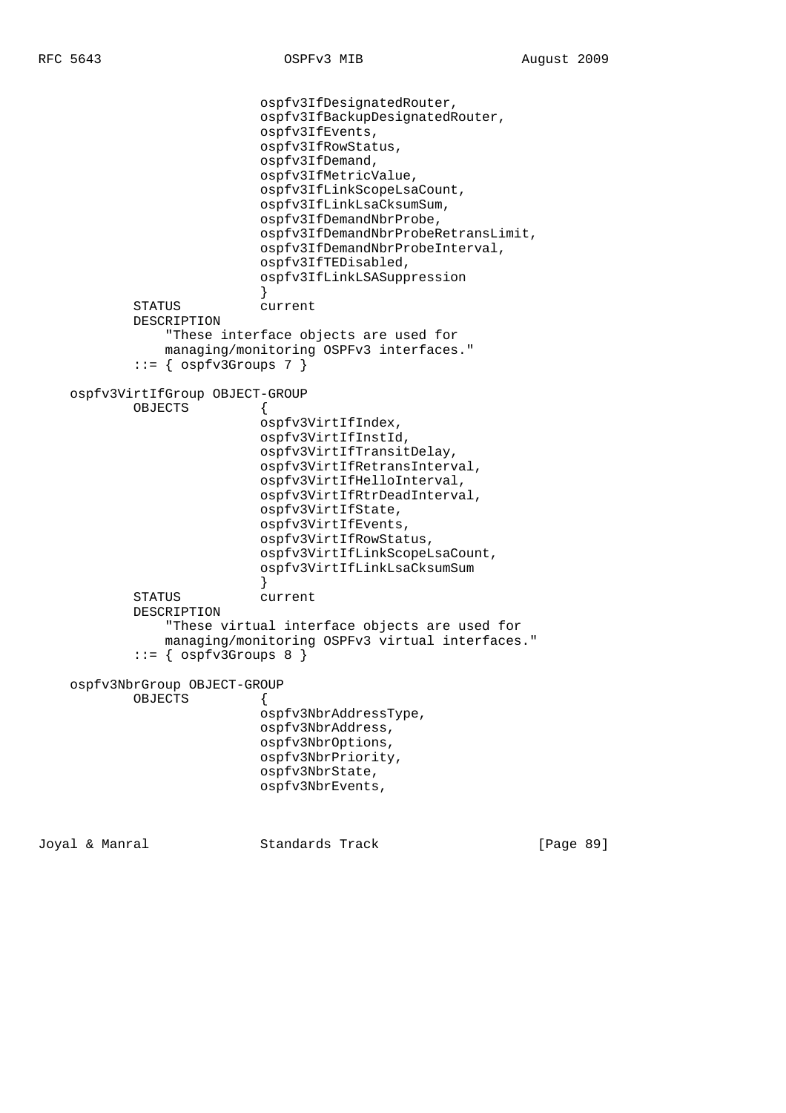```
 ospfv3IfDesignatedRouter,
                            ospfv3IfBackupDesignatedRouter,
                            ospfv3IfEvents,
                            ospfv3IfRowStatus,
                            ospfv3IfDemand,
                            ospfv3IfMetricValue,
                            ospfv3IfLinkScopeLsaCount,
                            ospfv3IfLinkLsaCksumSum,
                            ospfv3IfDemandNbrProbe,
                            ospfv3IfDemandNbrProbeRetransLimit,
                            ospfv3IfDemandNbrProbeInterval,
                            ospfv3IfTEDisabled,
                            ospfv3IfLinkLSASuppression
 }
            STATUS current
            DESCRIPTION
                "These interface objects are used for
                managing/monitoring OSPFv3 interfaces."
           ::= { ospfv3Groups 7 }
    ospfv3VirtIfGroup OBJECT-GROUP
            OBJECTS {
                            ospfv3VirtIfIndex,
                            ospfv3VirtIfInstId,
                            ospfv3VirtIfTransitDelay,
                            ospfv3VirtIfRetransInterval,
                            ospfv3VirtIfHelloInterval,
                            ospfv3VirtIfRtrDeadInterval,
                            ospfv3VirtIfState,
                            ospfv3VirtIfEvents,
                            ospfv3VirtIfRowStatus,
                            ospfv3VirtIfLinkScopeLsaCount,
                            ospfv3VirtIfLinkLsaCksumSum
 }
            STATUS current
            DESCRIPTION
                "These virtual interface objects are used for
                managing/monitoring OSPFv3 virtual interfaces."
            ::= { ospfv3Groups 8 }
    ospfv3NbrGroup OBJECT-GROUP
           OBJECTS
                            ospfv3NbrAddressType,
                            ospfv3NbrAddress,
                            ospfv3NbrOptions,
                            ospfv3NbrPriority,
                            ospfv3NbrState,
                            ospfv3NbrEvents,
```
Joyal & Manral Standards Track [Page 89]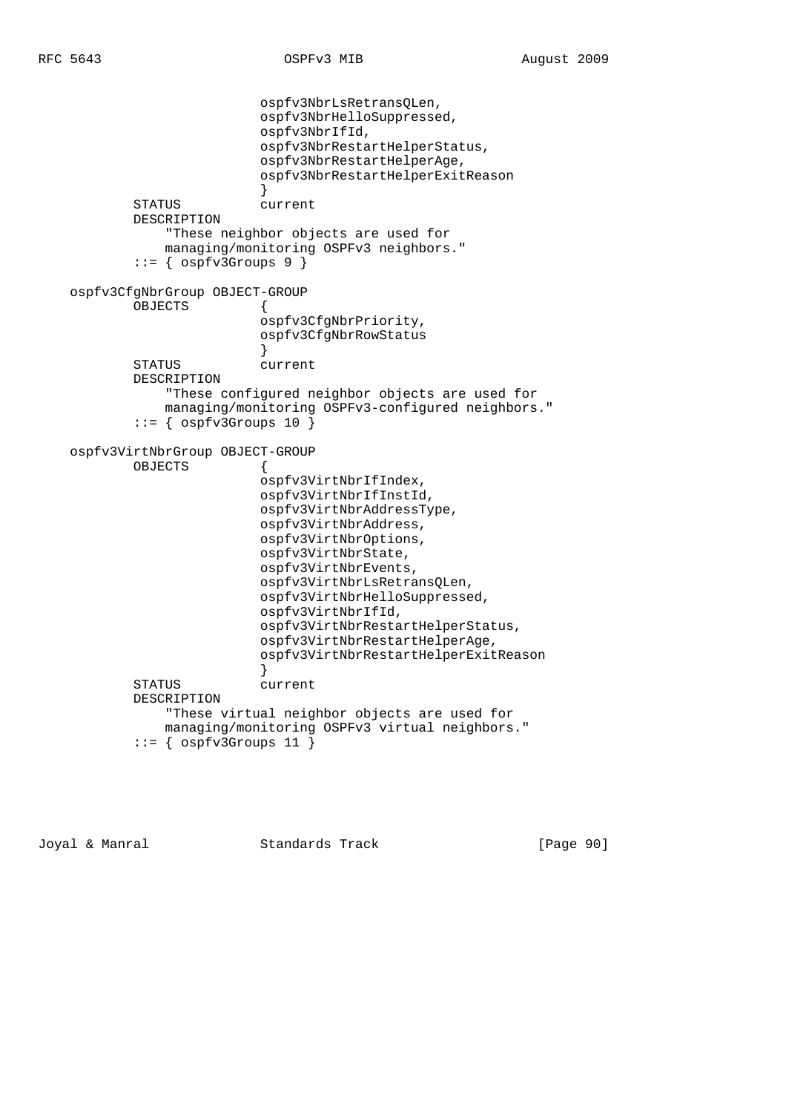```
 ospfv3NbrLsRetransQLen,
                           ospfv3NbrHelloSuppressed,
                           ospfv3NbrIfId,
                           ospfv3NbrRestartHelperStatus,
                           ospfv3NbrRestartHelperAge,
                           ospfv3NbrRestartHelperExitReason
 }
            STATUS current
            DESCRIPTION
                "These neighbor objects are used for
               managing/monitoring OSPFv3 neighbors."
           ::= { ospfv3Groups 9 }
    ospfv3CfgNbrGroup OBJECT-GROUP
            OBJECTS {
                           ospfv3CfgNbrPriority,
                           ospfv3CfgNbrRowStatus
 }
            STATUS current
            DESCRIPTION
                "These configured neighbor objects are used for
               managing/monitoring OSPFv3-configured neighbors."
           ::= { ospfv3Groups 10 }
    ospfv3VirtNbrGroup OBJECT-GROUP
            OBJECTS {
                           ospfv3VirtNbrIfIndex,
                           ospfv3VirtNbrIfInstId,
                           ospfv3VirtNbrAddressType,
                           ospfv3VirtNbrAddress,
                           ospfv3VirtNbrOptions,
                           ospfv3VirtNbrState,
                           ospfv3VirtNbrEvents,
                           ospfv3VirtNbrLsRetransQLen,
                           ospfv3VirtNbrHelloSuppressed,
                           ospfv3VirtNbrIfId,
                           ospfv3VirtNbrRestartHelperStatus,
                           ospfv3VirtNbrRestartHelperAge,
                           ospfv3VirtNbrRestartHelperExitReason
 }
            STATUS current
            DESCRIPTION
                "These virtual neighbor objects are used for
               managing/monitoring OSPFv3 virtual neighbors."
           ::= { ospfv3Groups 11 }
```
Joyal & Manral Standards Track [Page 90]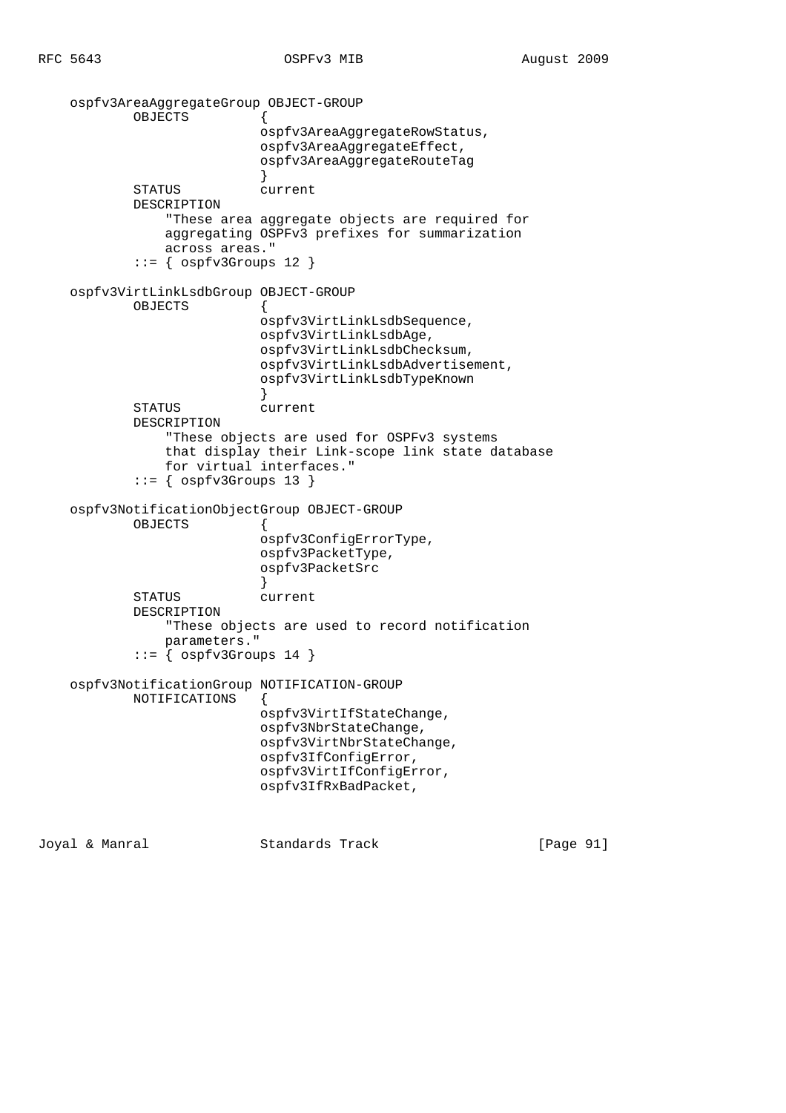```
 ospfv3AreaAggregateGroup OBJECT-GROUP
            OBJECTS {
                           ospfv3AreaAggregateRowStatus,
                           ospfv3AreaAggregateEffect,
                           ospfv3AreaAggregateRouteTag
 }
            STATUS current
            DESCRIPTION
                "These area aggregate objects are required for
               aggregating OSPFv3 prefixes for summarization
               across areas."
           ::= { ospfv3Groups 12 }
    ospfv3VirtLinkLsdbGroup OBJECT-GROUP
            OBJECTS {
                           ospfv3VirtLinkLsdbSequence,
                           ospfv3VirtLinkLsdbAge,
                           ospfv3VirtLinkLsdbChecksum,
                           ospfv3VirtLinkLsdbAdvertisement,
                           ospfv3VirtLinkLsdbTypeKnown
 }
            STATUS current
            DESCRIPTION
                "These objects are used for OSPFv3 systems
               that display their Link-scope link state database
               for virtual interfaces."
           ::= { ospfv3Groups 13 }
    ospfv3NotificationObjectGroup OBJECT-GROUP
            OBJECTS {
                          ospfv3ConfigErrorType,
                           ospfv3PacketType,
                           ospfv3PacketSrc
 }
            STATUS current
            DESCRIPTION
                "These objects are used to record notification
               parameters."
           ::= { ospfv3Groups 14 }
    ospfv3NotificationGroup NOTIFICATION-GROUP
           NOTIFICATIONS {
                           ospfv3VirtIfStateChange,
                           ospfv3NbrStateChange,
                           ospfv3VirtNbrStateChange,
                           ospfv3IfConfigError,
                           ospfv3VirtIfConfigError,
                           ospfv3IfRxBadPacket,
```
Joyal & Manral Standards Track [Page 91]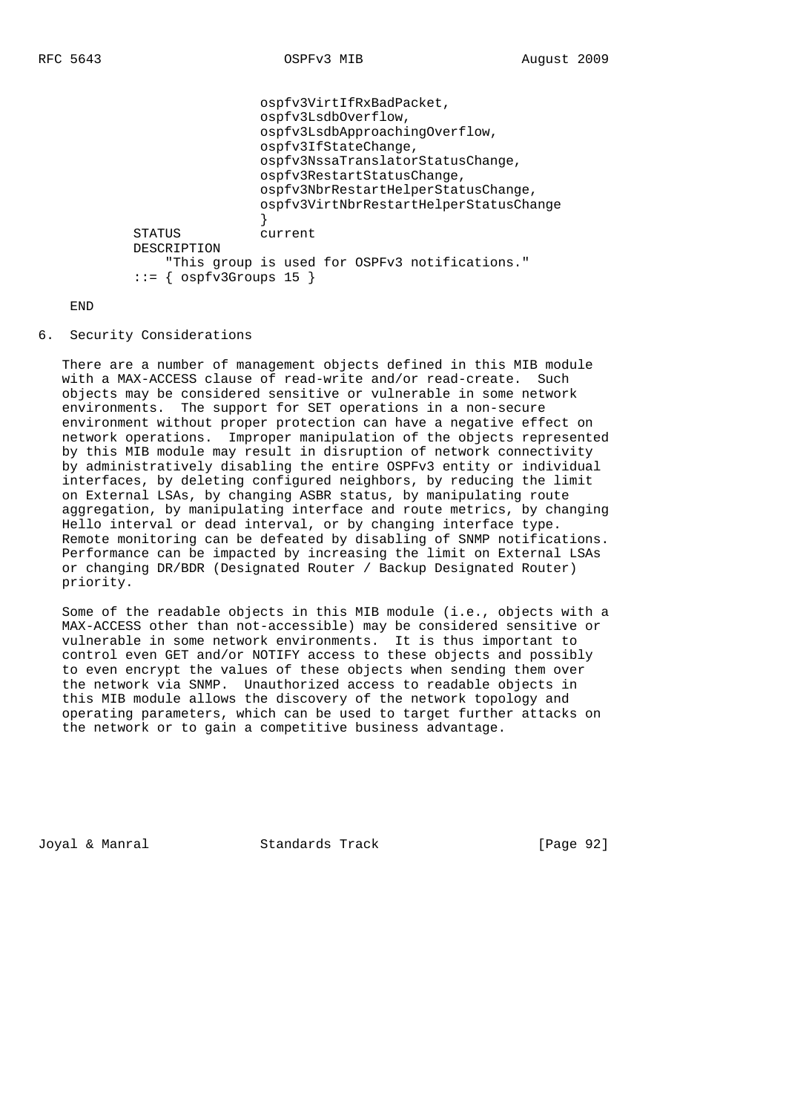```
 ospfv3VirtIfRxBadPacket,
                           ospfv3LsdbOverflow,
                           ospfv3LsdbApproachingOverflow,
                           ospfv3IfStateChange,
                           ospfv3NssaTranslatorStatusChange,
                           ospfv3RestartStatusChange,
                           ospfv3NbrRestartHelperStatusChange,
                           ospfv3VirtNbrRestartHelperStatusChange
 }
            STATUS current
            DESCRIPTION
                "This group is used for OSPFv3 notifications."
           ::= { ospfv3Groups 15 }
```
## END

6. Security Considerations

 There are a number of management objects defined in this MIB module with a MAX-ACCESS clause of read-write and/or read-create. Such objects may be considered sensitive or vulnerable in some network environments. The support for SET operations in a non-secure environment without proper protection can have a negative effect on network operations. Improper manipulation of the objects represented by this MIB module may result in disruption of network connectivity by administratively disabling the entire OSPFv3 entity or individual interfaces, by deleting configured neighbors, by reducing the limit on External LSAs, by changing ASBR status, by manipulating route aggregation, by manipulating interface and route metrics, by changing Hello interval or dead interval, or by changing interface type. Remote monitoring can be defeated by disabling of SNMP notifications. Performance can be impacted by increasing the limit on External LSAs or changing DR/BDR (Designated Router / Backup Designated Router) priority.

 Some of the readable objects in this MIB module (i.e., objects with a MAX-ACCESS other than not-accessible) may be considered sensitive or vulnerable in some network environments. It is thus important to control even GET and/or NOTIFY access to these objects and possibly to even encrypt the values of these objects when sending them over the network via SNMP. Unauthorized access to readable objects in this MIB module allows the discovery of the network topology and operating parameters, which can be used to target further attacks on the network or to gain a competitive business advantage.

Joyal & Manral Standards Track [Page 92]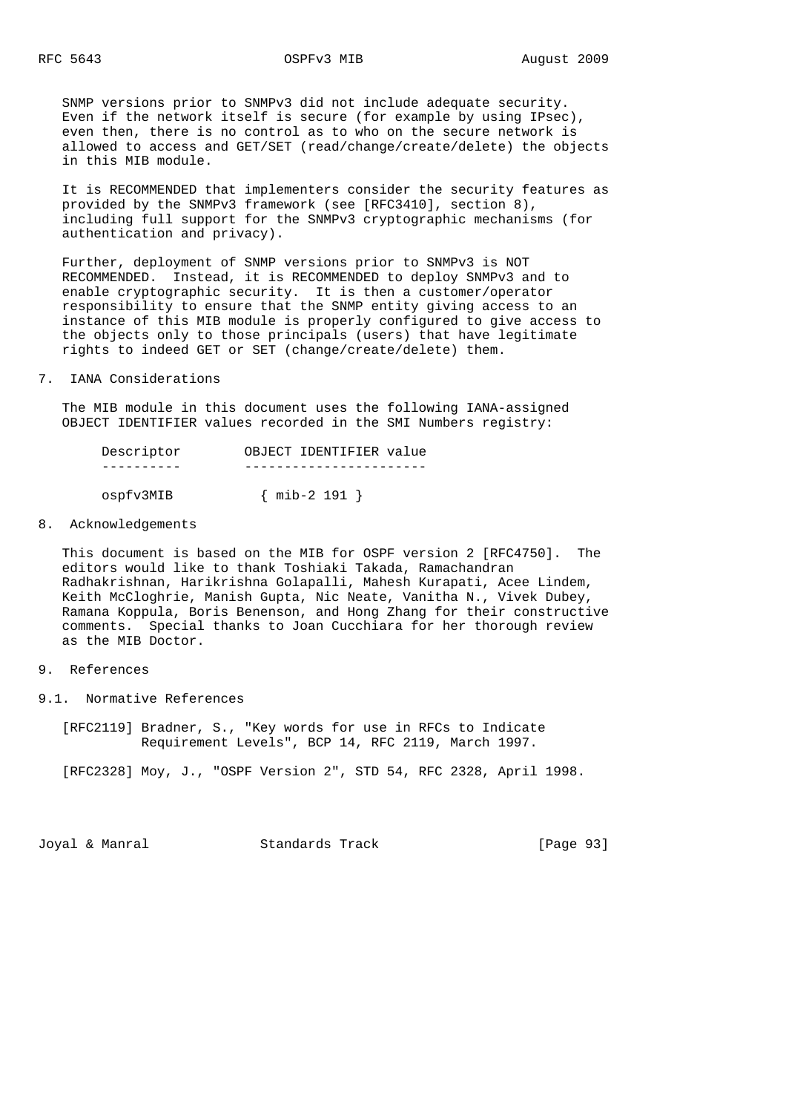SNMP versions prior to SNMPv3 did not include adequate security. Even if the network itself is secure (for example by using IPsec), even then, there is no control as to who on the secure network is allowed to access and GET/SET (read/change/create/delete) the objects in this MIB module.

 It is RECOMMENDED that implementers consider the security features as provided by the SNMPv3 framework (see [RFC3410], section 8), including full support for the SNMPv3 cryptographic mechanisms (for authentication and privacy).

 Further, deployment of SNMP versions prior to SNMPv3 is NOT RECOMMENDED. Instead, it is RECOMMENDED to deploy SNMPv3 and to enable cryptographic security. It is then a customer/operator responsibility to ensure that the SNMP entity giving access to an instance of this MIB module is properly configured to give access to the objects only to those principals (users) that have legitimate rights to indeed GET or SET (change/create/delete) them.

7. IANA Considerations

 The MIB module in this document uses the following IANA-assigned OBJECT IDENTIFIER values recorded in the SMI Numbers registry:

| Descriptor | OBJECT IDENTIFIER value |
|------------|-------------------------|
|            |                         |
| ospfv3MIB  | $\{$ mib-2 191 $\}$     |

8. Acknowledgements

 This document is based on the MIB for OSPF version 2 [RFC4750]. The editors would like to thank Toshiaki Takada, Ramachandran Radhakrishnan, Harikrishna Golapalli, Mahesh Kurapati, Acee Lindem, Keith McCloghrie, Manish Gupta, Nic Neate, Vanitha N., Vivek Dubey, Ramana Koppula, Boris Benenson, and Hong Zhang for their constructive comments. Special thanks to Joan Cucchiara for her thorough review as the MIB Doctor.

# 9. References

9.1. Normative References

 [RFC2119] Bradner, S., "Key words for use in RFCs to Indicate Requirement Levels", BCP 14, RFC 2119, March 1997.

[RFC2328] Moy, J., "OSPF Version 2", STD 54, RFC 2328, April 1998.

Joyal & Manral **Standards Track** [Page 93]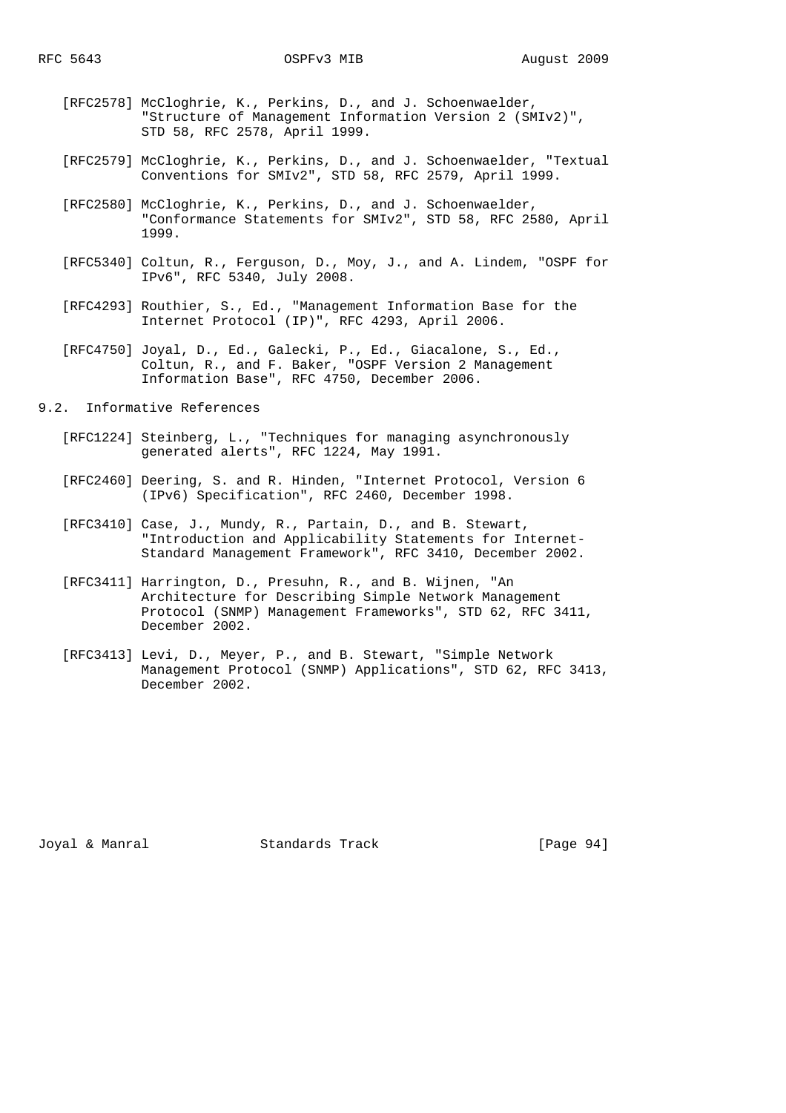- [RFC2578] McCloghrie, K., Perkins, D., and J. Schoenwaelder, "Structure of Management Information Version 2 (SMIv2)", STD 58, RFC 2578, April 1999.
- [RFC2579] McCloghrie, K., Perkins, D., and J. Schoenwaelder, "Textual Conventions for SMIv2", STD 58, RFC 2579, April 1999.
- [RFC2580] McCloghrie, K., Perkins, D., and J. Schoenwaelder, "Conformance Statements for SMIv2", STD 58, RFC 2580, April 1999.
- [RFC5340] Coltun, R., Ferguson, D., Moy, J., and A. Lindem, "OSPF for IPv6", RFC 5340, July 2008.
- [RFC4293] Routhier, S., Ed., "Management Information Base for the Internet Protocol (IP)", RFC 4293, April 2006.
- [RFC4750] Joyal, D., Ed., Galecki, P., Ed., Giacalone, S., Ed., Coltun, R., and F. Baker, "OSPF Version 2 Management Information Base", RFC 4750, December 2006.

9.2. Informative References

- [RFC1224] Steinberg, L., "Techniques for managing asynchronously generated alerts", RFC 1224, May 1991.
- [RFC2460] Deering, S. and R. Hinden, "Internet Protocol, Version 6 (IPv6) Specification", RFC 2460, December 1998.
- [RFC3410] Case, J., Mundy, R., Partain, D., and B. Stewart, "Introduction and Applicability Statements for Internet- Standard Management Framework", RFC 3410, December 2002.
- [RFC3411] Harrington, D., Presuhn, R., and B. Wijnen, "An Architecture for Describing Simple Network Management Protocol (SNMP) Management Frameworks", STD 62, RFC 3411, December 2002.
- [RFC3413] Levi, D., Meyer, P., and B. Stewart, "Simple Network Management Protocol (SNMP) Applications", STD 62, RFC 3413, December 2002.

Joyal & Manral Standards Track [Page 94]